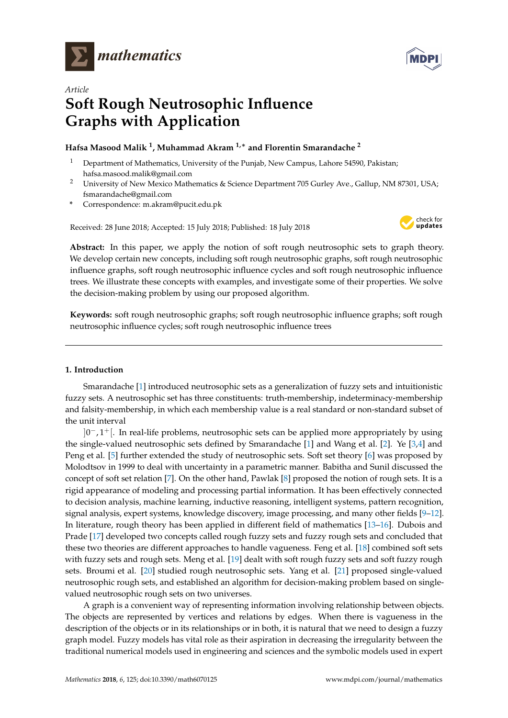

*Article*



# **Soft Rough Neutrosophic Influence Graphs with Application**

## **Hafsa Masood Malik <sup>1</sup> , Muhammad Akram 1,**<sup>∗</sup> **and Florentin Smarandache <sup>2</sup>**

- <sup>1</sup> Department of Mathematics, University of the Punjab, New Campus, Lahore 54590, Pakistan; hafsa.masood.malik@gmail.com
- <sup>2</sup> University of New Mexico Mathematics & Science Department 705 Gurley Ave., Gallup, NM 87301, USA; fsmarandache@gmail.com
- **\*** Correspondence: m.akram@pucit.edu.pk

Received: 28 June 2018; Accepted: 15 July 2018; Published: 18 July 2018



**Abstract:** In this paper, we apply the notion of soft rough neutrosophic sets to graph theory. We develop certain new concepts, including soft rough neutrosophic graphs, soft rough neutrosophic influence graphs, soft rough neutrosophic influence cycles and soft rough neutrosophic influence trees. We illustrate these concepts with examples, and investigate some of their properties. We solve the decision-making problem by using our proposed algorithm.

**Keywords:** soft rough neutrosophic graphs; soft rough neutrosophic influence graphs; soft rough neutrosophic influence cycles; soft rough neutrosophic influence trees

## **1. Introduction**

Smarandache [\[1\]](#page-35-0) introduced neutrosophic sets as a generalization of fuzzy sets and intuitionistic fuzzy sets. A neutrosophic set has three constituents: truth-membership, indeterminacy-membership and falsity-membership, in which each membership value is a real standard or non-standard subset of the unit interval

]0<sup>-</sup>, 1<sup>+</sup>[. In real-life problems, neutrosophic sets can be applied more appropriately by using the single-valued neutrosophic sets defined by Smarandache [\[1\]](#page-35-0) and Wang et al. [\[2\]](#page-35-1). Ye [\[3](#page-35-2)[,4\]](#page-35-3) and Peng et al. [\[5\]](#page-35-4) further extended the study of neutrosophic sets. Soft set theory [\[6\]](#page-35-5) was proposed by Molodtsov in 1999 to deal with uncertainty in a parametric manner. Babitha and Sunil discussed the concept of soft set relation [\[7\]](#page-35-6). On the other hand, Pawlak [\[8\]](#page-35-7) proposed the notion of rough sets. It is a rigid appearance of modeling and processing partial information. It has been effectively connected to decision analysis, machine learning, inductive reasoning, intelligent systems, pattern recognition, signal analysis, expert systems, knowledge discovery, image processing, and many other fields [\[9–](#page-35-8)[12\]](#page-35-9). In literature, rough theory has been applied in different field of mathematics [\[13](#page-35-10)[–16\]](#page-35-11). Dubois and Prade [\[17\]](#page-35-12) developed two concepts called rough fuzzy sets and fuzzy rough sets and concluded that these two theories are different approaches to handle vagueness. Feng et al. [\[18\]](#page-35-13) combined soft sets with fuzzy sets and rough sets. Meng et al. [\[19\]](#page-35-14) dealt with soft rough fuzzy sets and soft fuzzy rough sets. Broumi et al. [\[20\]](#page-35-15) studied rough neutrosophic sets. Yang et al. [\[21\]](#page-35-16) proposed single-valued neutrosophic rough sets, and established an algorithm for decision-making problem based on singlevalued neutrosophic rough sets on two universes.

A graph is a convenient way of representing information involving relationship between objects. The objects are represented by vertices and relations by edges. When there is vagueness in the description of the objects or in its relationships or in both, it is natural that we need to design a fuzzy graph model. Fuzzy models has vital role as their aspiration in decreasing the irregularity between the traditional numerical models used in engineering and sciences and the symbolic models used in expert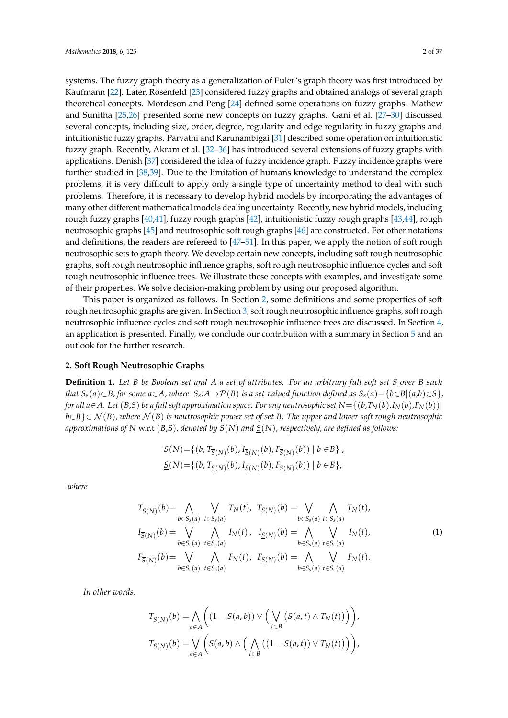systems. The fuzzy graph theory as a generalization of Euler's graph theory was first introduced by Kaufmann [\[22\]](#page-35-17). Later, Rosenfeld [\[23\]](#page-35-18) considered fuzzy graphs and obtained analogs of several graph theoretical concepts. Mordeson and Peng [\[24\]](#page-35-19) defined some operations on fuzzy graphs. Mathew and Sunitha [\[25](#page-35-20)[,26\]](#page-35-21) presented some new concepts on fuzzy graphs. Gani et al. [\[27](#page-35-22)[–30\]](#page-35-23) discussed several concepts, including size, order, degree, regularity and edge regularity in fuzzy graphs and intuitionistic fuzzy graphs. Parvathi and Karunambigai [\[31\]](#page-35-24) described some operation on intuitionistic fuzzy graph. Recently, Akram et al. [\[32](#page-36-0)[–36\]](#page-36-1) has introduced several extensions of fuzzy graphs with applications. Denish [\[37\]](#page-36-2) considered the idea of fuzzy incidence graph. Fuzzy incidence graphs were further studied in [\[38,](#page-36-3)[39\]](#page-36-4). Due to the limitation of humans knowledge to understand the complex problems, it is very difficult to apply only a single type of uncertainty method to deal with such problems. Therefore, it is necessary to develop hybrid models by incorporating the advantages of many other different mathematical models dealing uncertainty. Recently, new hybrid models, including rough fuzzy graphs [\[40,](#page-36-5)[41\]](#page-36-6), fuzzy rough graphs [\[42\]](#page-36-7), intuitionistic fuzzy rough graphs [\[43](#page-36-8)[,44\]](#page-36-9), rough neutrosophic graphs [\[45\]](#page-36-10) and neutrosophic soft rough graphs [\[46\]](#page-36-11) are constructed. For other notations and definitions, the readers are refereed to [\[47](#page-36-12)[–51\]](#page-36-13). In this paper, we apply the notion of soft rough neutrosophic sets to graph theory. We develop certain new concepts, including soft rough neutrosophic graphs, soft rough neutrosophic influence graphs, soft rough neutrosophic influence cycles and soft rough neutrosophic influence trees. We illustrate these concepts with examples, and investigate some of their properties. We solve decision-making problem by using our proposed algorithm.

This paper is organized as follows. In Section [2,](#page-1-0) some definitions and some properties of soft rough neutrosophic graphs are given. In Section [3,](#page-13-0) soft rough neutrosophic influence graphs, soft rough neutrosophic influence cycles and soft rough neutrosophic influence trees are discussed. In Section [4,](#page-30-0) an application is presented. Finally, we conclude our contribution with a summary in Section [5](#page-33-0) and an outlook for the further research.

#### <span id="page-1-0"></span>**2. Soft Rough Neutrosophic Graphs**

<span id="page-1-2"></span>**Definition 1.** *Let B be Boolean set and A a set of attributes. For an arbitrary full soft set S over B such* that  $S_s(a) \subset B$ , for some  $a \in A$ , where  $S_s$ : $A \to \mathcal{P}(B)$  is a set-valued function defined as  $S_s(a) = \{b \in B | (a,b) \in S\}$ , *for all*  $a \in A$ . Let  $(B, S)$  *be a full soft approximation space. For any neutrosophic set*  $N = \{(b, T_N(b), I_N(b), F_N(b))\}$ *b*∈*B*}∈ N (*B*)*, where* N (*B*) *is neutrosophic power set of set B. The upper and lower soft rough neutrosophic approximations of N* w.r.t  $(B, S)$ *, denoted by*  $\overline{S}(N)$  *and*  $S(N)$ *, respectively, are defined as follows:* 

<span id="page-1-1"></span>
$$
\overline{S}(N) = \{ (b, T_{\overline{S}(N)}(b), I_{\overline{S}(N)}(b), F_{\overline{S}(N)}(b)) \mid b \in B \},\,
$$
  

$$
\underline{S}(N) = \{ (b, T_{\underline{S}(N)}(b), I_{\underline{S}(N)}(b), F_{\underline{S}(N)}(b)) \mid b \in B \},\,
$$

*where*

$$
T_{\overline{S}(N)}(b) = \bigwedge_{b \in S_s(a)} \bigvee_{t \in S_s(a)} T_N(t), \ T_{\underline{S}(N)}(b) = \bigvee_{b \in S_s(a)} \bigwedge_{t \in S_s(a)} T_N(t),
$$
  
\n
$$
I_{\overline{S}(N)}(b) = \bigvee_{b \in S_s(a)} \bigwedge_{t \in S_s(a)} I_N(t), \ I_{\underline{S}(N)}(b) = \bigwedge_{b \in S_s(a)} \bigvee_{t \in S_s(a)} I_N(t),
$$
  
\n
$$
F_{\overline{S}(N)}(b) = \bigvee_{b \in S_s(a)} \bigwedge_{t \in S_s(a)} F_N(t), \ F_{\underline{S}(N)}(b) = \bigwedge_{b \in S_s(a)} \bigvee_{t \in S_s(a)} F_N(t).
$$
  
\n(1)

*In other words,*

$$
T_{\overline{S}(N)}(b) = \bigwedge_{a \in A} \left( (1 - S(a, b)) \vee \Big( \bigvee_{t \in B} \left( S(a, t) \wedge T_N(t) \right) \Big) \right),
$$
  

$$
T_{\underline{S}(N)}(b) = \bigvee_{a \in A} \left( S(a, b) \wedge \Big( \bigwedge_{t \in B} \left( (1 - S(a, t)) \vee T_N(t) \right) \Big) \right),
$$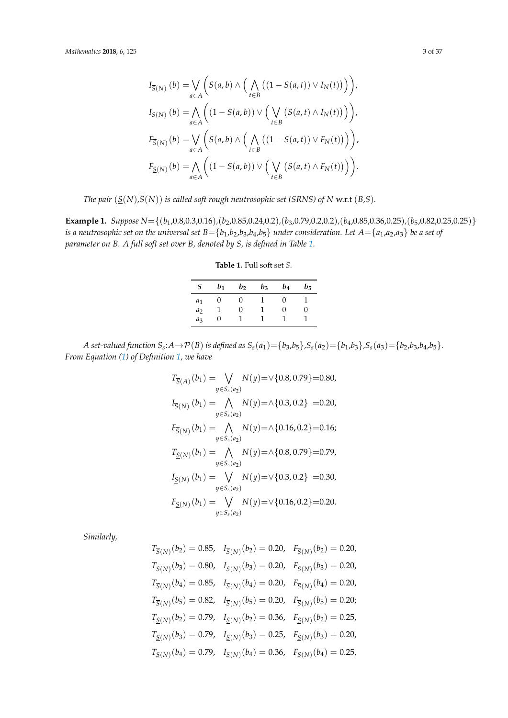$$
I_{\overline{S}(N)}(b) = \bigvee_{a \in A} \left( S(a,b) \wedge \Big( \bigwedge_{t \in B} \big( (1 - S(a,t)) \vee I_N(t) \big) \Big) \right),
$$
  
\n
$$
I_{\underline{S}(N)}(b) = \bigwedge_{a \in A} \left( (1 - S(a,b)) \vee \Big( \bigvee_{t \in B} \big( S(a,t) \wedge I_N(t) \big) \Big) \right),
$$
  
\n
$$
F_{\overline{S}(N)}(b) = \bigvee_{a \in A} \left( S(a,b) \wedge \Big( \bigwedge_{t \in B} \big( (1 - S(a,t)) \vee F_N(t) \big) \Big) \right),
$$
  
\n
$$
F_{\underline{S}(N)}(b) = \bigwedge_{a \in A} \left( (1 - S(a,b)) \vee \Big( \bigvee_{t \in B} \big( S(a,t) \wedge F_N(t) \big) \Big) \right).
$$

*The pair*  $(\underline{S}(N), \overline{S}(N))$  *is called soft rough neutrosophic set (SRNS) of N w.r.t (B,S).* 

<span id="page-2-0"></span>**Example 1.** *Suppose N*={(*b*1,0.8,0.3,0.16)*,*(*b*2,0.85,0.24,0.2)*,*(*b*3,0.79,0.2,0.2)*,*(*b*4,0.85,0.36,0.25)*,*(*b*5,0.82,0.25,0.25)} *is a neutrosophic set on the universal set*  $B = \{b_1, b_2, b_3, b_4, b_5\}$  *under consideration. Let*  $A = \{a_1, a_2, a_3\}$  *be a set of parameter on B. A full soft set over B, denoted by S, is defined in Table [1.](#page-2-0)*

| $S_{-}$        | $b_1$ | $b_2$ | $b_3$ | $b_4$ | b5 |
|----------------|-------|-------|-------|-------|----|
| $a_1$          | U     | U     | -1    | 0     |    |
| a <sub>2</sub> |       | 0     | 1     | 0     |    |
| aз             |       |       |       |       |    |

**Table 1.** Full soft set *S*.

A set-valued function  $S_s$ : $A \rightarrow \mathcal{P}(B)$  is defined as  $S_s(a_1) = \{b_3,b_5\}$ , $S_s(a_2) = \{b_1,b_3\}$ , $S_s(a_3) = \{b_2,b_3,b_4,b_5\}$ . *From Equation [\(1\)](#page-1-1) of Definition [1,](#page-1-2) we have*

$$
T_{\overline{S}(A)}(b_1) = \bigvee_{y \in S_s(a_2)} N(y) = \vee \{0.8, 0.79\} = 0.80,
$$
  
\n
$$
I_{\overline{S}(N)}(b_1) = \bigwedge_{y \in S_s(a_2)} N(y) = \wedge \{0.3, 0.2\} = 0.20,
$$
  
\n
$$
F_{\overline{S}(N)}(b_1) = \bigwedge_{y \in S_s(a_2)} N(y) = \wedge \{0.16, 0.2\} = 0.16;
$$
  
\n
$$
T_{\underline{S}(N)}(b_1) = \bigwedge_{y \in S_s(a_2)} N(y) = \wedge \{0.8, 0.79\} = 0.79,
$$
  
\n
$$
I_{\underline{S}(N)}(b_1) = \bigvee_{y \in S_s(a_2)} N(y) = \vee \{0.3, 0.2\} = 0.30,
$$
  
\n
$$
F_{\underline{S}(N)}(b_1) = \bigvee_{y \in S_s(a_2)} N(y) = \vee \{0.16, 0.2\} = 0.20.
$$

*Similarly,*

$$
T_{\overline{S}(N)}(b_2) = 0.85, \quad I_{\overline{S}(N)}(b_2) = 0.20, \quad F_{\overline{S}(N)}(b_2) = 0.20,
$$
  
\n
$$
T_{\overline{S}(N)}(b_3) = 0.80, \quad I_{\overline{S}(N)}(b_3) = 0.20, \quad F_{\overline{S}(N)}(b_3) = 0.20,
$$
  
\n
$$
T_{\overline{S}(N)}(b_4) = 0.85, \quad I_{\overline{S}(N)}(b_4) = 0.20, \quad F_{\overline{S}(N)}(b_4) = 0.20,
$$
  
\n
$$
T_{\overline{S}(N)}(b_5) = 0.82, \quad I_{\overline{S}(N)}(b_5) = 0.20, \quad F_{\overline{S}(N)}(b_5) = 0.20;
$$
  
\n
$$
T_{\underline{S}(N)}(b_2) = 0.79, \quad I_{\underline{S}(N)}(b_2) = 0.36, \quad F_{\underline{S}(N)}(b_2) = 0.25,
$$
  
\n
$$
T_{\underline{S}(N)}(b_3) = 0.79, \quad I_{\underline{S}(N)}(b_3) = 0.25, \quad F_{\underline{S}(N)}(b_3) = 0.20,
$$
  
\n
$$
T_{\underline{S}(N)}(b_4) = 0.79, \quad I_{\underline{S}(N)}(b_4) = 0.36, \quad F_{\underline{S}(N)}(b_4) = 0.25,
$$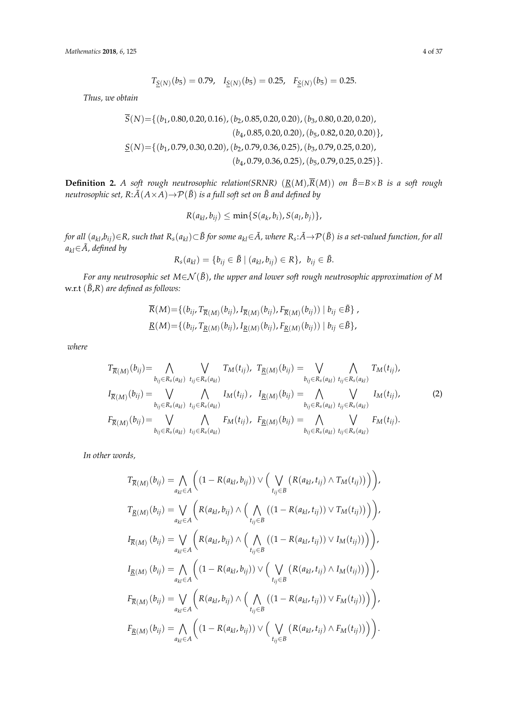*Mathematics* **2018**, *6*, 125 4 of 37

$$
T_{\underline{S}(N)}(b_5) = 0.79, \quad I_{\underline{S}(N)}(b_5) = 0.25, \quad F_{\underline{S}(N)}(b_5) = 0.25.
$$

*Thus, we obtain*

$$
\overline{S}(N) = \{ (b_1, 0.80, 0.20, 0.16), (b_2, 0.85, 0.20, 0.20), (b_3, 0.80, 0.20, 0.20), (b_4, 0.85, 0.20, 0.20), (b_5, 0.82, 0.20, 0.20) \},
$$
\n
$$
\underline{S}(N) = \{ (b_1, 0.79, 0.30, 0.20), (b_2, 0.79, 0.36, 0.25), (b_3, 0.79, 0.25, 0.20), (b_4, 0.79, 0.36, 0.25), (b_5, 0.79, 0.25, 0.25) \}.
$$

<span id="page-3-0"></span>**Definition 2.** *A soft rough neutrosophic relation(SRNR)*  $(R(M), \overline{R}(M))$  *on*  $\tilde{B} = B \times B$  *is a soft rough neutrosophic set,*  $R: \tilde{A}(A \times A) \rightarrow \mathcal{P}(\tilde{B})$  *is a full soft set on*  $\tilde{B}$  *and defined by* 

$$
R(a_{kl},b_{ij}) \leq \min\{S(a_k,b_i),S(a_l,b_j)\},\
$$

for all  $(a_{kl},b_{ij})$  $\in$ R, such that  $R_s(a_{kl})$  $\subset$   $\tilde{B}$  for some  $a_{kl}$  $\in$   $\tilde{A}$ , where  $R_s$ :  $\tilde{A}$   $\to$   $\mathcal{P}$ ( $\tilde{B})$  is a set-valued function, for all  $a_{kl}$ ∈ $A$ *, defined by* 

<span id="page-3-1"></span>
$$
R_s(a_{kl}) = \{b_{ij} \in \tilde{B} \mid (a_{kl}, b_{ij}) \in R\}, b_{ij} \in \tilde{B}.
$$

*For any neutrosophic set <sup>M</sup>*∈N (*B*˜), *the upper and lower soft rough neutrosophic approximation of <sup>M</sup>* w.r.t (*B*˜,*R*) *are defined as follows:*

$$
\overline{R}(M) = \{ (b_{ij}, T_{\overline{R}(M)}(b_{ij}), I_{\overline{R}(M)}(b_{ij}), F_{\overline{R}(M)}(b_{ij})) | b_{ij} \in \tilde{B} \}, \underline{R}(M) = \{ (b_{ij}, T_{\underline{R}(M)}(b_{ij}), I_{\underline{R}(M)}(b_{ij}), F_{\underline{R}(M)}(b_{ij})) | b_{ij} \in \tilde{B} \},
$$

*where*

$$
T_{\overline{R}(M)}(b_{ij}) = \bigwedge_{b_{ij} \in R_s(a_{kl})} \bigvee_{t_{ij} \in R_s(a_{kl})} T_M(t_{ij}), \ T_{\underline{R}(M)}(b_{ij}) = \bigvee_{b_{ij} \in R_s(a_{kl})} \bigwedge_{t_{ij} \in R_s(a_{kl})} T_M(t_{ij}),
$$
  
\n
$$
I_{\overline{R}(M)}(b_{ij}) = \bigvee_{b_{ij} \in R_s(a_{kl})} \bigwedge_{t_{ij} \in R_s(a_{kl})} I_M(t_{ij}), \ I_{\underline{R}(M)}(b_{ij}) = \bigwedge_{b_{ij} \in R_s(a_{kl})} \bigvee_{t_{ij} \in R_s(a_{kl})} I_M(t_{ij}),
$$
  
\n
$$
F_{\overline{R}(M)}(b_{ij}) = \bigvee_{b_{ij} \in R_s(a_{kl})} \bigwedge_{t_{ij} \in R_s(a_{kl})} F_M(t_{ij}), \ F_{\underline{R}(M)}(b_{ij}) = \bigwedge_{b_{ij} \in R_s(a_{kl})} \bigvee_{t_{ij} \in R_s(a_{kl})} F_M(t_{ij}).
$$
\n(2)

*In other words,*

$$
T_{\overline{R}(M)}(b_{ij}) = \bigwedge_{a_{kl} \in A} \Big( (1 - R(a_{kl}, b_{ij})) \vee \Big( \bigvee_{t_{ij} \in B} \big( R(a_{kl}, t_{ij}) \wedge T_M(t_{ij}) \big) \Big),
$$
  
\n
$$
T_{\underline{R}(M)}(b_{ij}) = \bigvee_{a_{kl} \in A} \Big( R(a_{kl}, b_{ij}) \wedge \Big( \bigwedge_{t_{ij} \in B} \big( (1 - R(a_{kl}, t_{ij})) \vee T_M(t_{ij}) \big) \Big),
$$
  
\n
$$
I_{\overline{R}(M)}(b_{ij}) = \bigvee_{a_{kl} \in A} \Big( R(a_{kl}, b_{ij}) \wedge \Big( \bigwedge_{t_{ij} \in B} \big( (1 - R(a_{kl}, t_{ij})) \vee I_M(t_{ij}) \big) \Big),
$$
  
\n
$$
I_{\underline{R}(M)}(b_{ij}) = \bigwedge_{a_{kl} \in A} \Big( (1 - R(a_{kl}, b_{ij})) \vee \Big( \bigvee_{t_{ij} \in B} \big( R(a_{kl}, t_{ij}) \wedge I_M(t_{ij}) \big) \Big) \Big),
$$
  
\n
$$
F_{\overline{R}(M)}(b_{ij}) = \bigvee_{a_{kl} \in A} \Big( R(a_{kl}, b_{ij}) \wedge \Big( \bigwedge_{t_{ij} \in B} \big( (1 - R(a_{kl}, t_{ij})) \vee F_M(t_{ij}) \big) \Big) \Big),
$$
  
\n
$$
F_{\underline{R}(M)}(b_{ij}) = \bigwedge_{a_{kl} \in A} \Big( (1 - R(a_{kl}, b_{ij})) \vee \Big( \bigvee_{t_{ij} \in B} \big( R(a_{kl}, t_{ij}) \wedge F_M(t_{ij}) \big) \Big) \Big).
$$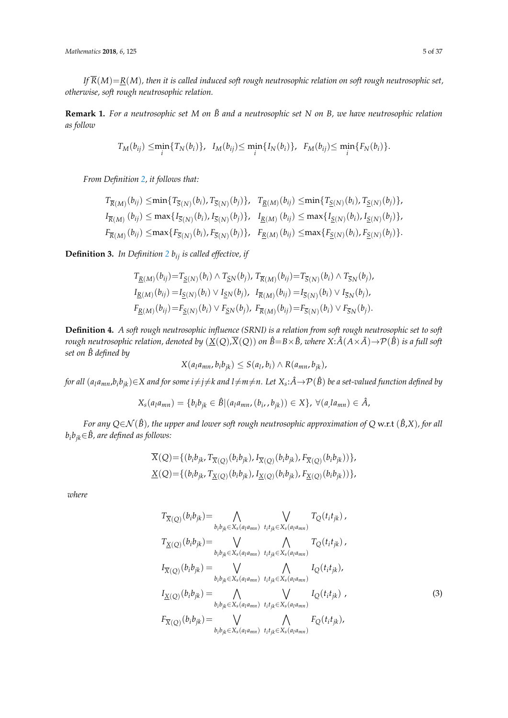*If*  $\overline{R}(M) = R(M)$ *, then it is called induced soft rough neutrosophic relation on soft rough neutrosophic set, otherwise, soft rough neutrosophic relation.*

**Remark 1.** *For a neutrosophic set M on B*˜ *and a neutrosophic set N on B, we have neutrosophic relation as follow*

$$
T_M(b_{ij}) \leq \min_i \{ T_N(b_i) \}, \quad I_M(b_{ij}) \leq \min_i \{ I_N(b_i) \}, \quad F_M(b_{ij}) \leq \min_i \{ F_N(b_i) \}.
$$

*From Definition [2,](#page-3-0) it follows that:*

$$
T_{\overline{R}(M)}(b_{ij}) \leq \min\{T_{\overline{S}(N)}(b_i), T_{\overline{S}(N)}(b_j)\}, \quad T_{\underline{R}(M)}(b_{ij}) \leq \min\{T_{\underline{S}(N)}(b_i), T_{\underline{S}(N)}(b_j)\},
$$
  
\n
$$
I_{\overline{R}(M)}(b_{ij}) \leq \max\{I_{\overline{S}(N)}(b_i), I_{\overline{S}(N)}(b_j)\}, \quad I_{\underline{R}(M)}(b_{ij}) \leq \max\{I_{\underline{S}(N)}(b_i), I_{\underline{S}(N)}(b_j)\},
$$
  
\n
$$
F_{\overline{R}(M)}(b_{ij}) \leq \max\{F_{\overline{S}(N)}(b_i), F_{\overline{S}(N)}(b_j)\}, \quad F_{\underline{R}(M)}(b_{ij}) \leq \max\{F_{\underline{S}(N)}(b_i), F_{\overline{S}(N)}(b_j)\}.
$$

**Definition 3.** In Definition [2](#page-3-0)  $b_{ij}$  is called effective, if

$$
T_{\underline{R}(M)}(b_{ij}) = T_{\underline{S}(N)}(b_i) \wedge T_{\underline{S}N}(b_j), T_{\overline{R}(M)}(b_{ij}) = T_{\overline{S}(N)}(b_i) \wedge T_{\overline{S}N}(b_j),
$$
  
\n
$$
I_{\underline{R}(M)}(b_{ij}) = I_{\underline{S}(N)}(b_i) \vee I_{\underline{S}N}(b_j), T_{\overline{R}(M)}(b_{ij}) = I_{\overline{S}(N)}(b_i) \vee I_{\overline{S}N}(b_j),
$$
  
\n
$$
F_{\underline{R}(M)}(b_{ij}) = F_{\underline{S}(N)}(b_i) \vee F_{\underline{S}N}(b_j), F_{\overline{R}(M)}(b_{ij}) = F_{\overline{S}(N)}(b_i) \vee F_{\overline{S}N}(b_j).
$$

<span id="page-4-0"></span>**Definition 4.** *A soft rough neutrosophic influence (SRNI) is a relation from soft rough neutrosophic set to soft rough neutrosophic relation, denoted by*  $(X(Q),\overline{X}(Q))$  *on*  $\hat{B}=B\times\tilde{B}$ *, where*  $X:\hat{A}(A\times\tilde{A})\to\mathcal{P}(\hat{B})$  *is a full soft set on*  $\hat{B}$  *defined by* 

$$
X(a_l a_{mn}, b_i b_{jk}) \leq S(a_l, b_i) \wedge R(a_{mn}, b_{jk}),
$$

for all  $(a_l a_{mn}, b_i b_{jk})$  $\in$ X and for some  $i$  $\neq$   $j$  $\neq$ k and  $l$  $\neq$   $m$   $\neq$   $n$ . Let  $X_s$ : $\hat{A}$   $\to$   $\mathcal{P}(\hat{B})$  be a set-valued function defined by

$$
X_{s}(a_{l}a_{mn}) = \{b_{i}b_{jk} \in \hat{B} | (a_{l}a_{mn}, (b_{i}, b_{jk})) \in X\}, \ \forall (a_{l}a_{mn}) \in \hat{A},
$$

*For any <sup>Q</sup>*∈N (*B*ˆ)*, the upper and lower soft rough neutrosophic approximation of <sup>Q</sup>* w.r.t (*B*ˆ,*X*)*, for all b*<sub>*i*</sub>*b*<sub>*ik*</sub>∈ $\hat{B}$ *, are defined as follows:* 

$$
X(Q) = \{ (b_i b_{jk}, T_{\overline{X}(Q)}(b_i b_{jk}), I_{\overline{X}(Q)}(b_i b_{jk}), F_{\overline{X}(Q)}(b_i b_{jk})) \},
$$
  

$$
\underline{X}(Q) = \{ (b_i b_{jk}, T_{\underline{X}(Q)}(b_i b_{jk}), I_{\underline{X}(Q)}(b_i b_{jk}), F_{\underline{X}(Q)}(b_i b_{jk})) \},
$$

*where*

<span id="page-4-1"></span>
$$
T_{\overline{X}(Q)}(b_{i}b_{jk}) = \bigwedge_{b_{i}b_{jk} \in X_{s}(a_{l}a_{mn})} \bigvee_{t_{i}t_{jk} \in X_{s}(a_{l}a_{mn})} T_{Q}(t_{i}t_{jk}),
$$
  
\n
$$
T_{\underline{X}(Q)}(b_{i}b_{jk}) = \bigvee_{b_{i}b_{jk} \in X_{s}(a_{l}a_{mn})} \bigwedge_{t_{i}t_{jk} \in X_{s}(a_{l}a_{mn})} T_{Q}(t_{i}t_{jk}),
$$
  
\n
$$
I_{\overline{X}(Q)}(b_{i}b_{jk}) = \bigvee_{b_{i}b_{jk} \in X_{s}(a_{l}a_{mn})} \bigwedge_{t_{i}t_{jk} \in X_{s}(a_{l}a_{mn})} I_{Q}(t_{i}t_{jk}),
$$
  
\n
$$
I_{\underline{X}(Q)}(b_{i}b_{jk}) = \bigwedge_{b_{i}b_{jk} \in X_{s}(a_{l}a_{mn})} \bigvee_{t_{i}t_{jk} \in X_{s}(a_{l}a_{mn})} I_{Q}(t_{i}t_{jk}),
$$
  
\n
$$
F_{\overline{X}(Q)}(b_{i}b_{jk}) = \bigvee_{b_{i}b_{jk} \in X_{s}(a_{l}a_{mn})} \bigwedge_{t_{i}t_{jk} \in X_{s}(a_{l}a_{mn})} F_{Q}(t_{i}t_{jk}),
$$
  
\n(3)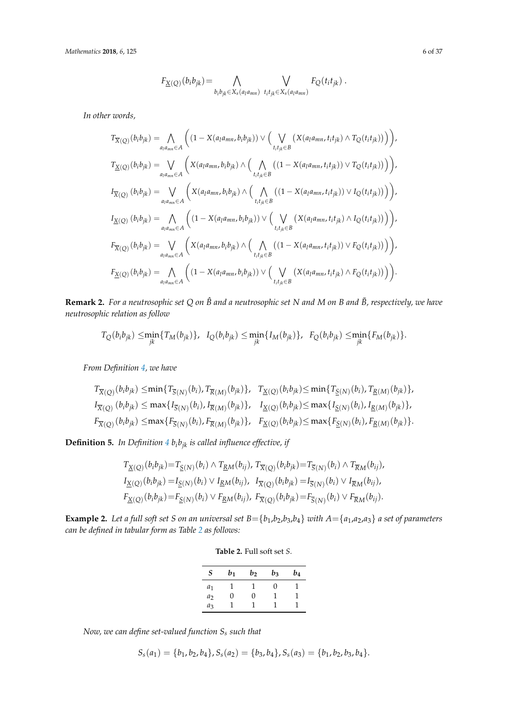*Mathematics* **2018**, *6*, 125 6 of 37

$$
F_{\underline{X}(\underline{Q})}(b_ib_{jk}) = \bigwedge_{b_ib_{jk} \in X_s(a_l a_{mn})} \bigvee_{t_it_{jk} \in X_s(a_l a_{mn})} F_{\underline{Q}}(t_it_{jk}) .
$$

*In other words,*

$$
T_{\overline{X}(Q)}(b_ib_{jk}) = \bigwedge_{a_1a_{mn} \in A} \left( (1 - X(a_1a_{mn}, b_ib_{jk})) \vee \Big( \bigvee_{t_it_{jk} \in B} \left( X(a_1a_{mn}, t_it_{jk}) \wedge T_Q(t_it_{jk})) \right) \right),
$$
  
\n
$$
T_{\underline{X}(Q)}(b_ib_{jk}) = \bigvee_{a_1a_{mn} \in A} \left( X(a_1a_{mn}, b_ib_{jk}) \wedge \Big( \bigwedge_{t_it_{jk} \in B} \left( (1 - X(a_1a_{mn}, t_it_{jk})) \vee T_Q(t_it_{jk})) \right) \right),
$$
  
\n
$$
I_{\overline{X}(Q)}(b_ib_{jk}) = \bigvee_{a_1a_{mn} \in A} \left( X(a_1a_{mn}, b_ib_{jk}) \wedge \Big( \bigwedge_{t_it_{jk} \in B} \left( (1 - X(a_1a_{mn}, t_it_{jk})) \vee I_Q(t_it_{jk})) \right) \right),
$$
  
\n
$$
I_{\underline{X}(Q)}(b_ib_{jk}) = \bigwedge_{a_1a_{mn} \in A} \left( (1 - X(a_1a_{mn}, b_ib_{jk})) \vee \Big( \bigvee_{t_it_{jk} \in B} \left( X(a_1a_{mn}, t_it_{jk}) \wedge I_Q(t_it_{jk})) \right) \right),
$$
  
\n
$$
F_{\overline{X}(Q)}(b_ib_{jk}) = \bigvee_{a_1a_{mn} \in A} \left( X(a_1a_{mn}, b_ib_{jk}) \wedge \Big( \bigwedge_{t_it_{jk} \in B} \left( (1 - X(a_1a_{mn}, t_it_{jk})) \vee F_Q(t_it_{jk})) \right) \right),
$$
  
\n
$$
F_{\underline{X}(Q)}(b_ib_{jk}) = \bigwedge_{a_1a_{mn} \in A} \left( (1 - X(a_1a_{mn}, b_ib_{jk})) \vee \Big( \bigvee_{t_it_{jk} \in B} \left( X(a_1a_{mn}, t_it_{jk}) \wedge F_Q(t_it_{jk})) \right) \right).
$$

**Remark 2.** *For a neutrosophic set Q on B*ˆ *and a neutrosophic set N and M on B and B*˜*, respectively, we have neutrosophic relation as follow*

$$
T_Q(b_i b_{jk}) \le \min_{jk} \{ T_M(b_{jk}) \}, \quad I_Q(b_i b_{jk}) \le \min_{jk} \{ I_M(b_{jk}) \}, \quad F_Q(b_i b_{jk}) \le \min_{jk} \{ F_M(b_{jk}) \}.
$$

*From Definition [4,](#page-4-0) we have*

$$
T_{\overline{X}(Q)}(b_{i}b_{jk}) \leq \min\{T_{\overline{S}(N)}(b_{i}), T_{\overline{R}(M)}(b_{jk})\}, T_{\underline{X}(Q)}(b_{i}b_{jk}) \leq \min\{T_{\underline{S}(N)}(b_{i}), T_{\underline{R}(M)}(b_{jk})\},
$$
  
\n
$$
I_{\overline{X}(Q)}(b_{i}b_{jk}) \leq \max\{I_{\overline{S}(N)}(b_{i}), I_{\overline{R}(M)}(b_{jk})\}, T_{\underline{X}(Q)}(b_{i}b_{jk}) \leq \max\{I_{\underline{S}(N)}(b_{i}), I_{\underline{R}(M)}(b_{jk})\},
$$
  
\n
$$
F_{\overline{X}(Q)}(b_{i}b_{jk}) \leq \max\{F_{\overline{S}(N)}(b_{i}), F_{\overline{R}(M)}(b_{jk})\}, F_{\underline{X}(Q)}(b_{i}b_{jk}) \leq \max\{F_{\underline{S}(N)}(b_{i}), F_{\underline{R}(M)}(b_{jk})\}.
$$

**Definition 5.** In Definition  $4$   $b_i b_{jk}$  is called influence effective, if

$$
T_{\underline{X}(Q)}(b_i b_{jk}) = T_{\underline{S}(N)}(b_i) \wedge T_{\underline{R}M}(b_{ij}), T_{\overline{X}(Q)}(b_i b_{jk}) = T_{\overline{S}(N)}(b_i) \wedge T_{\overline{R}M}(b_{ij}),
$$
  
\n
$$
I_{\underline{X}(Q)}(b_i b_{jk}) = I_{\underline{S}(N)}(b_i) \vee I_{\underline{R}M}(b_{ij}), I_{\overline{X}(Q)}(b_i b_{jk}) = I_{\overline{S}(N)}(b_i) \vee I_{\overline{R}M}(b_{ij}),
$$
  
\n
$$
F_{\underline{X}(Q)}(b_i b_{jk}) = F_{\underline{S}(N)}(b_i) \vee F_{\underline{R}M}(b_{ij}), F_{\overline{X}(Q)}(b_i b_{jk}) = F_{\overline{S}(N)}(b_i) \vee F_{\overline{R}M}(b_{ij}).
$$

<span id="page-5-0"></span>**Example 2.** Let a full soft set *S* on an universal set  $B = \{b_1, b_2, b_3, b_4\}$  with  $A = \{a_1, a_2, a_3\}$  a set of parameters *can be defined in tabular form as Table [2](#page-5-0) as follows:*

| <b>Table 2. Full soft set S.</b> |  |  |  |
|----------------------------------|--|--|--|
|                                  |  |  |  |

| S              | b1           | $b_2$ | $b_3$             | b4 |
|----------------|--------------|-------|-------------------|----|
| $a_1$          |              |       | $\mathbf{\Omega}$ |    |
| a <sub>2</sub> | $\mathbf{0}$ | 0     |                   |    |
| $a_3$          |              |       |                   |    |

*Now, we can define set-valued function S<sup>s</sup> such that*

$$
S_s(a_1) = \{b_1, b_2, b_4\}, S_s(a_2) = \{b_3, b_4\}, S_s(a_3) = \{b_1, b_2, b_3, b_4\}.
$$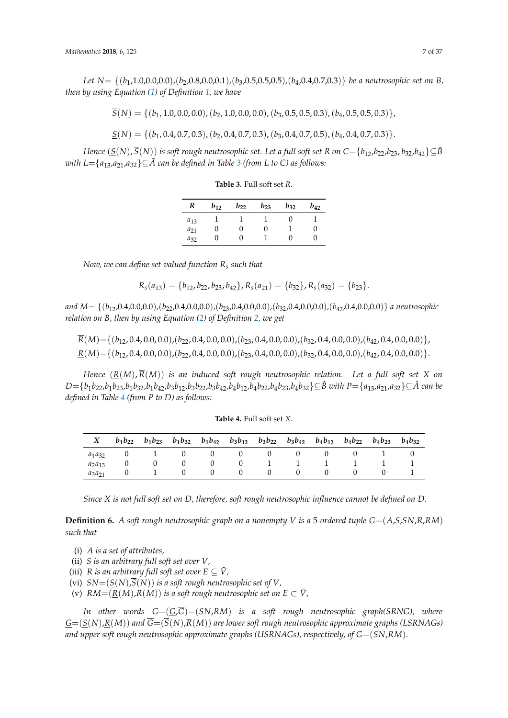*Let N*= {(*b*1,1.0,0.0,0.0)*,*(*b*2,0.8,0.0,0.1)*,*(*b*3,0.5,0.5,0.5)*,*(*b*4,0.4,0.7,0.3)} *be a neutrosophic set on B, then by using Equation [\(1\)](#page-1-1) of Definition [1,](#page-1-2) we have*

 $\overline{S}(N) = \{(b_1, 1.0, 0.0, 0.0), (b_2, 1.0, 0.0, 0.0), (b_3, 0.5, 0.5, 0.3), (b_4, 0.5, 0.5, 0.3)\}\$ 

$$
\underline{S}(N) = \{ (b_1, 0.4, 0.7, 0.3), (b_2, 0.4, 0.7, 0.3), (b_3, 0.4, 0.7, 0.5), (b_4, 0.4, 0.7, 0.3) \}.
$$

<span id="page-6-0"></span>*Hence*  $(S(N), \overline{S}(N))$  *is soft rough neutrosophic set. Let a full soft set R on*  $C = {b_{12}, b_{22}, b_{23}, b_{32}, b_{42}} \subseteq \tilde{B}$ *with L*={ $a_{13}$  $a_{13}$  $a_{13}$ , $a_{21}$ , $a_{32}$ } $\subseteq$ *A* can be defined in Table 3 (from L to C) as follows:

**Table 3.** Full soft set *R*.

| R        | $b_{12}$ | $b_{22}$ | $b_{23}$ | $b_{32}$ | $b_{42}$ |
|----------|----------|----------|----------|----------|----------|
| $a_{13}$ |          |          |          |          |          |
| $a_{21}$ |          | 0        | 0        |          | O        |
| $a_{32}$ |          | 0        |          |          | 0        |

*Now, we can define set-valued function R<sup>s</sup> such that*

$$
R_s(a_{13}) = \{b_{12}, b_{22}, b_{23}, b_{42}\}, R_s(a_{21}) = \{b_{32}\}, R_s(a_{32}) = \{b_{23}\}.
$$

*and M*= {(*b*12,0.4,0.0,0.0)*,*(*b*22,0.4,0.0,0.0)*,*(*b*23,0.4,0.0,0.0)*,*(*b*32,0.4,0.0,0.0)*,*(*b*42,0.4,0.0,0.0)} *a neutrosophic relation on B, then by using Equation [\(2\)](#page-3-1) of Definition [2,](#page-3-0) we get*

 $\overline{R}(M) = \{(b_{12}, 0.4, 0.0, 0.0), (b_{22}, 0.4, 0.0, 0.0), (b_{23}, 0.4, 0.0, 0.0), (b_{32}, 0.4, 0.0, 0.0), (b_{42}, 0.4, 0.0, 0.0)\}$  $R(M) = \{(b_{12}, 0.4, 0.0, 0.0), (b_{22}, 0.4, 0.0, 0.0), (b_{23}, 0.4, 0.0, 0.0), (b_{32}, 0.4, 0.0, 0.0), (b_{42}, 0.4, 0.0, 0.0)\}.$ 

*Hence*  $(R(M), \overline{R}(M))$  *is an induced soft rough neutrosophic relation. Let a full soft set X on*  $D = \{b_1b_{22}, b_1b_{23}, b_1b_{32}, b_1b_{42}, b_3b_{12}, b_3b_{22}, b_3b_{42}, b_4b_{12}, b_4b_{22}, b_4b_{23}, b_4b_{32}\}\subseteq \hat{B}$  with  $P = \{a_{13}, a_{21}, a_{32}\}\subseteq \hat{A}$  can be *defined in Table [4](#page-6-1) (from P to D) as follows:*

| <b>Table 4. Full soft set X.</b> |  |  |  |  |
|----------------------------------|--|--|--|--|
|----------------------------------|--|--|--|--|

<span id="page-6-1"></span>

|             | $b_1b_{22}$ | $b_1b_{23}$ | $b_1b_{32}$ | $b_1b_{42}$ $b_3b_{12}$ $b_3b_{22}$ |   |              | $b_3b_{42}$ $b_4b_{12}$ $b_4b_{22}$ | $b_4b_{23}$ | $b_4b_{32}$ |
|-------------|-------------|-------------|-------------|-------------------------------------|---|--------------|-------------------------------------|-------------|-------------|
| $a_1a_{32}$ |             |             | $\theta$    | U                                   | U | $\mathbf{0}$ | 0                                   |             |             |
| $a_2a_{13}$ |             |             | 0           |                                     |   |              |                                     |             |             |
| $a_3a_{21}$ |             |             | 0           |                                     |   | 0            | $\cup$                              |             |             |

*Since X is not full soft set on D, therefore, soft rough neutrosophic influence cannot be defined on D.*

**Definition 6.** *A soft rough neutrosophic graph on a nonempty V is a* 5*-ordered tuple*  $G = (A, S, SN, R, RM)$ *such that*

- (i) *A is a set of attributes,*
- (ii) *S is an arbitrary full soft set over V,*
- (iii) *R* is an arbitrary full soft set over  $E \subseteq \tilde{V}$ ,
- (vi)  $SN=(S(N),\overline{S}(N))$  *is a soft rough neutrosophic set of V*,
- (v)  $RM=(R(M),\overline{R}(M))$  *is a soft rough neutrosophic set on*  $E\subset V$ *,*

*In other words G*=(*G*,*G*)=(*SN*,*RM*) *is a soft rough neutrosophic graph(SRNG), where*  $G=(S(N),R(M))$  and  $\overline{G}=(\overline{S}(N),\overline{R}(M))$  are lower soft rough neutrosophic approximate graphs (LSRNAGs) *and upper soft rough neutrosophic approximate graphs (USRNAGs), respectively, of G=(SN,RM)*.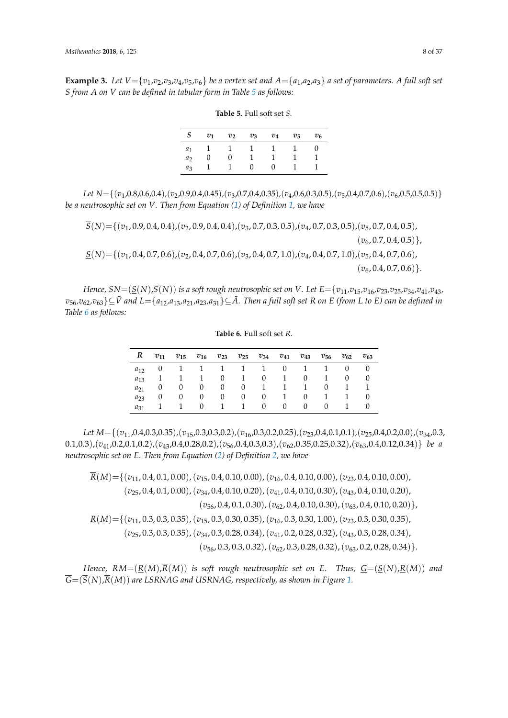<span id="page-7-0"></span>**Example 3.** Let  $V = \{v_1, v_2, v_3, v_4, v_5, v_6\}$  be a vertex set and  $A = \{a_1, a_2, a_3\}$  a set of parameters. A full soft set *S from A on V can be defined in tabular form in Table [5](#page-7-0) as follows:*

| <b>Table 5. Full soft set S.</b> |  |
|----------------------------------|--|
|----------------------------------|--|

| S              |                 | $v_1$ $v_2$ $v_3$ |                | $v_4$        | $v_5$        | $v_6$  |
|----------------|-----------------|-------------------|----------------|--------------|--------------|--------|
|                | $a_1$ 1 1 1 1 1 |                   |                |              |              | $\cup$ |
| a <sub>2</sub> | <sup>O</sup>    | $\overline{0}$    | $\sim$ 1       | $\mathbf{1}$ | $\mathbf{1}$ |        |
| $a_3$          |                 |                   | $\overline{0}$ | $\mathbf{0}$ |              |        |

*Let N*={(*v*1,0.8,0.6,0.4)*,*(*v*2,0.9,0.4,0.45)*,*(*v*3,0.7,0.4,0.35)*,*(*v*4,0.6,0.3,0.5)*,*(*v*5,0.4,0.7,0.6),(*v*6,0.5,0.5,0.5)} *be a neutrosophic set on V. Then from Equation [\(1\)](#page-1-1) of Definition [1,](#page-1-2) we have*

*S*(*N*)={(*v*1, 0.9, 0.4, 0.4),(*v*2, 0.9, 0.4, 0.4),(*v*3, 0.7, 0.3, 0.5),(*v*4, 0.7, 0.3, 0.5),(*v*5, 0.7, 0.4, 0.5),  $(v_6, 0.7, 0.4, 0.5)$ , *S*(*N*)={(*v*1, 0.4, 0.7, 0.6),(*v*2, 0.4, 0.7, 0.6),(*v*3, 0.4, 0.7, 1.0),(*v*4, 0.4, 0.7, 1.0),(*v*5, 0.4, 0.7, 0.6),  $(v_6, 0.4, 0.7, 0.6)$ .

<span id="page-7-1"></span>Hence,  $SN = (S(N), \overline{S}(N))$  is a soft rough neutrosophic set on V. Let  $E = \{v_{11}, v_{15}, v_{16}, v_{23}, v_{25}, v_{34}, v_{41}, v_{43}, v_{44}, v_{45}\}$  $v_{56}$ ,  $v_{62}$ ,  $v_{63}$   $\subseteq$   $\tilde{V}$  and  $L = \{a_{12}, a_{13}, a_{21}, a_{23}, a_{31}\} \subseteq \tilde{A}$ . Then a full soft set R on E (from L to E) can be defined in *Table [6](#page-7-1) as follows:*

**Table 6.** Full soft set *R*.

|          |          | $R$ $v_{11}$ $v_{15}$ $v_{16}$ $v_{23}$ $v_{25}$ $v_{34}$ $v_{41}$ $v_{43}$ $v_{56}$ |                   |  |  |               | $v_{62}$       | $v_{63}$ |
|----------|----------|--------------------------------------------------------------------------------------|-------------------|--|--|---------------|----------------|----------|
|          |          | $a_{12}$ 0 1 1 1 1 1 0 1 1 0 0                                                       |                   |  |  |               |                |          |
| $a_{13}$ |          | 1 1 0 1 0 1 0 1                                                                      |                   |  |  |               | $\overline{0}$ | $\theta$ |
| $a_{21}$ |          | 0 0 0 0 0 1 1 1 0 1 1                                                                |                   |  |  |               |                |          |
| $a_{23}$ | $\theta$ | $\overline{0}$                                                                       | $\overline{0}$    |  |  | 0 0 0 1 0 1 1 |                |          |
| $a_{31}$ |          |                                                                                      | 1 0 1 1 0 0 0 0 1 |  |  |               |                | $\theta$ |

*Let M*={(*v*11,0.4,0.3,0.35)*,*(*v*15,0.3,0.3,0.2)*,*(*v*16,0.3,0.2,0.25)*,*(*v*23,0.4,0.1,0.1)*,*(*v*25,0.4,0.2,0.0),(*v*34,0.3, 0.1,0.3),(*v*41,0.2,0.1,0.2),(*v*43,0.4,0.28,0.2),(*v*56,0.4,0.3,0.3),(*v*62,0.35,0.25,0.32),(*v*63,0.4,0.12,0.34)} *be a neutrosophic set on E. Then from Equation [\(2\)](#page-3-1) of Definition [2,](#page-3-0) we have*

*R*(*M*)={(*v*11, 0.4, 0.1, 0.00),(*v*15, 0.4, 0.10, 0.00),(*v*16, 0.4, 0.10, 0.00),(*v*23, 0.4, 0.10, 0.00), (*v*25, 0.4, 0.1, 0.00),(*v*34, 0.4, 0.10, 0.20),(*v*41, 0.4, 0.10, 0.30),(*v*43, 0.4, 0.10, 0.20), (*v*56, 0.4, 0.1, 0.30),(*v*62, 0.4, 0.10, 0.30),(*v*63, 0.4, 0.10, 0.20)}, *R*(*M*)={(*v*11, 0.3, 0.3, 0.35),(*v*15, 0.3, 0.30, 0.35),(*v*16, 0.3, 0.30, 1.00),(*v*23, 0.3, 0.30, 0.35), (*v*25, 0.3, 0.3, 0.35),(*v*34, 0.3, 0.28, 0.34),(*v*41, 0.2, 0.28, 0.32),(*v*43, 0.3, 0.28, 0.34), (*v*56, 0.3, 0.3, 0.32),(*v*62, 0.3, 0.28, 0.32),(*v*63, 0.2, 0.28, 0.34)}.

*Hence,*  $RM=(R(M),\overline{R}(M))$  *is soft rough neutrosophic set on E. Thus,*  $G=(S(N),R(M))$  *and*  $\overline{G}=(\overline{S}(N),\overline{R}(M))$  are LSRNAG and USRNAG, respectively, as shown in Figure [1.](#page-8-0)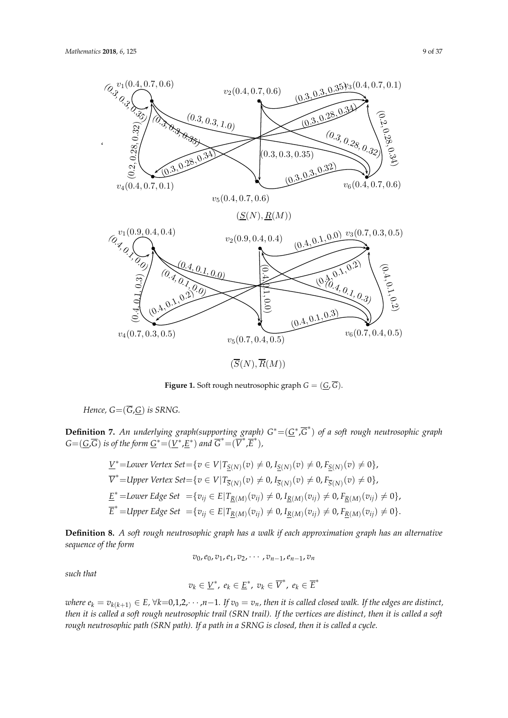<span id="page-8-0"></span>

Figure 1: Soft rough neutrosophic graph G = (G, G) **Figure 1.** Soft rough neutrosophic graph *G* = (*G*, *G*).

*Hence,*  $G = (\overline{G}, \underline{G})$  *is SRNG.* 

**Definition 7.** An underlying graph(supporting graph)  $G^* = (\underline{G}^*, \overline{G}^*)$  of a soft rough neutrosophic graph  $G{=}(\underline{G},\overline{G})$  *is of the form*  $\underline{G}^*{=}(\underline{V}^*,\underline{E}^*)$  *and*  $\overline{G}^*{=}(\overline{V}^*,\overline{E}^*)$ *,* 

$$
\underline{V}^* = \text{Lower Vertex Set} = \{ v \in V | T_{\underline{S}(N)}(v) \neq 0, I_{\underline{S}(N)}(v) \neq 0, F_{\underline{S}(N)}(v) \neq 0 \},
$$
\n
$$
\overline{V}^* = \text{Upper Vertex Set} = \{ v \in V | T_{\overline{S}(N)}(v) \neq 0, I_{\overline{S}(N)}(v) \neq 0, F_{\overline{S}(N)}(v) \neq 0 \},
$$
\n
$$
\underline{E}^* = \text{Lower Edge Set} = \{ v_{ij} \in E | T_{\underline{R}(M)}(v_{ij}) \neq 0, I_{\underline{R}(M)}(v_{ij}) \neq 0, F_{\underline{R}(M)}(v_{ij}) \neq 0 \},
$$
\n
$$
\overline{E}^* = \text{Upper Edge Set} = \{ v_{ij} \in E | T_{\underline{R}(M)}(v_{ij}) \neq 0, I_{\underline{R}(M)}(v_{ij}) \neq 0, F_{\underline{R}(M)}(v_{ij}) \neq 0 \}.
$$

vike∈E vjetnosti i svjetlovanja i svjetlovanja i svjetlovanja i svjetlovanja i svjetlovanja i svjetlovanja i sv **Definition 8.** *A soft rough neutrosophic graph has a walk if each approximation graph has an alternative sequence of the form*

 $\frac{1}{\sqrt{2}}$ 

$$
v_0, e_0, v_1, e_1, v_2, \cdots, v_{n-1}, e_{n-1}, v_n
$$

 $\mathcal{L}$  such that *such that*

$$
v_k\in \underline{V}^*,\ e_k\in \underline{E}^*,\ v_k\in \overline{V}^*,\ e_k\in \overline{E}^*
$$

where  $e_k = v_{k(k+1)} \in E$ ,  $\forall k=0,1,2,\cdots,n-1$ . If  $v_0 = v_n$ , then it is called closed walk. If the edges are distinct, *rough neutrosophic path (SRN path).* If a path in a SRNG is closed, then it is called a cycle. *then it is called a soft rough neutrosophic trail (SRN trail). If the vertices are distinct, then it is called a soft*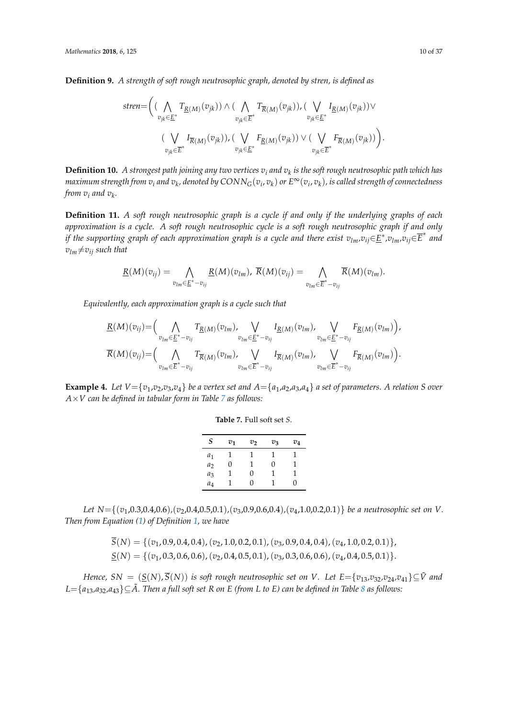**Definition 9.** *A strength of soft rough neutrosophic graph, denoted by stren, is defined as*

$$
\textit{stren} = \Big( \big( \bigwedge_{v_{jk} \in \underline{E}^*} T_{\underline{R}(M)}(v_{jk}) \big) \wedge \big( \bigwedge_{v_{jk} \in \overline{E}^*} T_{\overline{R}(M)}(v_{jk}) \big) , \big( \bigvee_{v_{jk} \in \underline{E}^*} I_{\underline{R}(M)}(v_{jk}) \big) \vee \big( \bigvee_{v_{jk} \in \overline{E}^*} I_{\overline{R}(M)}(v_{jk}) \big) , \big( \bigvee_{v_{jk} \in \underline{E}^*} F_{\underline{R}(M)}(v_{jk}) \big) \vee \big( \bigvee_{v_{jk} \in \overline{E}^*} F_{\overline{R}(M)}(v_{jk}) \big) \Big).
$$

**Definition 10.** *A strongest path joining any two vertices v<sup>i</sup> and v<sup>k</sup> is the soft rough neutrosophic path which has* maximum strength from  $v_i$  and  $v_k$ , denoted by  $CONN_G(v_i,v_k)$  or  $E^\infty(v_i,v_k)$ , is called strength of connectedness *from v<sup>i</sup> and v<sup>k</sup> .*

**Definition 11.** *A soft rough neutrosophic graph is a cycle if and only if the underlying graphs of each approximation is a cycle. A soft rough neutrosophic cycle is a soft rough neutrosophic graph if and only if the supporting graph of each approximation graph is a cycle and there exist*  $v_{lm}$ *,* $v_{ij}$ *∈* $E^*$ *,* $v_{lm}$ *,* $v_{ij}$ *∈* $\overline{E}^*$  *and*  $v_{lm} \neq v_{ij}$  *such that* 

$$
\underline{R}(M)(v_{ij}) = \bigwedge_{v_{lm} \in \underline{E}^* - v_{ij}} \underline{R}(M)(v_{lm}), \ \overline{R}(M)(v_{ij}) = \bigwedge_{v_{lm} \in \overline{E}^* - v_{ij}} \overline{R}(M)(v_{lm}).
$$

*Equivalently, each approximation graph is a cycle such that*

$$
\underline{R}(M)(v_{ij}) = \Big(\bigwedge_{v_{lm}\in \underline{E}^* - v_{ij}} T_{\underline{R}(M)}(v_{lm}), \bigvee_{v_{lm}\in \underline{E}^* - v_{ij}} I_{\underline{R}(M)}(v_{lm}), \bigvee_{v_{lm}\in \underline{E}^* - v_{ij}} F_{\underline{R}(M)}(v_{lm})\Big),
$$
  

$$
\overline{R}(M)(v_{ij}) = \Big(\bigwedge_{v_{lm}\in \overline{E}^* - v_{ij}} T_{\overline{R}(M)}(v_{lm}), \bigvee_{v_{lm}\in \overline{E}^* - v_{ij}} I_{\overline{R}(M)}(v_{lm}), \bigvee_{v_{lm}\in \overline{E}^* - v_{ij}} F_{\overline{R}(M)}(v_{lm})\Big).
$$

<span id="page-9-1"></span><span id="page-9-0"></span>**Example 4.** Let  $V = \{v_1, v_2, v_3, v_4\}$  be a vertex set and  $A = \{a_1, a_2, a_3, a_4\}$  a set of parameters. A relation *S* over *A*×*V can be defined in tabular form in Table [7](#page-9-0) as follows:*

| S     | $v_1$ | $v_2$ | $v_3$ | $v_4$ |
|-------|-------|-------|-------|-------|
| $a_1$ |       |       |       |       |
| $a_2$ | 0     | 1     | O     | 1     |
| $a_3$ | 1     | 0     | 1     | 1     |
| $a_4$ |       | 0     | 1     | 0     |

**Table 7.** Full soft set *S*.

*Let*  $N = \{(v_1, 0.3, 0.4, 0.6), (v_2, 0.4, 0.5, 0.1), (v_3, 0.9, 0.6, 0.4), (v_4, 1.0, 0.2, 0.1)\}$  *be a neutrosophic set on V*. *Then from Equation [\(1\)](#page-1-1) of Definition [1,](#page-1-2) we have*

> $\overline{S}(N) = \{(v_1, 0.9, 0.4, 0.4), (v_2, 1.0, 0.2, 0.1), (v_3, 0.9, 0.4, 0.4), (v_4, 1.0, 0.2, 0.1)\},\$  $S(N) = \{(v_1, 0.3, 0.6, 0.6), (v_2, 0.4, 0.5, 0.1), (v_3, 0.3, 0.6, 0.6), (v_4, 0.4, 0.5, 0.1)\}.$

*Hence,*  $SN = (\underline{S}(N), \overline{S}(N))$  *is soft rough neutrosophic set on V.* Let  $E = \{v_{13}, v_{32}, v_{24}, v_{41}\} \subseteq \tilde{V}$  and *<sup>L</sup>*={*a*13*,a*32*,a*43}⊆*A. Then a full soft set R on E (from L to E) can be defined in Table* ˜ *[8](#page-10-0) as follows:*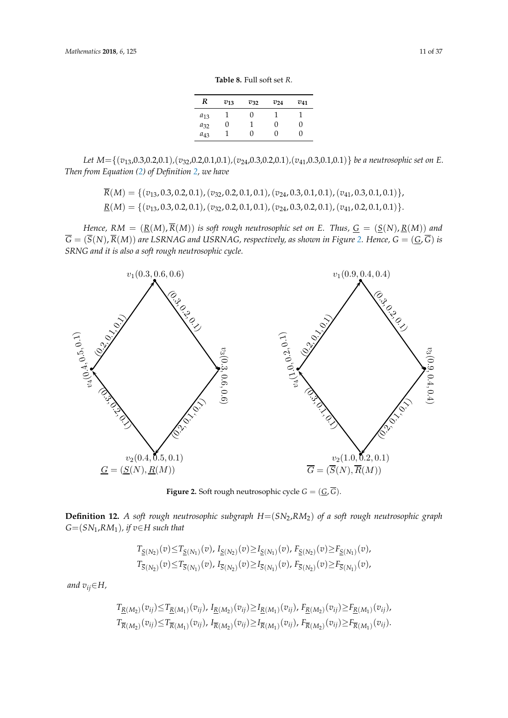**Table 8.** Full soft set *R*.

<span id="page-10-0"></span>

| R        | $v_{13}$ | $v_{32}$ | $v_{24}$ | $v_{41}$ |
|----------|----------|----------|----------|----------|
| $a_{13}$ |          | U        |          |          |
| $a_{32}$ | U        |          |          | 0        |
| $a_{43}$ |          | 0        |          | 0        |

*Let M*={(*v*13,0.3,0.2,0.1)*,*(*v*32,0.2,0.1,0.1)*,*(*v*24,0.3,0.2,0.1)*,*(*v*41,0.3,0.1,0.1)} *be a neutrosophic set on E. Then from Equation [\(2\)](#page-3-1) of Definition [2,](#page-3-0) we have* Let  $M=[(x, 0.3,0.2,0.1), (x, 0.3,0.1,0.1), (x, 0.3,0.2,0.1), (x, 0.3,0.1,0.1)]$  be a neutroscalia set on E. Let  $M = \{ (v_{13}, 0.3, 0.2, 0.1), (v_{32}, 0.2, 0.1, 0.1), (v_{24}, 0.1, 0.1), (v_{34}, 0.1, 0.1), (v_{35}, 0.1, 0.1), (v_{36}, 0.1, 0.1), (v_{37}, 0.1, 0.1), (v_{38}, 0.1, 0.1), (v_{39}, 0.1, 0.1), (v_{31}, 0.1, 0.1), (v_{32}, 0.1, 0.1), (v_{34}, 0.1, 0.1), (v_{35}, 0.1$ 

> $\overline{R}(M) = \{ (v_{13}, 0.3, 0.2, 0.1), (v_{32}, 0.2, 0.1, 0.1), (v_{24}, 0.3, 0.1, 0.1), (v_{41}, 0.3, 0.1, 0.1) \},\$  $\underline{R}(M) = \{ (v_{13}, 0.3, 0.2, 0.1), (v_{32}, 0.2, 0.1, 0.1), (v_{24}, 0.3, 0.2, 0.1), (v_{41}, 0.2, 0.1, 0.1) \}.$

*Hence,*  $RM = (\underline{R}(M), \overline{R}(M))$  *is soft rough neutrosophic set on E. Thus,*  $\underline{G} = (\underline{S}(N), \underline{R}(M))$  *and*  $\overline{G} = (\overline{S}(N), \overline{R}(M))$  are LSRNAG and USRNAG, respectively, as shown in Figure 2. Hence,  $G = (\underline{G}, \overline{G})$  is *SRNG and it is also a soft rough neutrosophic cycle.* 

<span id="page-10-1"></span>

**Figure 2.** Soft rough neutrosophic cycle  $G = (\underline{G}, G)$ .

 $G=(SN_1, RM_1)$ , if  $v \in H$  such that **Definition 12.** *A soft rough neutrosophic subgraph H*=(*SN*2,*RM*2) *of a soft rough neutrosophic graph*

$$
T_{\underline{S}(N_2)}(v) \leq T_{\underline{S}(N_1)}(v), I_{\underline{S}(N_2)}(v) \geq I_{\underline{S}(N_1)}(v), F_{\underline{S}(N_2)}(v) \geq F_{\underline{S}(N_1)}(v),
$$
  

$$
T_{\overline{S}(N_2)}(v) \leq T_{\overline{S}(N_1)}(v), I_{\overline{S}(N_2)}(v) \geq I_{\overline{S}(N_1)}(v), F_{\overline{S}(N_2)}(v) \geq F_{\overline{S}(N_1)}(v),
$$

*and*  $v_{ij} \in H$ ,

$$
T_{\underline{R}(M_2)}(v_{ij}) \leq T_{\underline{R}(M_1)}(v_{ij}), I_{\underline{R}(M_2)}(v_{ij}) \geq I_{\underline{R}(M_1)}(v_{ij}), F_{\underline{R}(M_2)}(v_{ij}) \geq F_{\underline{R}(M_1)}(v_{ij}),
$$
  

$$
T_{\overline{R}(M_2)}(v_{ij}) \leq T_{\overline{R}(M_1)}(v_{ij}), I_{\overline{R}(M_2)}(v_{ij}) \geq I_{\overline{R}(M_1)}(v_{ij}), F_{\overline{R}(M_2)}(v_{ij}) \geq F_{\overline{R}(M_1)}(v_{ij}).
$$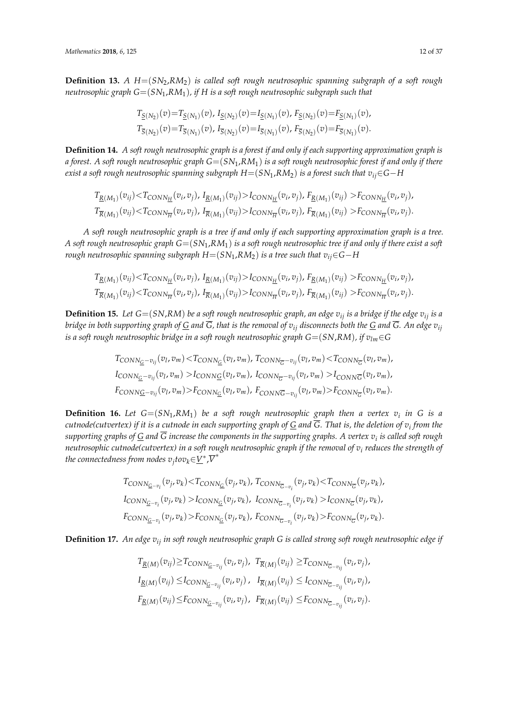**Definition 13.** *A H*=(*SN*2,*RM*2) *is called soft rough neutrosophic spanning subgraph of a soft rough neutrosophic graph G*=(*SN*1,*RM*1)*, if H is a soft rough neutrosophic subgraph such that*

$$
T_{\underline{S}(N_2)}(v) = T_{\underline{S}(N_1)}(v), I_{\underline{S}(N_2)}(v) = I_{\underline{S}(N_1)}(v), F_{\underline{S}(N_2)}(v) = F_{\underline{S}(N_1)}(v),
$$
  
\n
$$
T_{\overline{S}(N_2)}(v) = T_{\overline{S}(N_1)}(v), I_{\overline{S}(N_2)}(v) = I_{\overline{S}(N_1)}(v), F_{\overline{S}(N_2)}(v) = F_{\overline{S}(N_1)}(v).
$$

**Definition 14.** *A soft rough neutrosophic graph is a forest if and only if each supporting approximation graph is a forest. A soft rough neutrosophic graph G*=(*SN*1,*RM*1) *is a soft rough neutrosophic forest if and only if there exist a soft rough neutrosophic spanning subgraph*  $H=(SN_1, RM_2)$  *<i>is a forest such that*  $v_i$ *i*∈*G*−*H* 

$$
T_{\underline{R}(M_1)}(v_{ij}) < T_{CONN_{\underline{H}}}(v_i, v_j), I_{\underline{R}(M_1)}(v_{ij}) > I_{CONN_{\underline{H}}}(v_i, v_j), F_{\underline{R}(M_1)}(v_{ij}) > F_{CONN_{\underline{H}}}(v_i, v_j),
$$
\n
$$
T_{\overline{R}(M_1)}(v_{ij}) < T_{CONN_{\overline{H}}}(v_i, v_j), I_{\overline{R}(M_1)}(v_{ij}) > I_{CONN_{\overline{H}}}(v_i, v_j), F_{\overline{R}(M_1)}(v_{ij}) > F_{CONN_{\overline{H}}}(v_i, v_j).
$$

*A soft rough neutrosophic graph is a tree if and only if each supporting approximation graph is a tree. A soft rough neutrosophic graph*  $G = (SN_1, RM_1)$  *is a soft rough neutrosophic tree if and only if there exist a soft rough neutrosophic spanning subgraph*  $H=(SN_1, RM_2)$  *is a tree such that*  $v_{ij} \in G - H$ 

$$
T_{\underline{R}(M_1)}(v_{ij}) < T_{CONN_{\underline{H}}}(v_i, v_j), I_{\underline{R}(M_1)}(v_{ij}) > I_{CONN_{\underline{H}}}(v_i, v_j), F_{\underline{R}(M_1)}(v_{ij}) > F_{CONN_{\underline{H}}}(v_i, v_j),
$$
\n
$$
T_{\overline{R}(M_1)}(v_{ij}) < T_{CONN_{\overline{H}}}(v_i, v_j), I_{\overline{R}(M_1)}(v_{ij}) > I_{CONN_{\overline{H}}}(v_i, v_j), F_{\overline{R}(M_1)}(v_{ij}) > F_{CONN_{\overline{H}}}(v_i, v_j).
$$

**Definition 15.** Let  $G = (SN, RM)$  be a soft rough neutrosophic graph, an edge  $v_{ii}$  is a bridge if the edge  $v_{ii}$  is a *bridge in both supporting graph of*  $G$  *and*  $\overline{G}$ *, that is the removal of*  $v_{ij}$  *disconnects both the*  $G$  *and*  $\overline{G}$ *. An edge*  $v_{ij}$ *is a soft rough neutrosophic bridge in a soft rough neutrosophic graph*  $G=(SN, RM)$ *, if*  $v_{lm} \in G$ 

$$
T_{CONN_{\underline{G}}-v_{ij}}(v_l, v_m) < T_{CONN_{\underline{G}}}(v_l, v_m), T_{CONN_{\overline{G}}-v_{ij}}(v_l, v_m) < T_{CONN_{\overline{G}}}(v_l, v_m),
$$
  
\n
$$
I_{CONN_{\underline{G}}-v_{ij}}(v_l, v_m) > I_{CONN_{\underline{G}}}(v_l, v_m), I_{CONN_{\overline{G}}-v_{ij}}(v_l, v_m) > I_{CONN_{\overline{G}}}(v_l, v_m),
$$
  
\n
$$
F_{CONN_{\underline{G}}-v_{ij}}(v_l, v_m) > F_{CONN_{\underline{G}}}(v_l, v_m), F_{CONN_{\overline{G}}-v_{ij}}(v_l, v_m) > F_{CONN_{\overline{G}}}(v_l, v_m).
$$

**Definition 16.** Let  $G = (SN_1, RM_1)$  be a soft rough neutrosophic graph then a vertex  $v_i$  in G is a *cutnode(cutvertex) if it is a cutnode in each supporting graph of G and G. That is, the deletion of v<sup>i</sup> from the supporting graphs of G and G increase the components in the supporting graphs. A vertex v<sup>i</sup> is called soft rough neutrosophic cutnode(cutvertex) in a soft rough neutrosophic graph if the removal of v<sup>i</sup> reduces the strength of* the connectedness from nodes  $v_j$ to $v_k {\in} \underline{V}^*$ , $\overline{V}^*$ 

$$
T_{CONN_{\overline{G}-v_i}}(v_j, v_k) < T_{CONN_{\overline{G}}}(v_j, v_k), T_{CONN_{\overline{G}-v_i}}(v_j, v_k) < T_{CONN_{\overline{G}}}(v_j, v_k),
$$
  
\n
$$
I_{CONN_{\overline{G}-v_i}}(v_j, v_k) > I_{CONN_{\overline{G}}}(v_j, v_k), I_{CONN_{\overline{G}-v_i}}(v_j, v_k) > I_{CONN_{\overline{G}}}(v_j, v_k),
$$
  
\n
$$
F_{CONN_{\overline{G}-v_i}}(v_j, v_k) > F_{CONN_{\overline{G}}}(v_j, v_k), F_{CONN_{\overline{G}-v_i}}(v_j, v_k) > F_{CONN_{\overline{G}}}(v_j, v_k).
$$

**Definition 17.** *An edge vij in soft rough neutrosophic graph G is called strong soft rough neutrosophic edge if*

$$
T_{\underline{R}(M)}(v_{ij}) \geq T_{CONN_{\underline{G}-v_{ij}}}(v_i, v_j), T_{\overline{R}(M)}(v_{ij}) \geq T_{CONN_{\overline{G}-v_{ij}}}(v_i, v_j),
$$
  
\n
$$
I_{\underline{R}(M)}(v_{ij}) \leq I_{CONN_{\overline{G}-v_{ij}}}(v_i, v_j), I_{\overline{R}(M)}(v_{ij}) \leq I_{CONN_{\overline{G}-v_{ij}}}(v_i, v_j),
$$
  
\n
$$
F_{\underline{R}(M)}(v_{ij}) \leq F_{CONN_{\overline{G}-v_{ij}}}(v_i, v_j), F_{\overline{R}(M)}(v_{ij}) \leq F_{CONN_{\overline{G}-v_{ij}}}(v_i, v_j).
$$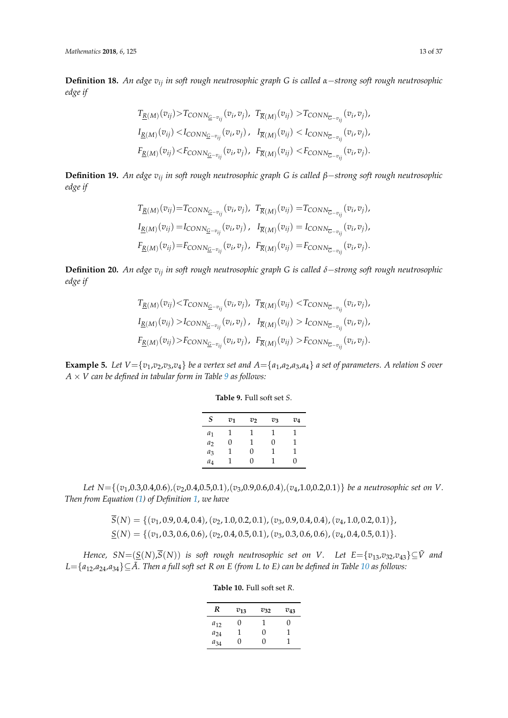**Definition 18.** *An edge vij in soft rough neutrosophic graph G is called α*−*strong soft rough neutrosophic edge if*

$$
T_{\underline{R}(M)}(v_{ij}) > T_{CONN_{\underline{G}-v_{ij}}}(v_i, v_j), \ T_{\overline{R}(M)}(v_{ij}) > T_{CONN_{\overline{G}-v_{ij}}}(v_i, v_j),
$$
  
\n
$$
I_{\underline{R}(M)}(v_{ij}) < I_{CONN_{\underline{G}-v_{ij}}}(v_i, v_j), \ I_{\overline{R}(M)}(v_{ij}) < I_{CONN_{\overline{G}-v_{ij}}}(v_i, v_j),
$$
  
\n
$$
F_{\underline{R}(M)}(v_{ij}) < F_{CONN_{\underline{G}-v_{ij}}}(v_i, v_j), \ F_{\overline{R}(M)}(v_{ij}) < F_{CONN_{\overline{G}-v_{ij}}}(v_i, v_j).
$$

**Definition 19.** *An edge vij in soft rough neutrosophic graph G is called β*−*strong soft rough neutrosophic edge if*

$$
T_{\underline{R}(M)}(v_{ij}) = T_{CONN_{\underline{G}-v_{ij}}}(v_i, v_j), \ T_{\overline{R}(M)}(v_{ij}) = T_{CONN_{\overline{G}-v_{ij}}}(v_i, v_j),
$$
  
\n
$$
I_{\underline{R}(M)}(v_{ij}) = I_{CONN_{\overline{G}-v_{ij}}}(v_i, v_j), \ I_{\overline{R}(M)}(v_{ij}) = I_{CONN_{\overline{G}-v_{ij}}}(v_i, v_j),
$$
  
\n
$$
F_{\underline{R}(M)}(v_{ij}) = F_{CONN_{\overline{G}-v_{ij}}}(v_i, v_j), \ F_{\overline{R}(M)}(v_{ij}) = F_{CONN_{\overline{G}-v_{ij}}}(v_i, v_j).
$$

**Definition 20.** *An edge vij in soft rough neutrosophic graph G is called δ*−*strong soft rough neutrosophic edge if*

$$
T_{\underline{R}(M)}(v_{ij}) < T_{\text{CONN}_{\underline{G}-v_{ij}}}(v_i, v_j), \quad T_{\overline{R}(M)}(v_{ij}) < T_{\text{CONN}_{\overline{G}-v_{ij}}}(v_i, v_j),
$$
\n
$$
I_{\underline{R}(M)}(v_{ij}) > I_{\text{CONN}_{\overline{G}-v_{ij}}}(v_i, v_j), \quad I_{\overline{R}(M)}(v_{ij}) > I_{\text{CONN}_{\overline{G}-v_{ij}}}(v_i, v_j),
$$
\n
$$
F_{\underline{R}(M)}(v_{ij}) > F_{\text{CONN}_{\underline{G}-v_{ij}}}(v_i, v_j), \quad F_{\overline{R}(M)}(v_{ij}) > F_{\text{CONN}_{\overline{G}-v_{ij}}}(v_i, v_j).
$$

<span id="page-12-2"></span><span id="page-12-0"></span>**Example 5.** Let  $V = \{v_1, v_2, v_3, v_4\}$  be a vertex set and  $A = \{a_1, a_2, a_3, a_4\}$  a set of parameters. A relation *S* over *A* × *V can be defined in tabular form in Table [9](#page-12-0) as follows:*

| S     | $v_1$ | v <sub>2</sub> | $v_3$ | $v_4$ |
|-------|-------|----------------|-------|-------|
| $a_1$ |       | 1              |       |       |
| $a_2$ | 0     |                | 0     |       |

*a*<sup>3</sup> 1 0 1 1 *a*<sup>4</sup> 1 0 1 0

**Table 9.** Full soft set *S*.

*Let N*={(*v*1,0.3,0.4,0.6)*,*(*v*2,0.4,0.5,0.1)*,*(*v*3,0.9,0.6,0.4)*,*(*v*4,1.0,0.2,0.1)} *be a neutrosophic set on V. Then from Equation [\(1\)](#page-1-1) of Definition [1,](#page-1-2) we have*

$$
S(N) = \{ (v_1, 0.9, 0.4, 0.4), (v_2, 1.0, 0.2, 0.1), (v_3, 0.9, 0.4, 0.4), (v_4, 1.0, 0.2, 0.1) \},
$$
  

$$
\underline{S}(N) = \{ (v_1, 0.3, 0.6, 0.6), (v_2, 0.4, 0.5, 0.1), (v_3, 0.3, 0.6, 0.6), (v_4, 0.4, 0.5, 0.1) \}.
$$

<span id="page-12-1"></span>*Hence,*  $SN = (\underline{S}(N), \overline{S}(N))$  *is soft rough neutrosophic set on V.* Let  $E = \{v_{13}, v_{32}, v_{43}\} \subseteq \tilde{V}$  and *L*={ $a_{12}$ , $a_{24}$ , $a_{34}$ }⊆ $\tilde{A}$ . Then a full soft set R on E (from L to E) can be defined in Table [10](#page-12-1) as follows:

| R        | $v_{13}$ | $v_{32}$ | $v_{43}$ |
|----------|----------|----------|----------|
| $a_{12}$ | 0        | 1        | 0        |
| $a_{24}$ | 1        | 0        | ı        |
| $a_{34}$ | 0        | 0        |          |

**Table 10.** Full soft set *R*.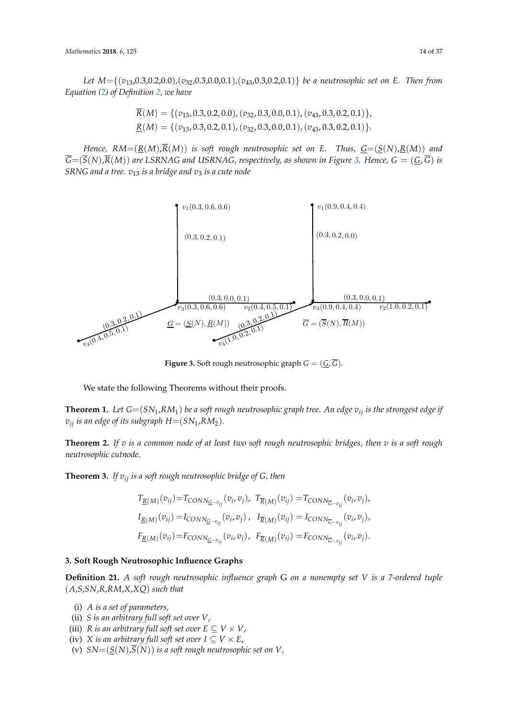Let  $M = \{(v_{13}, 0.3, 0.2, 0.0), (v_{32}, 0.3, 0.0, 0.1), (v_{43}, 0.3, 0.2, 0.1)\}$  *be a neutrosophic set on E. Then from Equation [\(2\)](#page-3-1) of Definition [2,](#page-3-0) we have*  $(3, 0.0, 0.1)$ 

$$
\overline{R}(M) = \{ (v_{13}, 0.3, 0.2, 0.0), (v_{32}, 0.3, 0.0, 0.1), (v_{43}, 0.3, 0.2, 0.1) \},
$$
  

$$
\underline{R}(M) = \{ (v_{13}, 0.3, 0.2, 0.1), (v_{32}, 0.3, 0.0, 0.1), (v_{43}, 0.3, 0.2, 0.1) \}.
$$

Hence,  $RM = (\underline{R}(M), \overline{R}(M))$  is soft rough neutrosophic set on E. Thus,  $\underline{G} = (\underline{S}(N), \underline{R}(M))$  and  $\overline{G} = (\overline{S}(N), \overline{R}(M))$  are LSRNAG and USRNAG, respectively, as shown in Figure [3.](#page-13-1) Hence,  $G = (\overline{G}, \overline{G})$  is *SRNG and a tree.*  $v_{13}$  *is a bridge and*  $v_3$  *is a cute node* 

<span id="page-13-1"></span>

Figure 3: Soft rough neutrosophic graph G = (G, G) **Figure 3.** Soft rough neutrosophic graph *G* = (*G*, *G*).

We state the following Theorems without their proofs.

**Theorem 1.** Let  $G = (SN_1, RM_1)$  be a soft rough neutrosophic graph tree. An edge  $v_{ij}$  is the strongest edge if  $v_{ij}$  *is an edge of its subgraph H*=(*SN*<sub>1</sub>,*RM*<sub>2</sub>).

**Theorem 2.** If *v* is a common node of at least two soft rough neutrosophic bridges, then *v* is a soft rough *neutrosophic cutnode.* 

Theorem 2.3. If vij is a soft rough neutrosophic bridge of G, then **Theorem 3.** *If vij is a soft rough neutrosophic bridge of G, then*

$$
T_{\underline{R}(M)}(v_{ij}) = T_{CONN_{\underline{G}-v_{ij}}}(v_i, v_j), \ T_{\overline{R}(M)}(v_{ij}) = T_{CONN_{\overline{G}-v_{ij}}}(v_i, v_j),
$$
  
\n
$$
I_{\underline{R}(M)}(v_{ij}) = I_{CONN_{\underline{G}-v_{ij}}}(v_i, v_j), \ I_{\overline{R}(M)}(v_{ij}) = I_{CONN_{\overline{G}-v_{ij}}}(v_i, v_j),
$$
  
\n
$$
F_{\underline{R}(M)}(v_{ij}) = F_{CONN_{\underline{G}-v_{ij}}}(v_i, v_j), \ F_{\overline{R}(M)}(v_{ij}) = F_{CONN_{\overline{G}-v_{ij}}}(v_i, v_j).
$$

## <span id="page-13-0"></span>3 Soft Rough Neutrosophic Influence Graphs **3. Soft Rough Neutrosophic Influence Graphs**

 $(A, S, SN, R, RM, X, XQ)$  *such that* **Definition 21.** *A soft rough neutrosophic influence graph* G *on a nonempty set V is a 7-ordered tuple*

- (i) *A is a set of parameters,*
- (ii) *S is an arbitrary full soft set over V*,
- (iii) *R* is an arbitrary full soft set over  $E \subseteq V \times V$ ,
- (iv) *X* is an arbitrary full soft set over  $I \subseteq V \times E$ ,
- (v)  $SN = (S(N), \overline{S(N)})$  *is a soft rough neutrosophic set on V*,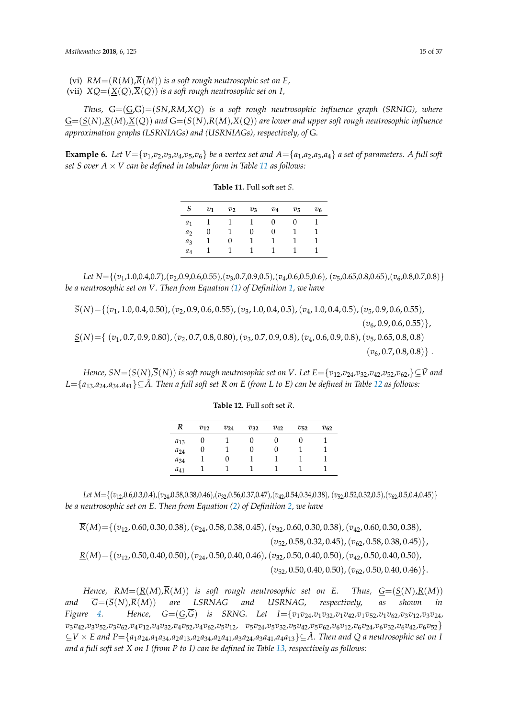(vi)  $RM = (R(M), \overline{R}(M))$  *is a soft rough neutrosophic set on E,* 

(vii)  $XQ = (\underline{X}(Q), \overline{X}(Q))$  *is a soft rough neutrosophic set on I*,

*Thus,*  $G=(G,\overline{G})=(SN, RM, XQ)$  *is a soft rough neutrosophic influence graph (SRNIG), where*  $G=(S(N),R(M),X(Q))$  and  $\overline{G}=(\overline{S}(N),\overline{R}(M),\overline{X}(Q))$  are lower and upper soft rough neutrosophic influence *approximation graphs (LSRNIAGs) and (USRNIAGs), respectively, of* G*.*

<span id="page-14-0"></span>**Example 6.** Let  $V = \{v_1, v_2, v_3, v_4, v_5, v_6\}$  be a vertex set and  $A = \{a_1, a_2, a_3, a_4\}$  a set of parameters. A full soft *set S over*  $A \times V$  *can be defined in tabular form in Table [11](#page-14-0) as follows:* 

| <b>Table 11.</b> Full soft set S. |  |  |
|-----------------------------------|--|--|
|-----------------------------------|--|--|

| S     | $v_1$ | $v_2$ | $v_3$ | $v_4$ | $v_{5}$ | $v_6$ |
|-------|-------|-------|-------|-------|---------|-------|
| $a_1$ |       |       |       | 0     | 0       |       |
| $a_2$ | 0     |       | 0     | 0     |         |       |
| $a_3$ |       | 0     |       |       |         |       |
| $a_4$ |       |       |       |       |         |       |

*Let*  $N = \{ (v_1, 1.0, 0.4, 0.7), (v_2, 0.9, 0.6, 0.55), (v_3, 0.7, 0.9, 0.5), (v_4, 0.6, 0.5, 0.6), (v_5, 0.65, 0.8, 0.65), (v_6, 0.8, 0.7, 0.8) \}$ *be a neutrosophic set on V. Then from Equation [\(1\)](#page-1-1) of Definition [1,](#page-1-2) we have*

*S*(*N*)={(*v*1, 1.0, 0.4, 0.50),(*v*2, 0.9, 0.6, 0.55),(*v*3, 1.0, 0.4, 0.5),(*v*4, 1.0, 0.4, 0.5),(*v*5, 0.9, 0.6, 0.55),

 $(v_6, 0.9, 0.6, 0.55)\},$ 

*S*(*N*)={ (*v*1, 0.7, 0.9, 0.80),(*v*2, 0.7, 0.8, 0.80),(*v*3, 0.7, 0.9, 0.8),(*v*4, 0.6, 0.9, 0.8),(*v*5, 0.65, 0.8, 0.8)  $(v_6, 0.7, 0.8, 0.8)$ .

<span id="page-14-1"></span>*Hence,*  $SN=(S(N),\overline{S}(N))$  *is soft rough neutrosophic set on V. Let*  $E=\{v_1v_2v_3v_4v_3v_5v_4v_5v_6v_6v_7\}$ ⊆ $\tilde{V}$  *and*  $L = \{a_{13}, a_{24}, a_{34}, a_{41}\}$ ⊆ $\tilde{A}$ . Then a full soft set R on E (from L to E) can be defined in Table [12](#page-14-1) as follows:

| R        | $v_{12}$ | $v_{24}$ | $v_{32}$ | $v_{42}$ | $v_{52}$ | $v_{62}$ |
|----------|----------|----------|----------|----------|----------|----------|
| $a_{13}$ |          |          |          |          |          |          |
| $a_{24}$ | O        |          |          |          |          |          |
| $a_{34}$ |          |          |          |          |          |          |
| $a_{41}$ |          |          |          |          |          |          |

**Table 12.** Full soft set *R*.

Let  $M = \{(v_{12}, 0.6, 0.3, 0.4), (v_{24}, 0.58, 0.38, 0.46), (v_{32}, 0.56, 0.37, 0.47), (v_{42}, 0.54, 0.34, 0.38), (v_{52}, 0.52, 0.32, 0.5), (v_{62}, 0.5, 0.4, 0.45)\}$ *be a neutrosophic set on E. Then from Equation [\(2\)](#page-3-1) of Definition [2,](#page-3-0) we have*

 $\overline{R}(M) = \{(v_1, 0.60, 0.30, 0.38), (v_2, 0.58, 0.38, 0.45), (v_3, 0.60, 0.30, 0.38), (v_4, 0.60, 0.30, 0.38),$ 

(*v*52, 0.58, 0.32, 0.45),(*v*62, 0.58, 0.38, 0.45)},

*R*(*M*)={(*v*12, 0.50, 0.40, 0.50),(*v*24, 0.50, 0.40, 0.46),(*v*32, 0.50, 0.40, 0.50),(*v*42, 0.50, 0.40, 0.50),

 $(v_{52}, 0.50, 0.40, 0.50), (v_{62}, 0.50, 0.40, 0.46)\}.$ 

*Hence,*  $RM = (R(M), \overline{R}(M))$  *is soft rough neutrosophic set on E. Thus,*  $G = (S(N), R(M))$ *and*  $\overline{G} = (\overline{S}(N), \overline{R}(M))$  *are* LSRNAG *and* USRNAG, respectively, as shown in *Figure [4.](#page-15-0) Hence, G*=(*G*,*G*) *is SRNG. Let I*={*v*1*v*24*,v*1*v*32*,v*1*v*42*,v*1*v*52*,v*1*v*62*,v*3*v*12*,v*3*v*24*,*  $v_3v_{42} , v_3v_{52} , v_3v_{62} , v_4v_{12} , v_4v_{32} , v_4v_{52} , v_4v_{62} , v_5v_{12} , \quad v_5v_{24} , v_5v_{32} , v_5v_{42} , v_5v_{62} , v_6v_{12} , v_6v_{24} , v_6v_{32} , v_6v_{42} , v_6v_{52} \}$  $\subseteq V \times E$  and  $P = \{a_1a_{24}, a_1a_{34}, a_2a_{13}, a_2a_{34}, a_2a_{41}, a_3a_{24}, a_3a_{41}, a_4a_{13}\} \subseteq \hat{A}$ . Then and Q a neutrosophic set on I *and a full soft set X on I (from P to I) can be defined in Table [13,](#page-15-1) respectively as follows:*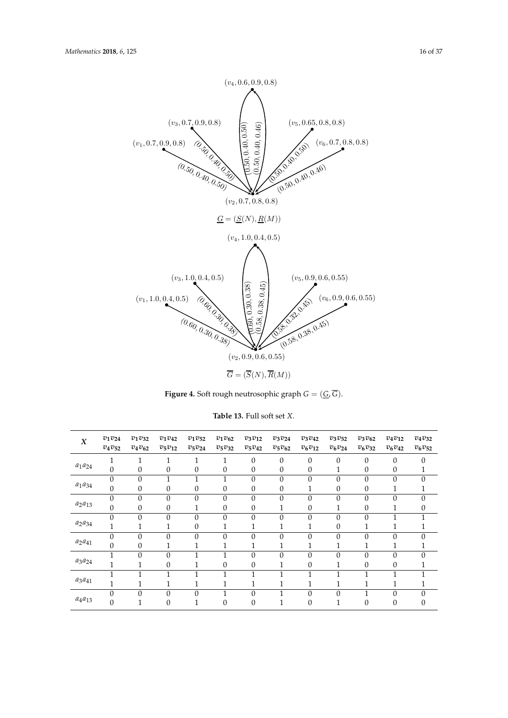<span id="page-15-0"></span>

Figure 4: Soft rough neutrosophic graph G = (G, G) **Figure 4.** Soft rough neutrosophic graph *G* = (*G*, *G*).

<span id="page-15-1"></span>

| $\boldsymbol{X}$ | $v_1v_{24}$<br>$v_4v_{52}$ | $v_1v_{32}$<br>$v_4v_{62}$ | $v_1v_{42}$<br>$v_5v_{12}$ | $v_1v_{52}$<br>$v_5v_{24}$ | $v_1v_{62}$<br>$v_5v_{32}$ | $v_3v_{12}$<br>$v_5v_{42}$ | $v_3v_{24}$<br>$v_5v_{62}$ | $v_3v_{42}$<br>$v_6v_{12}$ | $v_3v_{52}$<br>$v_6v_{24}$ | $v_3v_{62}$<br>$v_6v_{32}$ | $v_4v_{12}$<br>$v_6v_{42}$ | $v_4v_{32}$<br>$v_6v_{52}$ |
|------------------|----------------------------|----------------------------|----------------------------|----------------------------|----------------------------|----------------------------|----------------------------|----------------------------|----------------------------|----------------------------|----------------------------|----------------------------|
|                  |                            | $\mathbf{1}$               | 1                          | 1                          | 1                          | $\mathbf{0}$               | $\theta$                   | $\overline{0}$             | $\overline{0}$             | $\theta$                   | $\Omega$                   | $\theta$                   |
| $a_1a_{24}$      | $\theta$                   | $\theta$                   | $\theta$                   | $\theta$                   | $\theta$                   | $\mathbf{0}$               | $\theta$                   | $\boldsymbol{0}$           | T                          | $\theta$                   | $\theta$                   |                            |
|                  | $\theta$                   | $\theta$                   |                            |                            |                            | $\theta$                   | $\theta$                   | $\theta$                   | $\theta$                   | $\theta$                   | $\Omega$                   | $\theta$                   |
| $a_1a_{34}$      | $\mathbf{0}$               | $\boldsymbol{0}$           | $\theta$                   | $\mathbf{0}$               | $\boldsymbol{0}$           | $\mathbf{0}$               | $\boldsymbol{0}$           | 1                          | $\boldsymbol{0}$           | $\boldsymbol{0}$           | 1                          |                            |
|                  | $\theta$                   | $\theta$                   | $\theta$                   | $\theta$                   | $\mathbf{0}$               | $\theta$                   | $\theta$                   | $\theta$                   | $\mathbf{0}$               | $\theta$                   | $\Omega$                   | $\theta$                   |
| $a_2a_{13}$      | $\mathbf{0}$               | $\theta$                   | $\theta$                   | п<br>T                     | $\theta$                   | $\theta$                   |                            | $\boldsymbol{0}$           | 1                          | $\theta$                   | 1                          | $\boldsymbol{0}$           |
|                  | $\theta$                   | $\theta$                   | $\theta$                   | $\theta$                   | $\theta$                   | $\theta$                   | $\theta$                   | $\theta$                   | $\mathbf{0}$               | $\theta$                   |                            | и                          |
| $a_2a_{34}$      | 1                          | 1<br>T                     |                            | $\mathbf{0}$               | 1                          | п                          |                            | T                          | $\mathbf{0}$               | 1                          |                            | <b>T</b>                   |
|                  | $\theta$                   | $\theta$                   | $\theta$                   | $\theta$                   | $\mathbf{0}$               | $\theta$                   | $\theta$                   | $\theta$                   | $\theta$                   | $\Omega$                   | $\Omega$                   | $\theta$                   |
| $a_2a_{41}$      | $\theta$                   | $\theta$                   |                            |                            | 1                          |                            |                            |                            | 1<br>T                     |                            |                            |                            |
| $a_3a_{24}$      | $\mathbf{I}$               | $\Omega$                   | $\Omega$                   | и                          | 1                          | $\Omega$                   | $\Omega$                   | $\Omega$                   | $\Omega$                   | $\Omega$                   | $\Omega$                   | $\Omega$                   |
|                  |                            |                            | $\theta$                   |                            | $\boldsymbol{0}$           | $\boldsymbol{0}$           |                            | $\boldsymbol{0}$           |                            | $\theta$                   | $\theta$                   |                            |
|                  |                            |                            |                            | и                          |                            |                            |                            |                            |                            |                            |                            | $\mathbf{1}$               |
| $a_3a_{41}$      |                            |                            |                            |                            |                            |                            |                            |                            |                            |                            |                            |                            |
|                  | $\Omega$                   | $\Omega$                   | $\theta$                   | $\theta$                   |                            | $\theta$                   |                            | $\theta$                   | $\theta$                   |                            | $\Omega$                   | $\theta$                   |
| $a_4a_{13}$      | $\theta$                   | п                          | $\theta$                   | $\mathbf{1}$               | $\mathbf{0}$               | $\mathbf{0}$               | $\perp$                    | $\mathbf{0}$               | 1                          | $\theta$                   | $\theta$                   | $\boldsymbol{0}$           |

**Table 13.** Full soft set *X*.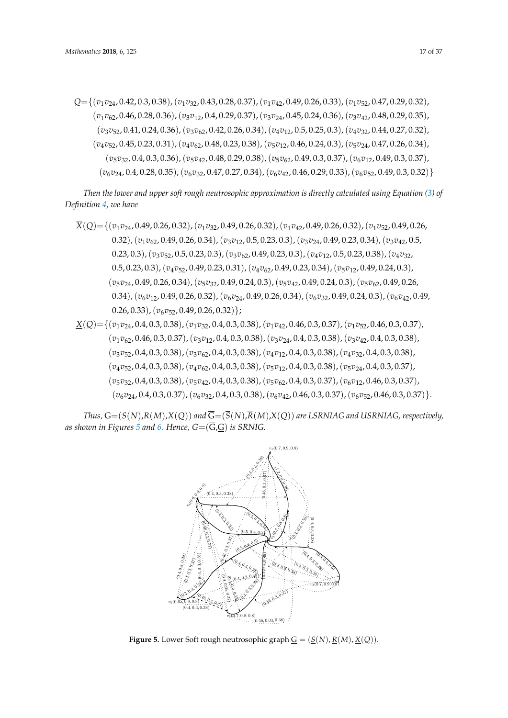*Q*={(*v*1*v*24, 0.42, 0.3, 0.38),(*v*1*v*32, 0.43, 0.28, 0.37),(*v*1*v*42, 0.49, 0.26, 0.33),(*v*1*v*52, 0.47, 0.29, 0.32), (*v*1*v*62, 0.46, 0.28, 0.36),(*v*3*v*12, 0.4, 0.29, 0.37),(*v*3*v*24, 0.45, 0.24, 0.36),(*v*3*v*42, 0.48, 0.29, 0.35), (*v*3*v*52, 0.41, 0.24, 0.36),(*v*3*v*62, 0.42, 0.26, 0.34),(*v*4*v*12, 0.5, 0.25, 0.3),(*v*4*v*32, 0.44, 0.27, 0.32), (*v*4*v*52, 0.45, 0.23, 0.31),(*v*4*v*62, 0.48, 0.23, 0.38),(*v*5*v*12, 0.46, 0.24, 0.3),(*v*5*v*24, 0.47, 0.26, 0.34), (*v*5*v*32, 0.4, 0.3, 0.36),(*v*5*v*42, 0.48, 0.29, 0.38),(*v*5*v*62, 0.49, 0.3, 0.37),(*v*6*v*12, 0.49, 0.3, 0.37), (*v*6*v*24, 0.4, 0.28, 0.35),(*v*6*v*32, 0.47, 0.27, 0.34),(*v*6*v*42, 0.46, 0.29, 0.33),(*v*6*v*52, 0.49, 0.3, 0.32)}

*Then the lower and upper soft rough neutrosophic approximation is directly calculated using Equation [\(3\)](#page-4-1) of Definition [4,](#page-4-0) we have*

- *X*(*Q*)={(*v*1*v*24, 0.49, 0.26, 0.32),(*v*1*v*32, 0.49, 0.26, 0.32),(*v*1*v*42, 0.49, 0.26, 0.32),(*v*1*v*52, 0.49, 0.26, 0.32),(*v*1*v*62, 0.49, 0.26, 0.34),(*v*3*v*12, 0.5, 0.23, 0.3),(*v*3*v*24, 0.49, 0.23, 0.34),(*v*3*v*42, 0.5, 0.23, 0.3),(*v*3*v*52, 0.5, 0.23, 0.3),(*v*3*v*62, 0.49, 0.23, 0.3),(*v*4*v*12, 0.5, 0.23, 0.38),(*v*4*v*32, 0.5, 0.23, 0.3),(*v*4*v*52, 0.49, 0.23, 0.31),(*v*4*v*62, 0.49, 0.23, 0.34),(*v*5*v*12, 0.49, 0.24, 0.3), (*v*5*v*24, 0.49, 0.26, 0.34),(*v*5*v*32, 0.49, 0.24, 0.3),(*v*5*v*42, 0.49, 0.24, 0.3),(*v*5*v*62, 0.49, 0.26, 0.34),(*v*6*v*12, 0.49, 0.26, 0.32),(*v*6*v*24, 0.49, 0.26, 0.34),(*v*6*v*32, 0.49, 0.24, 0.3),(*v*6*v*42, 0.49, 0.26, 0.33),(*v*6*v*52, 0.49, 0.26, 0.32)};
- *X*(*Q*)={(*v*1*v*24, 0.4, 0.3, 0.38),(*v*1*v*32, 0.4, 0.3, 0.38),(*v*1*v*42, 0.46, 0.3, 0.37),(*v*1*v*52, 0.46, 0.3, 0.37), (*v*1*v*62, 0.46, 0.3, 0.37),(*v*3*v*12, 0.4, 0.3, 0.38),(*v*3*v*24, 0.4, 0.3, 0.38),(*v*3*v*42, 0.4, 0.3, 0.38), (*v*3*v*52, 0.4, 0.3, 0.38),(*v*3*v*62, 0.4, 0.3, 0.38),(*v*4*v*12, 0.4, 0.3, 0.38),(*v*4*v*32, 0.4, 0.3, 0.38), (*v*4*v*52, 0.4, 0.3, 0.38),(*v*4*v*62, 0.4, 0.3, 0.38),(*v*5*v*12, 0.4, 0.3, 0.38),(*v*5*v*24, 0.4, 0.3, 0.37), (*v*5*v*32, 0.4, 0.3, 0.38),(*v*5*v*42, 0.4, 0.3, 0.38),(*v*5*v*62, 0.4, 0.3, 0.37),(*v*6*v*12, 0.46, 0.3, 0.37), (*v*6*v*24, 0.4, 0.3, 0.37),(*v*6*v*32, 0.4, 0.3, 0.38),(*v*6*v*42, 0.46, 0.3, 0.37),(*v*6*v*52, 0.46, 0.3, 0.37)}.

<span id="page-16-0"></span>*Thus,*  $G = (S(N), R(M), X(Q))$  *and*  $\overline{G} = (\overline{S}(N), \overline{R}(M), X(Q))$  *are LSRNIAG and USRNIAG, respectively,* as shown in Figures [5](#page-16-0) and [6.](#page-17-0) Hence,  $G = (\overline{G},G)$  is SRNIG.



**Figure 5.** Lower Soft rough neutrosophic graph  $\underline{G} = (\underline{S}(N), \underline{R}(M), \underline{X}(Q)).$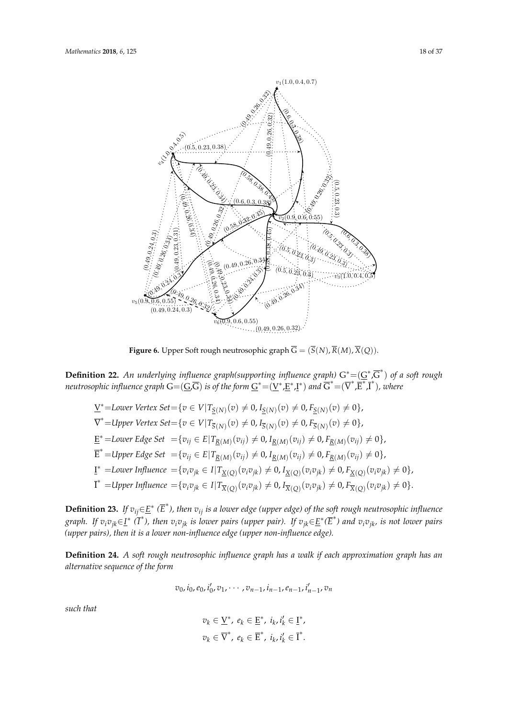<span id="page-17-0"></span>

**Figure 6.** Upper Soft rough neutrosophic graph  $G = (S(N), R(M), X(Q)).$ 

**Definition** 22. An underlying influence graph(supporting influence graph)  $G^* = (G^*, G^-)$  of a sequently negatively in the sequent sequent in the set of the form  $G^* = (\underline{V}^*, \underline{E}^*, \underline{I}^*)$  and  $\overline{G}^* = (\overline{V}^*, \overline{E}^*, \over$ **Definition 22.** An underlying influence graph(supporting influence graph)  $G^* = (\underline{G}^*, \overline{G}^*)$  of a soft rough

$$
\underline{V}^* = \text{Lower Vertex Set} = \{v \in V | T_{\underline{S}(N)}(v) \neq 0, I_{\underline{S}(N)}(v) \neq 0, F_{\underline{S}(N)}(v) \neq 0\},
$$
\n
$$
\overline{V}^* = \text{Upper Vertex Set} = \{v \in V | T_{\overline{S}(N)}(v) \neq 0, I_{\overline{S}(N)}(v) \neq 0, F_{\overline{S}(N)}(v) \neq 0\},
$$
\n
$$
\underline{E}^* = \text{Lower Edge Set} = \{v_{ij} \in E | T_{\underline{R}(M)}(v_{ij}) \neq 0, I_{\underline{R}(M)}(v_{ij}) \neq 0, F_{\underline{R}(M)}(v_{ij}) \neq 0\},
$$
\n
$$
\overline{E}^* = \text{Upper Edge Set} = \{v_{ij} \in E | T_{\underline{R}(M)}(v_{ij}) \neq 0, I_{\underline{R}(M)}(v_{ij}) \neq 0, F_{\underline{R}(M)}(v_{ij}) \neq 0\},
$$
\n
$$
\underline{I}^* = \text{Lower Influence} = \{v_{i}v_{jk} \in I | T_{\underline{X}(Q)}(v_{i}v_{jk}) \neq 0, I_{\underline{X}(Q)}(v_{i}v_{jk}) \neq 0, F_{\underline{X}(Q)}(v_{i}v_{jk}) \neq 0\},
$$
\n
$$
\overline{I}^* = \text{Upper Influence} = \{v_{i}v_{jk} \in I | T_{\overline{X}(Q)}(v_{i}v_{jk}) \neq 0, I_{\overline{X}(Q)}(v_{i}v_{jk}) \neq 0, F_{\overline{X}(Q)}(v_{i}v_{jk}) \neq 0\}.
$$

**Definition 23.** If  $v_{ij} \in \underline{E}^*$  ( $\overline{E}^*$ ), then  $v_{ij}$  is a lower edge (upper edge) of the soft rough neutrosophic influence graph. If  $v_iv_{jk} \in \underline{I}^*$  ( $\overline{I}^*$ ), then  $v_iv_{jk}$  is lower pairs (upper pair). If  $v_{jk} \in \underline{E}^*(\overline{E}^*)$  and  $v_iv_{jk}$ , is not lower pairs  $(upper pairs)$ , then it is a lower non-influence edge (upper non-influence edge).

**Dennition 24.** A soft rough *r*<br>alternative sequence of the form **Definition 24.** *A soft rough neutrosophic influence graph has a walk if each approximation graph has an*<br>alternative assumes of the form

$$
v_0
$$
,  $i_0$ ,  $e_0$ ,  $i'_0$ ,  $v_1$ ,  $\cdots$ ,  $v_{n-1}$ ,  $i_{n-1}$ ,  $e_{n-1}$ ,  $i'_{n-1}$ ,  $v_n$ 

*such that*

$$
v_k \in \underline{V}^*, e_k \in \underline{E}^*, i_k, i'_k \in \underline{I}^*,
$$
  

$$
v_k \in \overline{V}^*, e_k \in \overline{E}^*, i_k, i'_k \in \overline{I}^*.
$$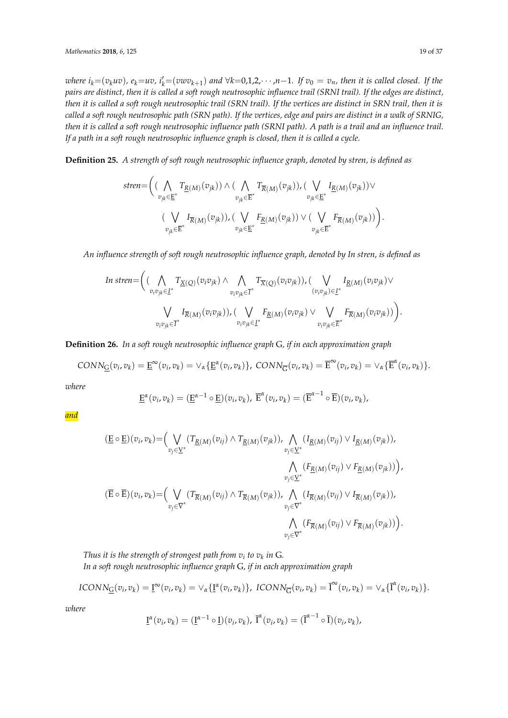where  $i_k = (v_k u v)$ ,  $e_k = uv$ ,  $i'_k = (vwv_{k+1})$  and  $\forall k = 0,1,2,\cdots,n-1$ . If  $v_0 = v_n$ , then it is called closed. If the *pairs are distinct, then it is called a soft rough neutrosophic influence trail (SRNI trail). If the edges are distinct, then it is called a soft rough neutrosophic trail (SRN trail). If the vertices are distinct in SRN trail, then it is called a soft rough neutrosophic path (SRN path). If the vertices, edge and pairs are distinct in a walk of SRNIG, then it is called a soft rough neutrosophic influence path (SRNI path). A path is a trail and an influence trail. If a path in a soft rough neutrosophic influence graph is closed, then it is called a cycle.*

**Definition 25.** *A strength of soft rough neutrosophic influence graph, denoted by stren, is defined as*

$$
\text{stren} = \Big( \big( \bigwedge_{v_{jk} \in \mathbb{E}^*} T_{\underline{R}(M)}(v_{jk}) \big) \wedge \big( \bigwedge_{v_{jk} \in \mathbb{E}^*} T_{\overline{R}(M)}(v_{jk}) \big), \big( \bigvee_{v_{jk} \in \mathbb{E}^*} I_{\underline{R}(M)}(v_{jk}) \big) \vee \\ \big( \bigvee_{v_{jk} \in \mathbb{E}^*} I_{\overline{R}(M)}(v_{jk}) \big), \big( \bigvee_{v_{jk} \in \mathbb{E}^*} F_{\underline{R}(M)}(v_{jk}) \big) \vee \big( \bigvee_{v_{jk} \in \mathbb{E}^*} F_{\overline{R}(M)}(v_{jk}) \big) \Big).
$$

*An influence strength of soft rough neutrosophic influence graph, denoted by In stren, is defined as*

In 
$$
\text{In } \text{stren} = \Big( \big( \bigwedge_{v_i v_{jk} \in \underline{I}^*} T_{\underline{X}(Q)}(v_i v_{jk}) \wedge \bigwedge_{v_i v_{jk} \in \overline{I}^*} T_{\overline{X}(Q)}(v_i v_{jk}) \big) , \big( \bigvee_{(v_i v_{jk}) \in \underline{I}^*} I_{\underline{R}(M)}(v_i v_{jk}) \vee \\ \bigvee_{v_i v_{jk} \in \overline{I}^*} I_{\overline{R}(M)}(v_i v_{jk}) \big) , \big( \bigvee_{v_i v_{jk} \in \underline{I}^*} F_{\underline{R}(M)}(v_i v_{jk}) \vee \bigvee_{v_i v_{jk} \in \overline{E}^*} F_{\overline{R}(M)}(v_i v_{jk}) \big) \Big).
$$

**Definition 26.** *In a soft rough neutrosophic influence graph* G*, if in each approximation graph*

$$
CONN_{\underline{G}}(v_i,v_k) = \underline{E}^{\infty}(v_i,v_k) = \vee_{\alpha} {\underline{E}^{\alpha}(v_i,v_k)},\; CONN_{\overline{G}}(v_i,v_k) = \overline{E}^{\infty}(v_i,v_k) = \vee_{\alpha} {\overline{E}^{\alpha}(v_i,v_k)}.
$$

*where*

$$
\underline{\mathrm{E}}^{\alpha}(v_i,v_k)=(\underline{\mathrm{E}}^{\alpha-1}\circ\underline{\mathrm{E}})(v_i,v_k),\ \overline{\mathrm{E}}^{\alpha}(v_i,v_k)=(\overline{\mathrm{E}}^{\alpha-1}\circ\overline{\mathrm{E}})(v_i,v_k),
$$

*and*

$$
(\underline{E} \circ \underline{E})(v_i, v_k) = \Big( \bigvee_{v_j \in \underline{V}^*} (T_{\underline{R}(M)}(v_{ij}) \wedge T_{\underline{R}(M)}(v_{jk})), \bigwedge_{v_j \in \underline{V}^*} (I_{\underline{R}(M)}(v_{ij}) \vee I_{\underline{R}(M)}(v_{jk})),
$$
  

$$
\bigwedge_{v_j \in \underline{V}^*} (F_{\underline{R}(M)}(v_{ij}) \vee F_{\underline{R}(M)}(v_{jk})) \Big),
$$
  

$$
(\overline{E} \circ \overline{E})(v_i, v_k) = \Big( \bigvee_{v_j \in \overline{V}^*} (T_{\overline{R}(M)}(v_{ij}) \wedge T_{\overline{R}(M)}(v_{jk})), \bigwedge_{v_j \in \overline{V}^*} (I_{\overline{R}(M)}(v_{ij}) \vee I_{\overline{R}(M)}(v_{jk})),
$$
  

$$
\bigwedge_{v_j \in \overline{V}^*} (F_{\overline{R}(M)}(v_{ij}) \vee F_{\overline{R}(M)}(v_{jk})) \Big).
$$

Thus it is the strength of strongest path from  $v_i$  to  $v_k$  in  $\mathsf{G}.$ *In a soft rough neutrosophic influence graph* G*, if in each approximation graph*

$$
ICONN_{\underline{G}}(v_i,v_k) = \underline{I}^{\infty}(v_i,v_k) = \vee_{\alpha} \{\underline{I}^{\alpha}(v_i,v_k)\}, \ ICONN_{\overline{G}}(v_i,v_k) = \overline{I}^{\infty}(v_i,v_k) = \vee_{\alpha} \{\overline{I}^{\alpha}(v_i,v_k)\}.
$$

*where*

$$
\underline{\mathbf{I}}^{\alpha}(v_i,v_k)=(\underline{\mathbf{I}}^{\alpha-1}\circ\underline{\mathbf{I}})(v_i,v_k),\ \overline{\mathbf{I}}^{\alpha}(v_i,v_k)=(\overline{\mathbf{I}}^{\alpha-1}\circ\overline{\mathbf{I}})(v_i,v_k),
$$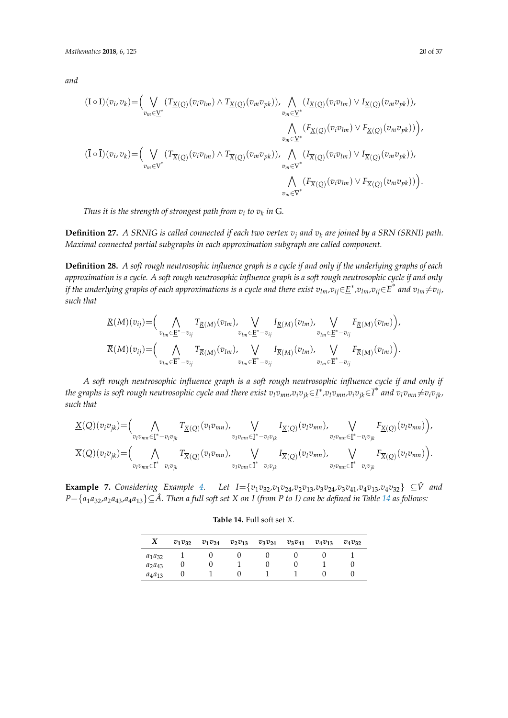*and*

$$
(\underline{\mathbf{I}} \circ \underline{\mathbf{I}})(v_i, v_k) = \Big( \bigvee_{v_m \in \underline{V}^*} (T_{\underline{X}(Q)}(v_i v_{lm}) \wedge T_{\underline{X}(Q)}(v_m v_{pk})), \bigwedge_{v_m \in \underline{V}^*} (I_{\underline{X}(Q)}(v_i v_{lm}) \vee I_{\underline{X}(Q)}(v_m v_{pk})),
$$
  

$$
\bigwedge_{v_m \in \underline{V}^*} (F_{\underline{X}(Q)}(v_i v_{lm}) \vee F_{\underline{X}(Q)}(v_m v_{pk})) \Big),
$$
  

$$
(\overline{\mathbf{I}} \circ \overline{\mathbf{I}})(v_i, v_k) = \Big( \bigvee_{v_m \in \overline{V}^*} (T_{\overline{X}(Q)}(v_i v_{lm}) \wedge T_{\overline{X}(Q)}(v_m v_{pk})), \bigwedge_{v_m \in \overline{V}^*} (I_{\overline{X}(Q)}(v_i v_{lm}) \vee I_{\overline{X}(Q)}(v_m v_{pk})),
$$
  

$$
\bigwedge_{v_m \in \overline{V}^*} (F_{\overline{X}(Q)}(v_i v_{lm}) \vee F_{\overline{X}(Q)}(v_m v_{pk})) \Big).
$$

Thus it is the strength of strongest path from  $v_i$  to  $v_k$  in  $\mathsf{G}.$ 

**Definition 27.** *A SRNIG is called connected if each two vertex*  $v_j$  *and*  $v_k$  *are joined by a SRN (SRNI) path. Maximal connected partial subgraphs in each approximation subgraph are called component.*

**Definition 28.** *A soft rough neutrosophic influence graph is a cycle if and only if the underlying graphs of each approximation is a cycle. A soft rough neutrosophic influence graph is a soft rough neutrosophic cycle if and only* if the underlying graphs of each approximations is a cycle and there exist  $v_{lm}$ , $v_{ij}$  $\in$   $\!E^*$ , $v_{lm}$ , $v_{ij}$   $\in$   $\! \overline{E}^*$  and  $v_{lm}$   $\neq$   $\! v_{ij}$ , *such that*

$$
\underline{R}(M)(v_{ij}) = \Big(\bigwedge_{v_{lm}\in \underline{E}^* - v_{ij}} T_{\underline{R}(M)}(v_{lm}), \bigvee_{v_{lm}\in \underline{E}^* - v_{ij}} I_{\underline{R}(M)}(v_{lm}), \bigvee_{v_{lm}\in \underline{E}^* - v_{ij}} F_{\underline{R}(M)}(v_{lm})\Big),
$$
  

$$
\overline{R}(M)(v_{ij}) = \Big(\bigwedge_{v_{lm}\in \overline{E}^* - v_{ij}} T_{\overline{R}(M)}(v_{lm}), \bigvee_{v_{lm}\in \overline{E}^* - v_{ij}} I_{\overline{R}(M)}(v_{lm}), \bigvee_{v_{lm}\in \overline{E}^* - v_{ij}} F_{\overline{R}(M)}(v_{lm})\Big).
$$

*A soft rough neutrosophic influence graph is a soft rough neutrosophic influence cycle if and only if* the graphs is soft rough neutrosophic cycle and there exist  $v_l v_{mn}$ ,  $v_i v_{jk}$   $\in$  I\* ,  $v_l v_{mn}$ ,  $v_i v_{jk}$   $\in$   $\overline{I}^*$  and  $v_l v_{mn}$   $\neq$   $v_i v_{jk}$ , *such that*

$$
\underline{X}(Q)(v_i v_{jk}) = \Big(\bigwedge_{v_l v_{mn} \in \underline{\mathbf{I}}^* - v_i v_{jk}} T_{\underline{X}(Q)}(v_l v_{mn}) \Big) \bigvee_{v_l v_{mn} \in \underline{\mathbf{I}}^* - v_i v_{jk}} I_{\underline{X}(Q)}(v_l v_{mn}) \Big) \Big(\bigvee_{v_l v_{mn} \in \underline{\mathbf{I}}^* - v_i v_{jk}} F_{\underline{X}(Q)}(v_l v_{mn}) \Big) \Big),
$$
\n
$$
\overline{X}(Q)(v_i v_{jk}) = \Big(\bigwedge_{v_l v_{mn} \in \overline{\mathbf{I}}^* - v_i v_{jk}} T_{\overline{X}(Q)}(v_l v_{mn}) \Big) \bigvee_{v_l v_{mn} \in \overline{\mathbf{I}}^* - v_i v_{jk}} I_{\overline{X}(Q)}(v_l v_{mn}) \Big) \Big(\bigvee_{v_l v_{mn} \in \overline{\mathbf{I}}^* - v_i v_{jk}} F_{\overline{X}(Q)}(v_l v_{mn}) \Big) \Big).
$$

<span id="page-19-0"></span>**Example 7.** Considering Example [4.](#page-9-1) Let  $I = \{v_1v_{32}, v_1v_{24}, v_2v_{13}, v_3v_{24}, v_3v_{41}, v_4v_{13}, v_4v_{32}\}\subseteq \hat{V}$  and  $P = \{a_1a_{32}, a_2a_{43}, a_4a_{13}\} \subseteq \hat{A}$ . Then a full soft set X on I (from P to I) can be defined in Table [14](#page-19-0) as follows:

|   | $v_1v_{32}$ $v_1v_{24}$ $v_2v_{13}$ $v_3v_{24}$ $v_3v_{41}$ |        | $v_4v_{13}$ |
|---|-------------------------------------------------------------|--------|-------------|
| × |                                                             | $\sim$ |             |

**Table 14.** Full soft set *X*.

| A           | $v_1v_{32}$ | $v_1v_{24}$ | $v_2v_{13}$ | $v_3v_{24}$ | $v_3v_{41}$ | $v_4v_{13}$ | $v_4v_{32}$ |
|-------------|-------------|-------------|-------------|-------------|-------------|-------------|-------------|
| $a_1a_{32}$ |             |             |             |             |             |             |             |
| $a_2a_{43}$ |             |             |             |             |             |             |             |
| $a_4a_{13}$ |             |             |             |             |             |             |             |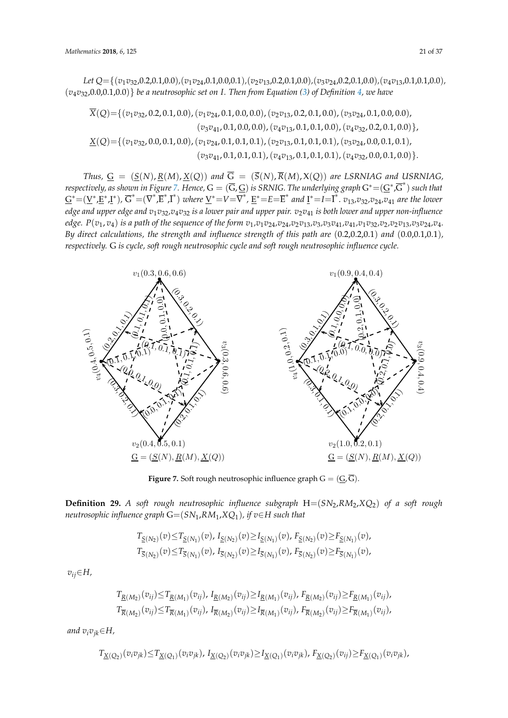*Let Q*={(*v*1*v*32,0.2,0.1,0.0)*,*(*v*1*v*24,0.1,0.0,0.1)*,*(*v*2*v*13,0.2,0.1,0.0)*,*(*v*3*v*24,0.2,0.1,0.0)*,*(*v*4*v*13,0.1,0.1,0.0)*,*  $(v_4v_{32},0.0,0.1,0.0)$ } be a neutrosophic set on I. Then from Equation [\(3\)](#page-4-1) of Definition [4,](#page-4-0) we have

 $\overline{X}(Q)$  = {( $v_1v_{32}$ , 0.2, 0.1, 0.0),( $v_1v_{24}$ , 0.1, 0.0, 0.0),( $v_2v_{13}$ , 0.2, 0.1, 0.0),( $v_3v_{24}$ , 0.1, 0.0, 0.0),  $(v_3v_{41}, 0.1, 0.0, 0.0), (v_4v_{13}, 0.1, 0.1, 0.0), (v_4v_{32}, 0.2, 0.1, 0.0) \},$ *X*(*Q*)={(*v*1*v*32, 0.0, 0.1, 0.0),(*v*1*v*24, 0.1, 0.1, 0.1),(*v*2*v*13, 0.1, 0.1, 0.1),(*v*3*v*24, 0.0, 0.1, 0.1), (*v*3*v*41, 0.1, 0.1, 0.1),(*v*4*v*13, 0.1, 0.1, 0.1),(*v*4*v*32, 0.0, 0.1, 0.0)}.  $\frac{2}{(747)22}$  0 0 0 1 0 0  $\frac{1}{(747)22}$  0 1 0 1 0 1 0 1  $\frac{1}{(727)22}$  0 1 0 1 0 1  $\frac{1}{(727)22}$  0 0 0 1 0 a4a<sup>13</sup> 0 1 0 1 1 0 0

*Thus,*  $G = (S(N), R(M), X(Q))$  and  $\overline{G} = (\overline{S}(N), \overline{R}(M), X(Q))$  are LSRNIAG and USRNIAG, respectively, as shown in Figure 7. Hence,  $G = (\overline{G}, \underline{G})$  is SRNIG. The underlying graph  $G^* = (\underline{G}^*, \overline{G}^*)$  such that  $\underline{G}^* = (\underline{V}^*, \underline{E}^*, \underline{I}^*)$ ,  $\overline{G}^* = (\overline{V}^*, \overline{E}^*, \overline{I}^*)$  where  $\underline{V}^* = V = \overline{V}^*, \underline{E}^* = E = \overline{E}^*$  and  $\underline{I}^* = I = \overline{I}^*$ ,  $v_{13}, v_{32}, v_{24}, v_{41}$  are the lower *edge and upper edge and v*1*v*32*,v*4*v*<sup>32</sup> *is a lower pair and upper pair. v*2*v*<sup>41</sup> *is both lower and upper non-influence* edge.  $P(v_1, v_4)$  is a path of the sequence of the form  $v_1, v_1v_2, v_2v_4, v_2v_1, v_3v_3, v_3v_4$ ,  $v_4, v_1v_3, v_2v_2, v_2v_1, v_3v_2, v_4, v_4$ . By direct calculations, the strength and influence strength of this path are  $(0.2,0.2,0.1)$  and  $(0.0,0.1,0.1)$ , respectively. G is cycle, soft rough neutrosophic cycle and soft rough neutrosophic influence cycle.

<span id="page-20-0"></span>

**Figure 7.** Soft rough neutrosophic influence graph  $G = (G, G)$ .

 $\frac{1}{\text{S}}$  is the very  $\frac{1}{\text{S}}$  is the very manner plus influence energy  $\frac{1}{\text{S}}$  is the very metrosophic influence graph  $G = (SN_1, RM_1, XQ_1)$ , if  $v \in H$  such that **Definition 29.** *A soft rough neutrosophic influence subgraph*  $H=(SN_2, RM_2, XQ_2)$  *of a soft rough* neutrosophic influence oraph  $G=(SN_1, RM_2, XQ_1)$  if  $p \in H$  such that  $2y^2$ ,  $y^3$   $x^2$  are the longer edge and upper edge and v1v32, v4v32,  $\frac{1}{2}$  is a lower pair and upper pair and upper non-

$$
T_{\underline{S}(N_2)}(v) \leq T_{\underline{S}(N_1)}(v), I_{\underline{S}(N_2)}(v) \geq I_{\underline{S}(N_1)}(v), F_{\underline{S}(N_2)}(v) \geq F_{\underline{S}(N_1)}(v),
$$
  

$$
T_{\overline{S}(N_2)}(v) \leq T_{\overline{S}(N_1)}(v), I_{\overline{S}(N_2)}(v) \geq I_{\overline{S}(N_1)}(v), F_{\overline{S}(N_2)}(v) \geq F_{\overline{S}(N_1)}(v),
$$

(0.0,0.1), respectively. G is cycle, soft rough neutrosophic cycle, soft rough neutrosophic influence and soft<br>The cycle and soft rough neutrosophic influence and soft rough neutrosophic influence and soft rough neutrosop  $v_{ij}$ ∈*H*,

$$
T_{\underline{R}(M_2)}(v_{ij}) \leq T_{\underline{R}(M_1)}(v_{ij}), I_{\underline{R}(M_2)}(v_{ij}) \geq I_{\underline{R}(M_1)}(v_{ij}), F_{\underline{R}(M_2)}(v_{ij}) \geq F_{\underline{R}(M_1)}(v_{ij}),
$$
  

$$
T_{\overline{R}(M_2)}(v_{ij}) \leq T_{\overline{R}(M_1)}(v_{ij}), I_{\overline{R}(M_2)}(v_{ij}) \geq I_{\overline{R}(M_1)}(v_{ij}), F_{\overline{R}(M_2)}(v_{ij}) \geq F_{\overline{R}(M_1)}(v_{ij}),
$$

and  $v_iv_{jk}{\in}{H}$ ,

$$
T_{\underline{X}(Q_2)}(v_i v_{jk}) \leq T_{\underline{X}(Q_1)}(v_i v_{jk}), I_{\underline{X}(Q_2)}(v_i v_{jk}) \geq I_{\underline{X}(Q_1)}(v_i v_{jk}), F_{\underline{X}(Q_2)}(v_{ij}) \geq F_{\underline{X}(Q_1)}(v_i v_{jk}),
$$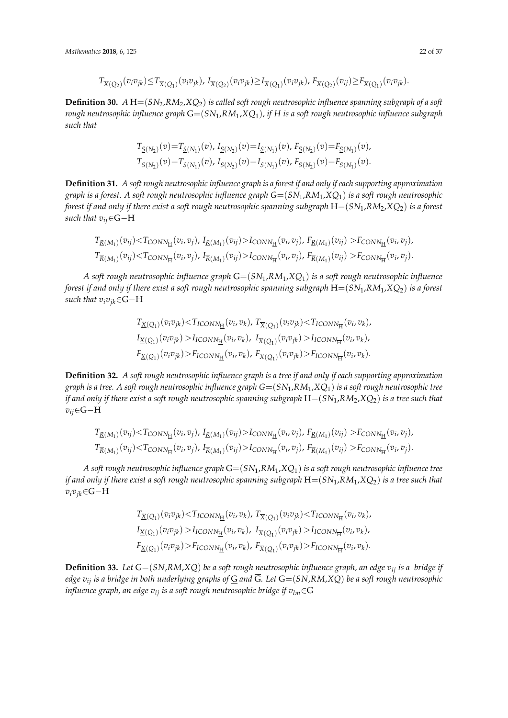$$
T_{\overline{X}(Q_2)}(v_i v_{jk}) \leq T_{\overline{X}(Q_1)}(v_i v_{jk}), I_{\overline{X}(Q_2)}(v_i v_{jk}) \geq I_{\overline{X}(Q_1)}(v_i v_{jk}), F_{\overline{X}(Q_2)}(v_{ij}) \geq F_{\overline{X}(Q_1)}(v_i v_{jk}).
$$

**Definition 30.**  $A H = (SN_2, RM_2, XQ_2)$  *is called soft rough neutrosophic influence spanning subgraph of a soft rough neutrosophic influence graph* G=(*SN*1,*RM*1,*XQ*1)*, if H is a soft rough neutrosophic influence subgraph such that*

$$
T_{\underline{S}(N_2)}(v) = T_{\underline{S}(N_1)}(v), I_{\underline{S}(N_2)}(v) = I_{\underline{S}(N_1)}(v), F_{\underline{S}(N_2)}(v) = F_{\underline{S}(N_1)}(v),
$$
  
\n
$$
T_{\overline{S}(N_2)}(v) = T_{\overline{S}(N_1)}(v), I_{\overline{S}(N_2)}(v) = I_{\overline{S}(N_1)}(v), F_{\overline{S}(N_2)}(v) = F_{\overline{S}(N_1)}(v).
$$

**Definition 31.** *A soft rough neutrosophic influence graph is a forest if and only if each supporting approximation graph is a forest. A soft rough neutrosophic influence graph G*=(*SN*1,*RM*1,*XQ*1) *is a soft rough neutrosophic forest if and only if there exist a soft rough neutrosophic spanning subgraph* H=(*SN*1,*RM*2,*XQ*2) *is a forest such that vij*∈G−H

$$
T_{\underline{R}(M_1)}(v_{ij}) < T_{CONN_{\underline{H}}}(v_i, v_j), I_{\underline{R}(M_1)}(v_{ij}) > I_{CONN_{\underline{H}}}(v_i, v_j), F_{\underline{R}(M_1)}(v_{ij}) > F_{CONN_{\underline{H}}}(v_i, v_j),
$$
\n
$$
T_{\overline{R}(M_1)}(v_{ij}) < T_{CONN_{\overline{H}}}(v_i, v_j), I_{\overline{R}(M_1)}(v_{ij}) > I_{CONN_{\overline{H}}}(v_i, v_j), F_{\overline{R}(M_1)}(v_{ij}) > F_{CONN_{\overline{H}}}(v_i, v_j).
$$

*A soft rough neutrosophic influence graph* G=(*SN*1,*RM*1,*XQ*1) *is a soft rough neutrosophic influence forest if and only if there exist a soft rough neutrosophic spanning subgraph* H=(*SN*1,*RM*1,*XQ*2) *is a forest such that*  $v_i v_{ik} \in G - H$ 

$$
T_{\underline{X}(Q_1)}(v_i v_{jk}) < T_{ICONN_{\underline{H}}}(v_i, v_k), \ T_{\overline{X}(Q_1)}(v_i v_{jk}) < T_{ICONN_{\overline{H}}}(v_i, v_k),
$$
\n
$$
I_{\underline{X}(Q_1)}(v_i v_{jk}) > I_{ICONN_{\underline{H}}}(v_i, v_k), \ I_{\overline{X}(Q_1)}(v_i v_{jk}) > I_{ICONN_{\overline{H}}}(v_i, v_k),
$$
\n
$$
F_{\underline{X}(Q_1)}(v_i v_{jk}) > F_{ICONN_{\underline{H}}}(v_i, v_k), \ F_{\overline{X}(Q_1)}(v_i v_{jk}) > F_{ICONN_{\overline{H}}}(v_i, v_k).
$$

**Definition 32.** *A soft rough neutrosophic influence graph is a tree if and only if each supporting approximation graph is a tree. A soft rough neutrosophic influence graph G*=(*SN*1,*RM*1,*XQ*1) *is a soft rough neutrosophic tree if and only if there exist a soft rough neutrosophic spanning subgraph* H=(*SN*1,*RM*2,*XQ*2) *is a tree such that*  $v_{ii}$ ∈G−H

$$
T_{\underline{R}(M_1)}(v_{ij}) < T_{\text{CONN}_{\underline{H}}}(v_i, v_j), \ I_{\underline{R}(M_1)}(v_{ij}) > I_{\text{CONN}_{\underline{H}}}(v_i, v_j), \ F_{\underline{R}(M_1)}(v_{ij}) > F_{\text{CONN}_{\underline{H}}}(v_i, v_j),
$$
\n
$$
T_{\overline{R}(M_1)}(v_{ij}) < T_{\text{CONN}_{\overline{H}}}(v_i, v_j), \ I_{\overline{R}(M_1)}(v_{ij}) > I_{\text{CONN}_{\overline{H}}}(v_i, v_j) \text{, } F_{\overline{R}(M_1)}(v_{ij}) > F_{\text{CONN}_{\overline{H}}}(v_i, v_j).
$$

*A soft rough neutrosophic influence graph* G=(*SN*1,*RM*1,*XQ*1) *is a soft rough neutrosophic influence tree if and only if there exist a soft rough neutrosophic spanning subgraph* H=(*SN*1,*RM*1,*XQ*2) *is a tree such that vivjk*∈G−H

$$
T_{\underline{X}(Q_1)}(v_i v_{jk}) < T_{ICONN_{\underline{H}}}(v_i, v_k), T_{\overline{X}(Q_1)}(v_i v_{jk}) < T_{ICONN_{\overline{H}}}(v_i, v_k),
$$
\n
$$
I_{\underline{X}(Q_1)}(v_i v_{jk}) > I_{ICONN_{\underline{H}}}(v_i, v_k), I_{\overline{X}(Q_1)}(v_i v_{jk}) > I_{ICONN_{\overline{H}}}(v_i, v_k),
$$
\n
$$
F_{\underline{X}(Q_1)}(v_i v_{jk}) > F_{ICONN_{\underline{H}}}(v_i, v_k), F_{\overline{X}(Q_1)}(v_i v_{jk}) > F_{ICONN_{\overline{H}}}(v_i, v_k).
$$

**Definition 33.** *Let* G=(*SN*,*RM*,*XQ*) *be a soft rough neutrosophic influence graph, an edge vij is a bridge if edge*  $v_{ij}$  *is a bridge in both underlying graphs of*  $G$  *and*  $\overline{G}$ *. Let*  $G = (SN, RM, XQ)$  *be a soft rough neutrosophic influence graph, an edge vij is a soft rough neutrosophic bridge if vlm*∈G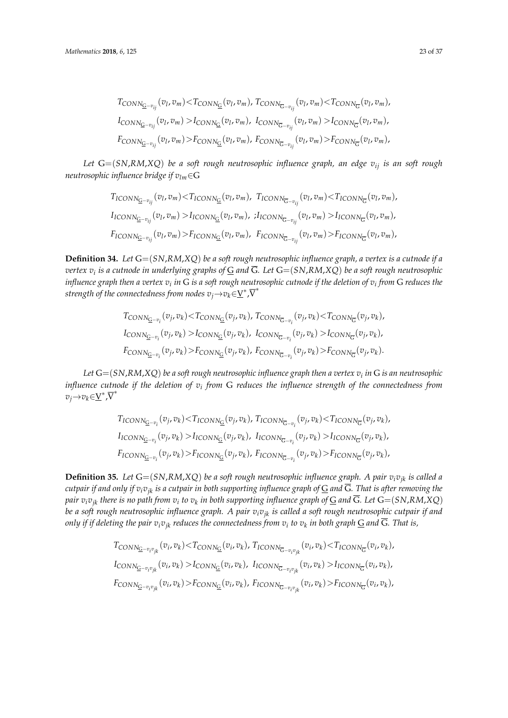$$
T_{CONN_{\bar{G}}-v_{ij}}(v_l, v_m) < T_{CONN_{\bar{G}}}(v_l, v_m), T_{CONN_{\bar{G}}-v_{ij}}(v_l, v_m) < T_{CONN_{\bar{G}}}(v_l, v_m),
$$
  
\n
$$
I_{CONN_{\bar{G}}-v_{ij}}(v_l, v_m) > I_{CONN_{\bar{G}}}(v_l, v_m), I_{CONN_{\bar{G}}-v_{ij}}(v_l, v_m) > I_{CONN_{\bar{G}}}(v_l, v_m),
$$
  
\n
$$
F_{CONN_{\bar{G}}-v_{ij}}(v_l, v_m) > F_{CONN_{\bar{G}}}(v_l, v_m), F_{CONN_{\bar{G}}-v_{ij}}(v_l, v_m) > F_{CONN_{\bar{G}}}(v_l, v_m),
$$

*Let* G=(*SN*,*RM*,*XQ*) *be a soft rough neutrosophic influence graph, an edge vij is an soft rough neutrosophic influence bridge if vlm*∈G

$$
T_{ICONN_{\overline{G}}-v_{ij}}(v_l, v_m) < T_{ICONN_{\overline{G}}}(v_l, v_m), T_{ICONN_{\overline{G}}-v_{ij}}(v_l, v_m) < T_{ICONN_{\overline{G}}}(v_l, v_m),
$$
  
\n
$$
I_{ICONN_{\overline{G}}-v_{ij}}(v_l, v_m) > I_{ICONN_{\overline{G}}}(v_l, v_m), iI_{ICONN_{\overline{G}}-v_{ij}}(v_l, v_m) > I_{ICONN_{\overline{G}}}(v_l, v_m),
$$
  
\n
$$
F_{ICONN_{\overline{G}}-v_{ij}}(v_l, v_m) > F_{ICONN_{\overline{G}}}(v_l, v_m), F_{ICONN_{\overline{G}}-v_{ij}}(v_l, v_m) > F_{ICONN_{\overline{G}}}(v_l, v_m),
$$

**Definition 34.** *Let* G=(*SN*,*RM*,*XQ*) *be a soft rough neutrosophic influence graph, a vertex is a cutnode if a vertex v<sup>i</sup> is a cutnode in underlying graphs of* G *and* G*. Let* G=(*SN*,*RM*,*XQ*) *be a soft rough neutrosophic influence graph then a vertex*  $v_i$  *in* G is a soft rough neutrosophic cutnode if the deletion of  $v_i$  from G reduces the strength of the connectedness from nodes  $v_j{\rightarrow}v_k{\in}\underline{V}^*$  , $\overline{V}^*$ 

$$
T_{CONN_{\overline{G}-v_i}}(v_j, v_k) < T_{CONN_{\overline{G}}}(v_j, v_k), T_{CONN_{\overline{G}-v_i}}(v_j, v_k) < T_{CONN_{\overline{G}}}(v_j, v_k),
$$
  
\n
$$
I_{CONN_{\overline{G}-v_i}}(v_j, v_k) > I_{CONN_{\overline{G}}}(v_j, v_k), I_{CONN_{\overline{G}-v_i}}(v_j, v_k) > I_{CONN_{\overline{G}}}(v_j, v_k),
$$
  
\n
$$
F_{CONN_{\overline{G}-v_i}}(v_j, v_k) > F_{CONN_{\overline{G}}}(v_j, v_k), F_{CONN_{\overline{G}-v_i}}(v_j, v_k) > F_{CONN_{\overline{G}}}(v_j, v_k).
$$

*Let* G=(*SN*,*RM*,*XQ*) *be a soft rough neutrosophic influence graph then a vertex v<sup>i</sup> in* G *is an neutrosophic influence cutnode if the deletion of v<sup>i</sup> from* G *reduces the influence strength of the connectedness from*  $v_j \rightarrow v_k \in \underline{V}^*, \overline{V}^*$ 

$$
T_{ICONN_{\overline{G}-v_i}}(v_j, v_k) < T_{ICONN_{\overline{G}}}(v_j, v_k), T_{ICONN_{\overline{G}-v_i}}(v_j, v_k) < T_{ICONN_{\overline{G}}}(v_j, v_k),
$$
  
\n
$$
I_{ICONN_{\overline{G}-v_i}}(v_j, v_k) > I_{ICONN_{\overline{G}}}(v_j, v_k), I_{ICONN_{\overline{G}-v_i}}(v_j, v_k) > I_{ICONN_{\overline{G}}}(v_j, v_k),
$$
  
\n
$$
F_{ICONN_{\overline{G}-v_i}}(v_j, v_k) > F_{ICONN_{\overline{G}}}(v_j, v_k), F_{ICONN_{\overline{G}-v_i}}(v_j, v_k) > F_{ICONN_{\overline{G}}}(v_j, v_k),
$$

**Definition 35.** *Let* G=(*SN*,*RM*,*XQ*) *be a soft rough neutrosophic influence graph. A pair vivjk is called a cutpair if and only if*  $v_i v_{jk}$  *is a cutpair in both supporting influence graph of*  $G$  *and*  $\overline{G}$ *. That is after removing the pair*  $v_iv_{jk}$  there is no path from  $v_i$  to  $v_k$  in both supporting influence graph of  $\subseteq$  and  $G$ . Let  $G{=}(SN, RM, XQ)$ *be a soft rough neutrosophic influence graph. A pair vivjk is called a soft rough neutrosophic cutpair if and only if if deleting the pair vivjk reduces the connectedness from v<sup>i</sup> to v<sup>k</sup> in both graph* G *and* G*. That is,*

$$
T_{\text{CONN}_{\overline{G}} - v_i v_{jk}}(v_i, v_k) < T_{\text{CONN}_{\overline{G}}}(v_i, v_k), T_{\text{ICONN}_{\overline{G}} - v_i v_{jk}}(v_i, v_k) < T_{\text{ICONN}_{\overline{G}}}(v_i, v_k),
$$
\n
$$
I_{\text{CONN}_{\overline{G}} - v_i v_{jk}}(v_i, v_k) > I_{\text{CONN}_{\overline{G}}}(v_i, v_k), I_{\text{ICONN}_{\overline{G}} - v_i v_{jk}}(v_i, v_k) > I_{\text{ICONN}_{\overline{G}}}(v_i, v_k),
$$
\n
$$
F_{\text{CONN}_{\overline{G}} - v_i v_{jk}}(v_i, v_k) > F_{\text{CONN}_{\overline{G}}}(v_i, v_k), F_{\text{ICONN}_{\overline{G}} - v_i v_{jk}}(v_i, v_k) > F_{\text{ICONN}_{\overline{G}}}(v_i, v_k),
$$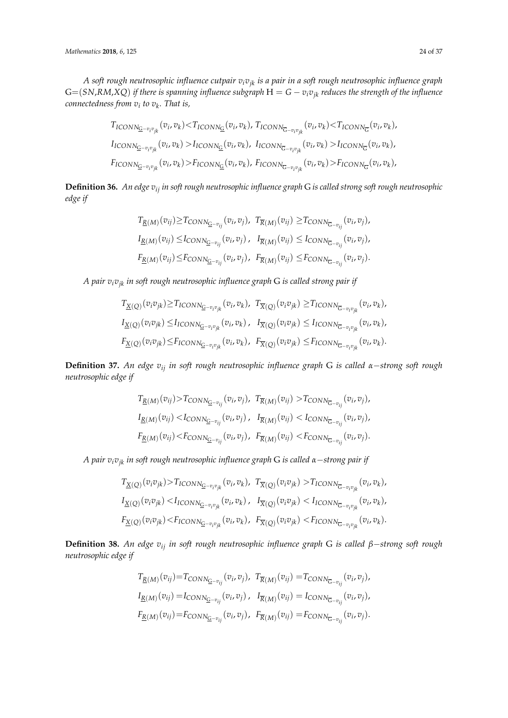*A soft rough neutrosophic influence cutpair vivjk is a pair in a soft rough neutrosophic influence graph*  $G=(SN, RM, XQ)$  *if there is spanning influence subgraph*  $H = G - v_i v_{ik}$  *reduces the strength of the influence connectedness from v<sup>i</sup> to v<sup>k</sup> . That is,*

$$
T_{ICONN_{\overline{G}}-v_iv_{jk}}(v_i, v_k) < T_{ICONN_{\overline{G}}}(v_i, v_k), T_{ICONN_{\overline{G}}-v_iv_{jk}}(v_i, v_k) < T_{ICONN_{\overline{G}}}(v_i, v_k),
$$
  
\n
$$
I_{ICONN_{\overline{G}}-v_iv_{jk}}(v_i, v_k) > I_{ICONN_{\overline{G}}}(v_i, v_k), I_{ICONN_{\overline{G}}-v_iv_{jk}}(v_i, v_k) > I_{ICONN_{\overline{G}}}(v_i, v_k),
$$
  
\n
$$
F_{ICONN_{\overline{G}}-v_iv_{jk}}(v_i, v_k) > F_{ICONN_{\overline{G}}}(v_i, v_k), F_{ICONN_{\overline{G}}-v_iv_{jk}}(v_i, v_k) > F_{ICONN_{\overline{G}}}(v_i, v_k),
$$

**Definition 36.** *An edge vij in soft rough neutrosophic influence graph* G *is called strong soft rough neutrosophic edge if*

$$
T_{\underline{R}(M)}(v_{ij}) \geq T_{CONN_{\underline{G}-v_{ij}}}(v_i, v_j), \ T_{\overline{R}(M)}(v_{ij}) \geq T_{CONN_{\overline{G}-v_{ij}}}(v_i, v_j),
$$
  
\n
$$
I_{\underline{R}(M)}(v_{ij}) \leq I_{CONN_{\overline{G}-v_{ij}}}(v_i, v_j), \ I_{\overline{R}(M)}(v_{ij}) \leq I_{CONN_{\overline{G}-v_{ij}}}(v_i, v_j),
$$
  
\n
$$
F_{\underline{R}(M)}(v_{ij}) \leq F_{CONN_{\overline{G}-v_{ij}}}(v_i, v_j), \ F_{\overline{R}(M)}(v_{ij}) \leq F_{CONN_{\overline{G}-v_{ij}}}(v_i, v_j).
$$

*A pair vivjk in soft rough neutrosophic influence graph* G *is called strong pair if*

$$
T_{\underline{X}(Q)}(v_i v_{jk}) \geq T_{ICONN_{\underline{G}-v_i v_{jk}}}(v_i, v_k), T_{\overline{X}(Q)}(v_i v_{jk}) \geq T_{ICONN_{\overline{G}-v_i v_{jk}}}(v_i, v_k),
$$
  
\n
$$
I_{\underline{X}(Q)}(v_i v_{jk}) \leq I_{ICONN_{\overline{G}-v_i v_{jk}}}(v_i, v_k), I_{\overline{X}(Q)}(v_i v_{jk}) \leq I_{ICONN_{\overline{G}-v_i v_{jk}}}(v_i, v_k),
$$
  
\n
$$
F_{\underline{X}(Q)}(v_i v_{jk}) \leq F_{ICONN_{\overline{G}-v_i v_{jk}}}(v_i, v_k), F_{\overline{X}(Q)}(v_i v_{jk}) \leq F_{ICONN_{\overline{G}-v_i v_{jk}}}(v_i, v_k).
$$

**Definition 37.** *An edge vij in soft rough neutrosophic influence graph* G *is called α*−*strong soft rough neutrosophic edge if*

$$
T_{\underline{R}(M)}(v_{ij}) > T_{CONN_{\underline{G}-v_{ij}}}(v_i, v_j), \ T_{\overline{R}(M)}(v_{ij}) > T_{CONN_{\overline{G}-v_{ij}}}(v_i, v_j),
$$
  
\n
$$
I_{\underline{R}(M)}(v_{ij}) < I_{CONN_{\overline{G}-v_{ij}}}(v_i, v_j), \ I_{\overline{R}(M)}(v_{ij}) < I_{CONN_{\overline{G}-v_{ij}}}(v_i, v_j),
$$
  
\n
$$
F_{\underline{R}(M)}(v_{ij}) < F_{CONN_{\overline{G}-v_{ij}}}(v_i, v_j), \ F_{\overline{R}(M)}(v_{ij}) < F_{CONN_{\overline{G}-v_{ij}}}(v_i, v_j).
$$

*A pair vivjk in soft rough neutrosophic influence graph* G *is called α*−*strong pair if*

$$
T_{\underline{X}(Q)}(v_i v_{jk}) > T_{ICONN_{\underline{G}-v_i v_{jk}}}(v_i, v_k), T_{\overline{X}(Q)}(v_i v_{jk}) > T_{ICONN_{\overline{G}-v_i v_{jk}}}(v_i, v_k),
$$
  
\n
$$
I_{\underline{X}(Q)}(v_i v_{jk}) < I_{ICONN_{\overline{G}-v_i v_{jk}}}(v_i, v_k), T_{\overline{X}(Q)}(v_i v_{jk}) < I_{ICONN_{\overline{G}-v_i v_{jk}}}(v_i, v_k),
$$
  
\n
$$
F_{\underline{X}(Q)}(v_i v_{jk}) < F_{ICONN_{\overline{G}-v_i v_{jk}}}(v_i, v_k), F_{\overline{X}(Q)}(v_i v_{jk}) < F_{ICONN_{\overline{G}-v_i v_{jk}}}(v_i, v_k).
$$

**Definition 38.** *An edge vij in soft rough neutrosophic influence graph* G *is called β*−*strong soft rough neutrosophic edge if*

$$
T_{\underline{R}(M)}(v_{ij}) = T_{\text{CONN}_{\underline{G}-v_{ij}}}(v_i, v_j), \ T_{\overline{R}(M)}(v_{ij}) = T_{\text{CONN}_{\overline{G}-v_{ij}}}(v_i, v_j),
$$
  
\n
$$
I_{\underline{R}(M)}(v_{ij}) = I_{\text{CONN}_{\overline{G}-v_{ij}}}(v_i, v_j), \ I_{\overline{R}(M)}(v_{ij}) = I_{\text{CONN}_{\overline{G}-v_{ij}}}(v_i, v_j),
$$
  
\n
$$
F_{\underline{R}(M)}(v_{ij}) = F_{\text{CONN}_{\overline{G}-v_{ij}}}(v_i, v_j), \ F_{\overline{R}(M)}(v_{ij}) = F_{\text{CONN}_{\overline{G}-v_{ij}}}(v_i, v_j).
$$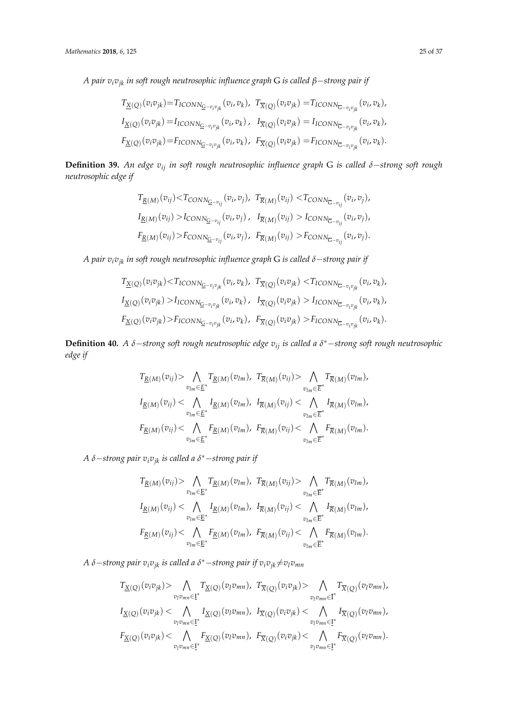*A pair vivjk in soft rough neutrosophic influence graph* G *is called β*−*strong pair if*

$$
T_{\underline{X}(Q)}(v_i v_{jk}) = T_{ICONN_{\underline{G}-v_i v_{jk}}}(v_i, v_k), T_{\overline{X}(Q)}(v_i v_{jk}) = T_{ICONN_{\overline{G}-v_i v_{jk}}}(v_i, v_k),
$$
  
\n
$$
I_{\underline{X}(Q)}(v_i v_{jk}) = I_{ICONN_{\overline{G}-v_i v_{jk}}}(v_i, v_k), I_{\overline{X}(Q)}(v_i v_{jk}) = I_{ICONN_{\overline{G}-v_i v_{jk}}}(v_i, v_k),
$$
  
\n
$$
F_{\underline{X}(Q)}(v_i v_{jk}) = F_{ICONN_{\overline{G}-v_i v_{jk}}}(v_i, v_k), F_{\overline{X}(Q)}(v_i v_{jk}) = F_{ICONN_{\overline{G}-v_i v_{jk}}}(v_i, v_k).
$$

**Definition 39.** *An edge vij in soft rough neutrosophic influence graph* G *is called δ*−*strong soft rough neutrosophic edge if*

$$
T_{\underline{R}(M)}(v_{ij}) < T_{\text{CONN}_{\overline{G}-v_{ij}}}(v_i, v_j), \quad T_{\overline{R}(M)}(v_{ij}) < T_{\text{CONN}_{\overline{G}-v_{ij}}}(v_i, v_j),
$$
\n
$$
I_{\underline{R}(M)}(v_{ij}) > I_{\text{CONN}_{\overline{G}-v_{ij}}}(v_i, v_j), \quad I_{\overline{R}(M)}(v_{ij}) > I_{\text{CONN}_{\overline{G}-v_{ij}}}(v_i, v_j),
$$
\n
$$
F_{\underline{R}(M)}(v_{ij}) > F_{\text{CONN}_{\overline{G}-v_{ij}}}(v_i, v_j), \quad F_{\overline{R}(M)}(v_{ij}) > F_{\text{CONN}_{\overline{G}-v_{ij}}}(v_i, v_j).
$$

*A pair vivjk in soft rough neutrosophic influence graph* G *is called δ*−*strong pair if*

$$
T_{\underline{X}(Q)}(v_i v_{jk}) < T_{ICONN_{\underline{G}-v_i v_{jk}}}(v_i, v_k), \ T_{\overline{X}(Q)}(v_i v_{jk}) < T_{ICONN_{\overline{G}-v_i v_{jk}}}(v_i, v_k),
$$
\n
$$
I_{\underline{X}(Q)}(v_i v_{jk}) > I_{ICONN_{\overline{G}-v_i v_{jk}}}(v_i, v_k), \ T_{\overline{X}(Q)}(v_i v_{jk}) > I_{ICONN_{\overline{G}-v_i v_{jk}}}(v_i, v_k),
$$
\n
$$
F_{\underline{X}(Q)}(v_i v_{jk}) > F_{ICONN_{\overline{G}-v_i v_{jk}}}(v_i, v_k), \ F_{\overline{X}(Q)}(v_i v_{jk}) > F_{ICONN_{\overline{G}-v_i v_{jk}}}(v_i, v_k).
$$

**Definition 40.** *A δ*−*strong soft rough neutrosophic edge vij is called a δ* <sup>∗</sup>−*strong soft rough neutrosophic edge if*

$$
\begin{split} T_{\underline{R}(M)}(v_{ij}) & > \bigwedge_{v_{lm}\in \underline{E}^*} T_{\underline{R}(M)}(v_{lm}), \ T_{\overline{R}(M)}(v_{ij}) & > \bigwedge_{v_{lm}\in \overline{E}^*} T_{\overline{R}(M)}(v_{lm}),\\ I_{\underline{R}(M)}(v_{ij}) & < \bigwedge_{v_{lm}\in \underline{E}^*} I_{\underline{R}(M)}(v_{lm}), \ I_{\overline{R}(M)}(v_{ij}) & < \bigwedge_{v_{lm}\in \overline{E}^*} I_{\overline{R}(M)}(v_{lm}),\\ F_{\underline{R}(M)}(v_{ij}) & < \bigwedge_{v_{lm}\in \underline{E}^*} F_{\underline{R}(M)}(v_{lm}), \ F_{\overline{R}(M)}(v_{ij}) & < \bigwedge_{v_{lm}\in \overline{E}^*} F_{\overline{R}(M)}(v_{lm}). \end{split}
$$

*A δ*−*strong pair vivjk is called a δ* <sup>∗</sup>−*strong pair if*

$$
\begin{aligned} T_{\underline{R}(M)}(v_{ij}) &> \bigwedge_{v_{lm}\in \underline{E}^*} T_{\underline{R}(M)}(v_{lm}), \ T_{\overline{R}(M)}(v_{ij}) &> \bigwedge_{v_{lm}\in \overline{E}^*} T_{\overline{R}(M)}(v_{lm}),\\ I_{\underline{R}(M)}(v_{ij}) &< \bigwedge_{v_{lm}\in \underline{E}^*} I_{\underline{R}(M)}(v_{lm}), \ I_{\overline{R}(M)}(v_{ij}) &< \bigwedge_{v_{lm}\in \overline{E}^*} I_{\overline{R}(M)}(v_{lm}),\\ F_{\underline{R}(M)}(v_{ij}) &< \bigwedge_{v_{lm}\in \underline{E}^*} F_{\underline{R}(M)}(v_{lm}), \ F_{\overline{R}(M)}(v_{ij}) &< \bigwedge_{v_{lm}\in \overline{E}^*} F_{\overline{R}(M)}(v_{lm}). \end{aligned}
$$

*A δ*−*strong pair vivjk is called a δ* <sup>∗</sup>−*strong pair if vivjk*6=*vlvmn*

$$
\begin{split} &T_{\underline{X}(Q)}(v_iv_{jk})> \bigwedge_{v_l v_{mn}\in \underline{\mathbf{I}}^*} T_{\underline{X}(Q)}(v_l v_{mn}), \ T_{\overline{X}(Q)}(v_iv_{jk})> \bigwedge_{v_l v_{mn}\in \overline{\mathbf{I}}^*} T_{\overline{X}(Q)}(v_l v_{mn}),\\ &I_{\underline{X}(Q)}(v_i v_{jk})< \bigwedge_{v_l v_{mn}\in \underline{\mathbf{I}}^*} I_{\underline{X}(Q)}(v_l v_{mn}), \ I_{\overline{X}(Q)}(v_i v_{jk})< \bigwedge_{v_l v_{mn}\in \underline{\mathbf{I}}^*} I_{\overline{X}(Q)}(v_l v_{mn}),\\ &F_{\underline{X}(Q)}(v_i v_{jk})< \bigwedge_{v_l v_{mn}\in \underline{\mathbf{I}}^*} F_{\underline{X}(Q)}(v_l v_{mn}), \ F_{\overline{X}(Q)}(v_i v_{jk})< \bigwedge_{v_l v_{mn}\in \underline{\mathbf{I}}^*} F_{\overline{X}(Q)}(v_l v_{mn}). \end{split}
$$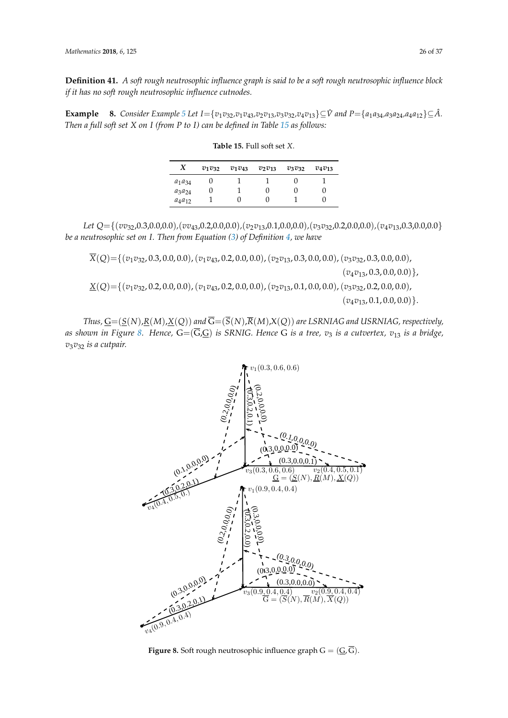**Definition 41.** *A soft rough neutrosophic influence graph is said to be a soft rough neutrosophic influence block if it has no soft rough neutrosophic influence cutnodes.*

<span id="page-25-0"></span>**Example** 8. Consider Example [5](#page-12-2) Let  $I = \{v_1v_{32}, v_1v_{43}, v_2v_{13}, v_3v_{32}, v_4v_{13}\} \subseteq \hat{V}$  and  $P = \{a_1a_{34}, a_3a_{24}, a_4a_{12}\} \subseteq \hat{A}$ . *Then a full soft set X on I (from P to I) can be defined in Table [15](#page-25-0) as follows:*

| X           | $v_1v_{32}$ | $v_1v_{43}$ | $v_2v_{13}$ | $v_3v_{32}$ | $v_4v_{13}$ |
|-------------|-------------|-------------|-------------|-------------|-------------|
| $a_1a_{34}$ |             |             |             |             |             |
| $a_3a_{24}$ | U           |             |             | U           |             |
| $a_4a_{12}$ |             |             |             |             |             |

**Table 15.** Full soft set *X*.

*Let Q*={(*vv*32,0.3,0.0,0.0)*,*(*vv*43,0.2,0.0,0.0)*,*(*v*2*v*13,0.1,0.0,0.0)*,*(*v*3*v*32,0.2,0.0,0.0)*,*(*v*4*v*13,0.3,0.0,0.0} *be a neutrosophic set on I. Then from Equation [\(3\)](#page-4-1) of Definition [4,](#page-4-0) we have*

*X*(*Q*)={(*v*1*v*32, 0.3, 0.0, 0.0),(*v*1*v*43, 0.2, 0.0, 0.0),(*v*2*v*13, 0.3, 0.0, 0.0),(*v*3*v*32, 0.3, 0.0, 0.0),

 $(v_4v_{13}, 0.3, 0.0, 0.0)\},$ 

*X*(*Q*)={(*v*1*v*32, 0.2, 0.0, 0.0),(*v*1*v*43, 0.2, 0.0, 0.0),(*v*2*v*13, 0.1, 0.0, 0.0),(*v*3*v*32, 0.2, 0.0, 0.0),  $(v_{4}v_{13}, 0.1, 0.0, 0.0)\}.$ 

<span id="page-25-1"></span> $\pi$ *Thus,*  $\underline{G} = (\underline{S}(N),\underline{R}(M),\underline{X}(Q))$  and  $G = (S(N),R(M),X(Q))$  are LSRNIAG and USRNIAG, respectively, as shown in Figure [8.](#page-25-1) Hence, G=(G,<u>G</u>) is SRNIG. Hence G is a tree,  $v_3$  is a cutvertex,  $v_{13}$  is a bridge, *v*3*v*<sup>32</sup> *is a cutpair.*  $\frac{\partial V_{\rm{eff}}}{\partial \omega} = \frac{1}{2} \left[ \frac{\partial V_{\rm{eff}}}{\partial \omega} \right] \frac{\partial V_{\rm{eff}}}{\partial \omega}$  $v_3v_{32}$  is a cutpair.



 $F_{\text{max}}$  is a second-neutrosophic influence graph  $G_{\text{max}}$  ( $\subseteq$ )  $\in$ ). **Figure 8.** Soft rough neutrosophic influence graph  $G = (G, \overline{G})$ .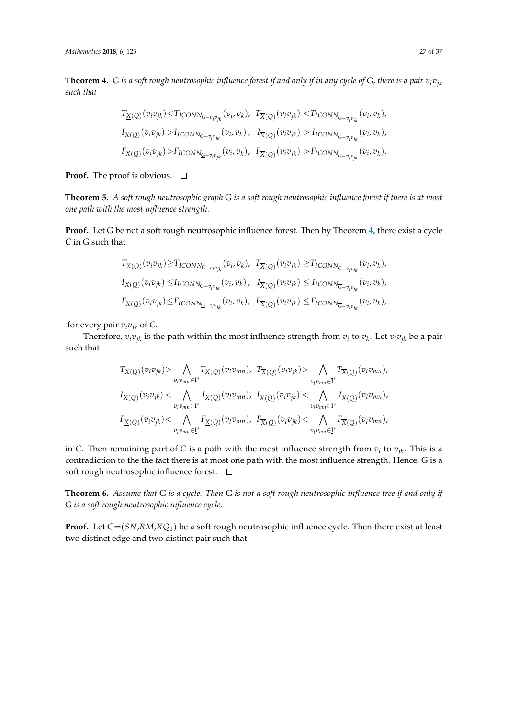<span id="page-26-0"></span>**Theorem 4.** G *is a soft rough neutrosophic influence forest if and only if in any cycle of G, there is a pair*  $v_i v_{jk}$ *such that*

$$
\begin{aligned} &T_{\underline{X}(Q)}(v_iv_{jk})\!<\!T_{ICONN_{\underline{G}-v_iv_{jk}}}(v_i,v_k),\ T_{\overline{X}(Q)}(v_iv_{jk})\!<\!T_{ICONN_{\overline{G}-v_iv_{jk}}}(v_i,v_k),\\ &I_{\underline{X}(Q)}(v_iv_{jk})>\!I_{ICONN_{\overline{G}-v_iv_{jk}}}(v_i,v_k)\,,\ I_{\overline{X}(Q)}(v_iv_{jk})>\!I_{ICONN_{\overline{G}-v_iv_{jk}}}(v_i,v_k),\\ &F_{\underline{X}(Q)}(v_iv_{jk})\!>\!F_{ICONN_{\overline{G}-v_iv_{jk}}}(v_i,v_k)\,,\ F_{\overline{X}(Q)}(v_iv_{jk})>\!F_{ICONN_{\overline{G}-v_iv_{jk}}}(v_i,v_k). \end{aligned}
$$

**Proof.** The proof is obvious.  $\Box$ 

**Theorem 5.** *A soft rough neutrosophic graph* G *is a soft rough neutrosophic influence forest if there is at most one path with the most influence strength.*

**Proof.** Let G be not a soft rough neutrosophic influence forest. Then by Theorem [4,](#page-26-0) there exist a cycle *C* in G such that

$$
T_{\underline{X}(Q)}(v_i v_{jk}) \geq T_{ICONN_{\underline{G}-v_i v_{jk}}}(v_i, v_k), T_{\overline{X}(Q)}(v_i v_{jk}) \geq T_{ICONN_{\overline{G}-v_i v_{jk}}}(v_i, v_k),
$$
  
\n
$$
I_{\underline{X}(Q)}(v_i v_{jk}) \leq I_{ICONN_{\overline{G}-v_i v_{jk}}}(v_i, v_k), T_{\overline{X}(Q)}(v_i v_{jk}) \leq I_{ICONN_{\overline{G}-v_i v_{jk}}}(v_i, v_k),
$$
  
\n
$$
F_{\underline{X}(Q)}(v_i v_{jk}) \leq F_{ICONN_{\overline{G}-v_i v_{jk}}}(v_i, v_k), F_{\overline{X}(Q)}(v_i v_{jk}) \leq F_{ICONN_{\overline{G}-v_i v_{jk}}}(v_i, v_k),
$$

for every pair  $v_i v_{ik}$  of *C*.

Therefore,  $v_iv_{jk}$  is the path within the most influence strength from  $v_i$  to  $v_k$ . Let  $v_iv_{jk}$  be a pair such that

$$
\begin{split} T_{\underline{X}(Q)}(v_iv_{jk}) & > \bigwedge_{v_l v_{mn} \in \underline{\underline{\Gamma}}^*} T_{\underline{X}(Q)}(v_l v_{mn}), \ T_{\overline{X}(Q)}(v_i v_{jk}) & > \bigwedge_{v_l v_{mn} \in \overline{\underline{\Gamma}}^*} T_{\overline{X}(Q)}(v_l v_{mn}), \\ I_{\underline{X}(Q)}(v_i v_{jk}) & < \bigwedge_{v_l v_{mn} \in \underline{\underline{\Gamma}}^*} I_{\underline{X}(Q)}(v_l v_{mn}), \ I_{\overline{X}(Q)}(v_i v_{jk}) & < \bigwedge_{v_l v_{mn} \in \underline{\underline{\Gamma}}^*} I_{\overline{X}(Q)}(v_l v_{mn}), \\ F_{\underline{X}(Q)}(v_i v_{jk}) & < \bigwedge_{v_l v_{mn} \in \underline{\underline{\Gamma}}^*} F_{\underline{X}(Q)}(v_l v_{mn}), \ F_{\overline{X}(Q)}(v_i v_{jk}) & < \bigwedge_{v_l v_{mn} \in \underline{\underline{\Gamma}}^*} F_{\overline{X}(Q)}(v_l v_{mn}), \end{split}
$$

in *C*. Then remaining part of *C* is a path with the most influence strength from *v<sup>i</sup>* to *vjk*. This is a contradiction to the the fact there is at most one path with the most influence strength. Hence, G is a soft rough neutrosophic influence forest.  $\Box$ 

**Theorem 6.** *Assume that* G *is a cycle. Then* G *is not a soft rough neutrosophic influence tree if and only if* G *is a soft rough neutrosophic influence cycle.*

**Proof.** Let G=(*SN*,*RM*,*XQ*1) be a soft rough neutrosophic influence cycle. Then there exist at least two distinct edge and two distinct pair such that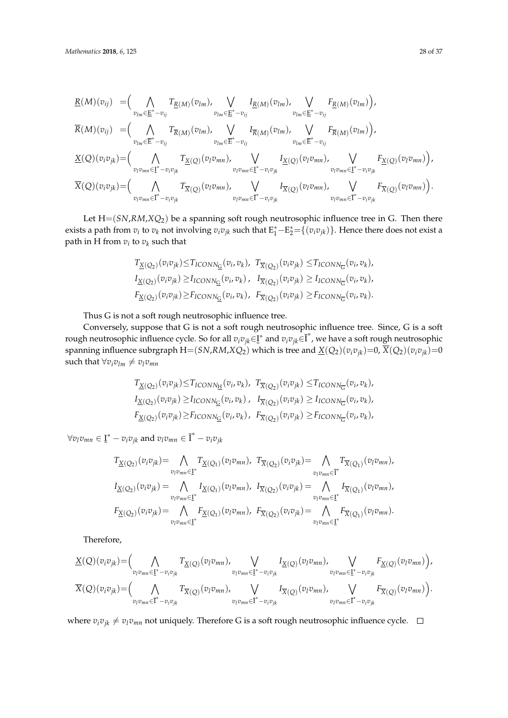$$
\underline{R}(M)(v_{ij}) = (\bigwedge_{v_{lm} \in \underline{E}^* - v_{ij}} T_{\underline{R}(M)}(v_{lm}), \bigvee_{v_{lm} \in \underline{E}^* - v_{ij}} I_{\underline{R}(M)}(v_{lm}), \bigvee_{v_{lm} \in \underline{E}^* - v_{ij}} F_{\underline{R}(M)}(v_{lm})\n\n\overline{R}(M)(v_{ij}) = (\bigwedge_{v_{lm} \in \overline{E}^* - v_{ij}} T_{\overline{R}(M)}(v_{lm}), \bigvee_{v_{lm} \in \overline{E}^* - v_{ij}} I_{\overline{R}(M)}(v_{lm}), \bigvee_{v_{lm} \in \overline{E}^* - v_{ij}} F_{\overline{R}(M)}(v_{lm})\n\n\times (Q)(v_i v_{jk}) = (\bigwedge_{v_l v_{mn} \in \underline{I}^* - v_i v_{jk}} T_{\underline{X}(Q)}(v_l v_{mn}), \bigvee_{v_l v_{mn} \in \underline{I}^* - v_i v_{jk}} I_{\underline{X}(Q)}(v_l v_{mn}), \bigvee_{v_l v_{mn} \in \underline{I}^* - v_i v_{jk}} F_{\underline{X}(Q)}(v_l v_{mn})\n\n\times (Q)(v_i v_{jk}) = (\bigwedge_{v_l v_{mn} \in \overline{I}^* - v_i v_{jk}} T_{\overline{X}(Q)}(v_l v_{mn}), \bigvee_{v_l v_{mn} \in \overline{I}^* - v_i v_{jk}} I_{\overline{X}(Q)}(v_l v_{mn}), \bigvee_{v_l v_{mn} \in \overline{I}^* - v_i v_{jk}} F_{\overline{X}(Q)}(v_l v_{mn})\n\n\times (Q)(v_i v_{jk}) = (\bigwedge_{v_l v_{mn} \in \overline{I}^* - v_i v_{jk}} T_{\overline{X}(Q)}(v_l v_{mn}), \bigvee_{v_l v_{mn} \in \overline{I}^* - v_i v_{jk}} I_{\overline{X}(Q)}(v_l v_{mn}), \bigvee_{v_l v_{mn} \in \overline{I}^* - v_i v_{jk}} I_{\overline{X}(Q)}(v_l v_{mn})\n\n\times (Q)(v_i v_{jk}) = (U_{\overline{X}(Q)}(v_l v_{mj}), \bigvee_{v_l v_{mn} \in \overline{
$$

Let H=(*SN*,*RM*,*XQ*2) be a spanning soft rough neutrosophic influence tree in G. Then there exists a path from  $v_i$  to  $v_k$  not involving  $v_iv_{jk}$  such that  $E_1^* - E_2^* = \{(v_iv_{jk})\}$ . Hence there does not exist a path in H from  $v_i$  to  $v_k$  such that

$$
T_{\underline{X}(Q_2)}(v_i v_{jk}) \leq T_{ICONN_{\underline{G}}}(v_i, v_k), \ T_{\overline{X}(Q_2)}(v_i v_{jk}) \leq T_{ICONN_{\overline{G}}}(v_i, v_k),
$$
  
\n
$$
I_{\underline{X}(Q_2)}(v_i v_{jk}) \geq I_{ICONN_{\underline{G}}}(v_i, v_k), \ I_{\overline{X}(Q_2)}(v_i v_{jk}) \geq I_{ICONN_{\overline{G}}}(v_i, v_k),
$$
  
\n
$$
F_{\underline{X}(Q_2)}(v_i v_{jk}) \geq F_{ICONN_{\underline{G}}}(v_i, v_k), \ F_{\overline{X}(Q_2)}(v_i v_{jk}) \geq F_{ICONN_{\overline{G}}}(v_i, v_k).
$$

Thus G is not a soft rough neutrosophic influence tree.

Conversely, suppose that G is not a soft rough neutrosophic influence tree. Since, G is a soft rough neutrosophic influence cycle. So for all  $v_iv_{jk}\in\!\!1^*$  and  $v_iv_{jk}\in\!\bar{I}^*$ , we have a soft rough neutrosophic spanning influence subrgraph  $H=(SN, RM, XQ_2)$  which is tree and  $\underline{X}(Q_2)(v_i v_{jk})=0$ ,  $\overline{X}(Q_2)(v_i v_{jk})=0$ such that  $\forall v_i v_{lm} \neq v_l v_{mn}$ 

$$
T_{\underline{X}(Q_2)}(v_i v_{jk}) \leq T_{ICONN_{\underline{H}}}(v_i, v_k), \ T_{\overline{X}(Q_2)}(v_i v_{jk}) \leq T_{ICONN_{\overline{G}}}(v_i, v_k),
$$
  
\n
$$
I_{\underline{X}(Q_2)}(v_i v_{jk}) \geq I_{ICONN_{\underline{G}}}(v_i, v_k), \ I_{\overline{X}(Q_2)}(v_i v_{jk}) \geq I_{ICONN_{\overline{G}}}(v_i, v_k),
$$
  
\n
$$
F_{\underline{X}(Q_2)}(v_i v_{jk}) \geq F_{ICONN_{\underline{G}}}(v_i, v_k), \ F_{\overline{X}(Q_2)}(v_i v_{jk}) \geq F_{ICONN_{\overline{G}}}(v_i, v_k),
$$

 $\forall v_l v_{mn} \in \underline{\mathrm{I}}^* - v_i v_{jk}$  and  $v_l v_{mn} \in \overline{\mathrm{I}}^* - v_i v_{jk}$ 

$$
T_{\underline{X}(Q_2)}(v_i v_{jk}) = \bigwedge_{v_l v_{mn} \in \underline{I}^*} T_{\underline{X}(Q_1)}(v_l v_{mn}), \ T_{\overline{X}(Q_2)}(v_i v_{jk}) = \bigwedge_{v_l v_{mn} \in \overline{I}^*} T_{\overline{X}(Q_1)}(v_l v_{mn}),
$$
  
\n
$$
I_{\underline{X}(Q_2)}(v_i v_{jk}) = \bigwedge_{v_l v_{mn} \in \underline{I}^*} I_{\underline{X}(Q_1)}(v_l v_{mn}), \ I_{\overline{X}(Q_2)}(v_i v_{jk}) = \bigwedge_{v_l v_{mn} \in \underline{I}^*} I_{\overline{X}(Q_1)}(v_l v_{mn}),
$$
  
\n
$$
F_{\underline{X}(Q_2)}(v_i v_{jk}) = \bigwedge_{v_l v_{mn} \in \underline{I}^*} F_{\underline{X}(Q_1)}(v_l v_{mn}), \ F_{\overline{X}(Q_2)}(v_i v_{jk}) = \bigwedge_{v_l v_{mn} \in \underline{I}^*} F_{\overline{X}(Q_1)}(v_l v_{mn}).
$$

Therefore,

$$
\underline{X}(Q)(v_i v_{jk}) = \Big(\bigwedge_{v_l v_{mn} \in \underline{\mathbf{I}}^* - v_i v_{jk}} T_{\underline{X}(Q)}(v_l v_{mn}) \Big), \bigvee_{v_l v_{mn} \in \underline{\mathbf{I}}^* - v_i v_{jk}} I_{\underline{X}(Q)}(v_l v_{mn}) \Big), \bigvee_{v_l v_{mn} \in \underline{\mathbf{I}}^* - v_i v_{jk}} \underline{F_{\underline{X}(Q)}(v_l v_{mn})} \Big),
$$
\n
$$
\overline{X}(Q)(v_i v_{jk}) = \Big(\bigwedge_{v_l v_{mn} \in \overline{\mathbf{I}}^* - v_i v_{jk}} T_{\overline{X}(Q)}(v_l v_{mn}) \Big), \bigvee_{v_l v_{mn} \in \overline{\mathbf{I}}^* - v_i v_{jk}} I_{\overline{X}(Q)}(v_l v_{mn}) \Big), \bigvee_{v_l v_{mn} \in \overline{\mathbf{I}}^* - v_i v_{jk}} F_{\overline{X}(Q)}(v_l v_{mn}) \Big).
$$

where  $v_i v_{jk} \neq v_l v_{mn}$  not uniquely. Therefore G is a soft rough neutrosophic influence cycle.  $\Box$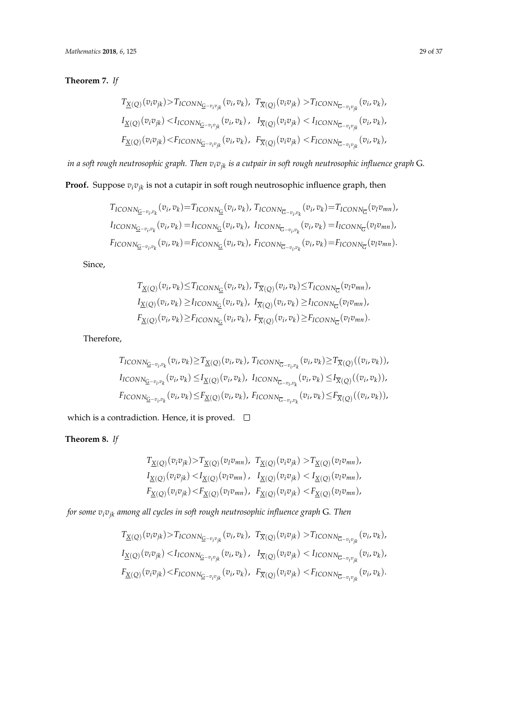## **Theorem 7.** *If*

$$
T_{\underline{X}(Q)}(v_i v_{jk}) > T_{ICONN_{\underline{G}-v_i v_{jk}}}(v_i, v_k), T_{\overline{X}(Q)}(v_i v_{jk}) > T_{ICONN_{\overline{G}-v_i v_{jk}}}(v_i, v_k),
$$
  
\n
$$
I_{\underline{X}(Q)}(v_i v_{jk}) < I_{ICONN_{\overline{G}-v_i v_{jk}}}(v_i, v_k), I_{\overline{X}(Q)}(v_i v_{jk}) < I_{ICONN_{\overline{G}-v_i v_{jk}}}(v_i, v_k),
$$
  
\n
$$
F_{\underline{X}(Q)}(v_i v_{jk}) < F_{ICONN_{\overline{G}-v_i v_{jk}}}(v_i, v_k), F_{\overline{X}(Q)}(v_i v_{jk}) < F_{ICONN_{\overline{G}-v_i v_{jk}}}(v_i, v_k),
$$

*in a soft rough neutrosophic graph. Then vivjk is a cutpair in soft rough neutrosophic influence graph* G*.*

## **Proof.** Suppose  $v_i v_{jk}$  is not a cutapir in soft rough neutrosophic influence graph, then

$$
T_{ICONN_{\overline{G}}-v_i,v_k}(v_i,v_k) = T_{ICONN_{\overline{G}}}(v_i,v_k), T_{ICONN_{\overline{G}}-v_i,v_k}(v_i,v_k) = T_{ICONN_{\overline{G}}}(v_lv_{mn}),
$$
  
\n
$$
I_{ICONN_{\overline{G}}-v_i,v_k}(v_i,v_k) = I_{ICONN_{\overline{G}}}(v_i,v_k), I_{ICONN_{\overline{G}}-v_i,v_k}(v_i,v_k) = I_{ICONN_{\overline{G}}}(v_lv_{mn}),
$$
  
\n
$$
F_{ICONN_{\overline{G}}-v_i,v_k}(v_i,v_k) = F_{ICONN_{\overline{G}}}(v_i,v_k), F_{ICONN_{\overline{G}}-v_i,v_k}(v_i,v_k) = F_{ICONN_{\overline{G}}}(v_lv_{mn}).
$$

Since,

$$
T_{\underline{X}(Q)}(v_i, v_k) \leq T_{\text{ICONN}_{\underline{G}}}(v_i, v_k), T_{\overline{X}(Q)}(v_i, v_k) \leq T_{\text{ICONN}_{\overline{G}}}(v_l v_{mn}),
$$
  
\n
$$
I_{\underline{X}(Q)}(v_i, v_k) \geq I_{\text{ICONN}_{\underline{G}}}(v_i, v_k), I_{\overline{X}(Q)}(v_i, v_k) \geq I_{\text{ICONN}_{\overline{G}}}(v_l v_{mn}),
$$
  
\n
$$
F_{\underline{X}(Q)}(v_i, v_k) \geq F_{\text{ICONN}_{\underline{G}}}(v_i, v_k), F_{\overline{X}(Q)}(v_i, v_k) \geq F_{\text{ICONN}_{\overline{G}}}(v_l v_{mn}).
$$

Therefore,

$$
T_{ICONN_{\bar{G}-v_i,v_k}}(v_i, v_k) \ge T_{\underline{X}(Q)}(v_i, v_k), T_{ICONN_{\bar{G}-v_i,v_k}}(v_i, v_k) \ge T_{\overline{X}(Q)}((v_i, v_k)),
$$
  
\n
$$
I_{ICONN_{\bar{G}-v_i,v_k}}(v_i, v_k) \le I_{\underline{X}(Q)}(v_i, v_k), I_{ICONN_{\bar{G}-v_i,v_k}}(v_i, v_k) \le I_{\overline{X}(Q)}((v_i, v_k)),
$$
  
\n
$$
F_{ICONN_{\bar{G}-v_i,v_k}}(v_i, v_k) \le F_{\underline{X}(Q)}(v_i, v_k), F_{ICONN_{\bar{G}-v_i,v_k}}(v_i, v_k) \le F_{\overline{X}(Q)}((v_i, v_k)),
$$

which is a contradiction. Hence, it is proved.  $\Box$ 

## **Theorem 8.** *If*

$$
T_{\underline{X}(Q)}(v_i v_{jk}) > T_{\underline{X}(Q)}(v_l v_{mn}), T_{\underline{X}(Q)}(v_i v_{jk}) > T_{\underline{X}(Q)}(v_l v_{mn}),
$$
  
\n
$$
I_{\underline{X}(Q)}(v_i v_{jk}) < I_{\underline{X}(Q)}(v_l v_{mn}), T_{\underline{X}(Q)}(v_i v_{jk}) < I_{\underline{X}(Q)}(v_l v_{mn}),
$$
  
\n
$$
F_{\underline{X}(Q)}(v_i v_{jk}) < F_{\underline{X}(Q)}(v_l v_{mn}), F_{\underline{X}(Q)}(v_i v_{jk}) < F_{\underline{X}(Q)}(v_l v_{mn}),
$$

*for some vivjk among all cycles in soft rough neutrosophic influence graph* G*. Then*

$$
T_{\underline{X}(Q)}(v_i v_{jk}) > T_{ICONN_{\underline{G}-v_i v_{jk}}}(v_i, v_k), T_{\overline{X}(Q)}(v_i v_{jk}) > T_{ICONN_{\overline{G}-v_i v_{jk}}}(v_i, v_k),
$$
  
\n
$$
I_{\underline{X}(Q)}(v_i v_{jk}) < I_{ICONN_{\overline{G}-v_i v_{jk}}}(v_i, v_k), T_{\overline{X}(Q)}(v_i v_{jk}) < I_{ICONN_{\overline{G}-v_i v_{jk}}}(v_i, v_k),
$$
  
\n
$$
F_{\underline{X}(Q)}(v_i v_{jk}) < F_{ICONN_{\overline{G}-v_i v_{jk}}}(v_i, v_k), F_{\overline{X}(Q)}(v_i v_{jk}) < F_{ICONN_{\overline{G}-v_i v_{jk}}}(v_i, v_k).
$$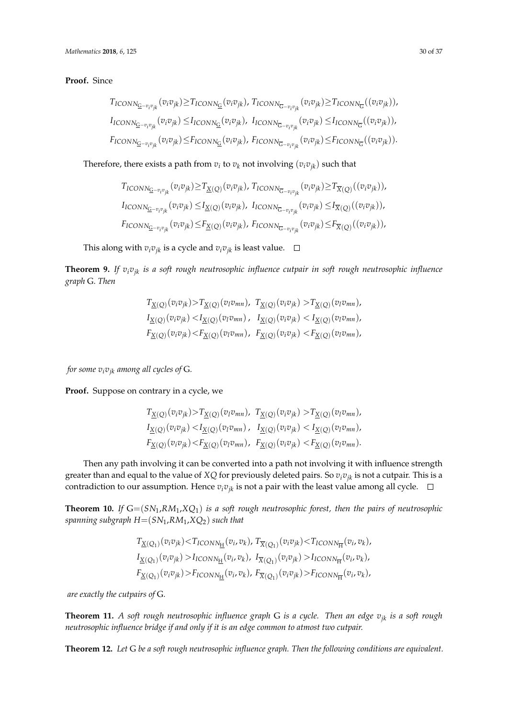**Proof.** Since

$$
T_{ICONN_{\overline{G}}-v_iv_{jk}}(v_iv_{jk}) \geq T_{ICONN_{\overline{G}}}(v_iv_{jk}), T_{ICONN_{\overline{G}}-v_iv_{jk}}(v_iv_{jk}) \geq T_{ICONN_{\overline{G}}}(v_iv_{jk})),
$$
  
\n
$$
I_{ICONN_{\overline{G}}-v_iv_{jk}}(v_iv_{jk}) \leq I_{ICONN_{\overline{G}}}(v_iv_{jk}), I_{ICONN_{\overline{G}}-v_iv_{jk}}(v_iv_{jk}) \leq I_{ICONN_{\overline{G}}}(v_iv_{jk})),
$$
  
\n
$$
F_{ICONN_{\overline{G}}-v_iv_{jk}}(v_iv_{jk}) \leq F_{ICONN_{\overline{G}}}(v_iv_{jk}), F_{ICONN_{\overline{G}}-v_iv_{jk}}(v_iv_{jk}) \leq F_{ICONN_{\overline{G}}}(v_iv_{jk})).
$$

Therefore, there exists a path from  $v_i$  to  $v_k$  not involving  $(v_i v_{jk})$  such that

$$
T_{ICONN_{\overline{G}-v_i v_{jk}}}(v_i v_{jk}) \ge T_{\underline{X}(Q)}(v_i v_{jk}), T_{ICONN_{\overline{G}-v_i v_{jk}}}(v_i v_{jk}) \ge T_{\overline{X}(Q)}((v_i v_{jk})),
$$
  
\n
$$
I_{ICONN_{\overline{G}-v_i v_{jk}}}(v_i v_{jk}) \le I_{\underline{X}(Q)}(v_i v_{jk}), I_{ICONN_{\overline{G}-v_i v_{jk}}}(v_i v_{jk}) \le I_{\overline{X}(Q)}((v_i v_{jk})),
$$
  
\n
$$
F_{ICONN_{\overline{G}-v_i v_{jk}}}(v_i v_{jk}) \le F_{\underline{X}(Q)}(v_i v_{jk}), F_{ICONN_{\overline{G}-v_i v_{jk}}}(v_i v_{jk}) \le F_{\overline{X}(Q)}((v_i v_{jk})),
$$

This along with  $v_i v_{ik}$  is a cycle and  $v_i v_{ik}$  is least value.  $\Box$ 

**Theorem 9.** *If vivjk is a soft rough neutrosophic influence cutpair in soft rough neutrosophic influence graph* G*. Then*

$$
T_{\underline{X}(Q)}(v_i v_{jk}) > T_{\underline{X}(Q)}(v_l v_{mn}), \quad T_{\underline{X}(Q)}(v_i v_{jk}) > T_{\underline{X}(Q)}(v_l v_{mn}),
$$
  
\n
$$
I_{\underline{X}(Q)}(v_i v_{jk}) < I_{\underline{X}(Q)}(v_l v_{mn}), \quad I_{\underline{X}(Q)}(v_i v_{jk}) < I_{\underline{X}(Q)}(v_l v_{mn}),
$$
  
\n
$$
F_{\underline{X}(Q)}(v_i v_{jk}) < F_{\underline{X}(Q)}(v_l v_{mn}), \quad F_{\underline{X}(Q)}(v_i v_{jk}) < F_{\underline{X}(Q)}(v_l v_{mn}),
$$

*for some*  $v_i v_{ik}$  *among all cycles of G.* 

**Proof.** Suppose on contrary in a cycle, we

$$
T_{\underline{X}(Q)}(v_i v_{jk}) > T_{\underline{X}(Q)}(v_l v_{mn}), \quad T_{\underline{X}(Q)}(v_i v_{jk}) > T_{\underline{X}(Q)}(v_l v_{mn}),
$$
  
\n
$$
I_{\underline{X}(Q)}(v_i v_{jk}) < I_{\underline{X}(Q)}(v_l v_{mn}), \quad I_{\underline{X}(Q)}(v_i v_{jk}) < I_{\underline{X}(Q)}(v_l v_{mn}),
$$
  
\n
$$
F_{\underline{X}(Q)}(v_i v_{jk}) < F_{\underline{X}(Q)}(v_l v_{mn}), \quad F_{\underline{X}(Q)}(v_i v_{jk}) < F_{\underline{X}(Q)}(v_l v_{mn}).
$$

Then any path involving it can be converted into a path not involving it with influence strength greater than and equal to the value of *XQ* for previously deleted pairs. So *vivjk* is not a cutpair. This is a contradiction to our assumption. Hence  $v_i v_{jk}$  is not a pair with the least value among all cycle.  $\Box$ 

**Theorem 10.** *If* G=(*SN*1,*RM*1,*XQ*1) *is a soft rough neutrosophic forest, then the pairs of neutrosophic spanning subgraph H*=(*SN*1,*RM*1,*XQ*2) *such that*

$$
T_{\underline{X}(Q_1)}(v_i v_{jk}) < T_{ICONN_{\underline{H}}}(v_i, v_k), \ T_{\overline{X}(Q_1)}(v_i v_{jk}) < T_{ICONN_{\overline{H}}}(v_i, v_k), \\
I_{\underline{X}(Q_1)}(v_i v_{jk}) > I_{ICONN_{\underline{H}}}(v_i, v_k), \ I_{\overline{X}(Q_1)}(v_i v_{jk}) > I_{ICONN_{\overline{H}}}(v_i, v_k), \\
F_{\underline{X}(Q_1)}(v_i v_{jk}) > F_{ICONN_{\underline{H}}}(v_i, v_k), \ F_{\overline{X}(Q_1)}(v_i v_{jk}) > F_{ICONN_{\overline{H}}}(v_i, v_k),
$$

*are exactly the cutpairs of* G*.*

**Theorem 11.** *A soft rough neutrosophic influence graph* G *is a cycle. Then an edge vjk is a soft rough neutrosophic influence bridge if and only if it is an edge common to atmost two cutpair.*

**Theorem 12.** *Let* G *be a soft rough neutrosophic influence graph. Then the following conditions are equivalent.*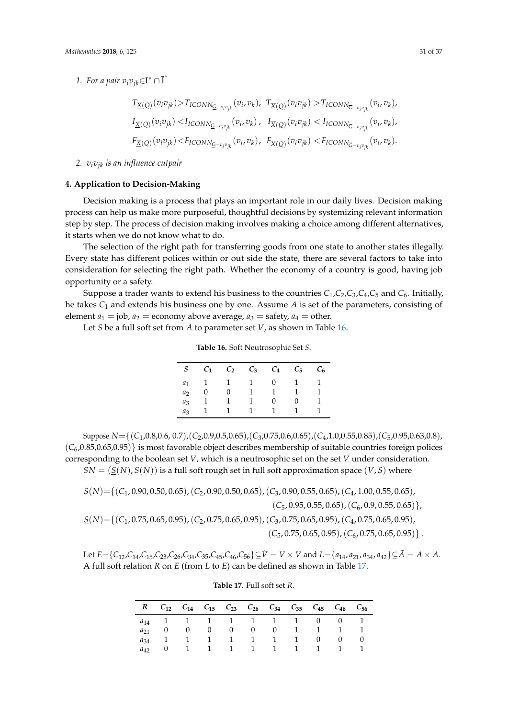1. For a pair  $v_i v_{jk} \in \underline{\mathbf{I}}^* \cap \overline{\mathbf{I}}^*$ 

$$
T_{\underline{X}(Q)}(v_i v_{jk}) > T_{ICONN_{\underline{G}-v_i v_{jk}}}(v_i, v_k), T_{\overline{X}(Q)}(v_i v_{jk}) > T_{ICONN_{\overline{G}-v_i v_{jk}}}(v_i, v_k),
$$
  
\n
$$
I_{\underline{X}(Q)}(v_i v_{jk}) < I_{ICONN_{\overline{G}-v_i v_{jk}}}(v_i, v_k), I_{\overline{X}(Q)}(v_i v_{jk}) < I_{ICONN_{\overline{G}-v_i v_{jk}}}(v_i, v_k),
$$
  
\n
$$
F_{\underline{X}(Q)}(v_i v_{jk}) < F_{ICONN_{\overline{G}-v_i v_{jk}}}(v_i, v_k), F_{\overline{X}(Q)}(v_i v_{jk}) < F_{ICONN_{\overline{G}-v_i v_{jk}}}(v_i, v_k).
$$

*2. vivjk is an influence cutpair*

#### <span id="page-30-0"></span>**4. Application to Decision-Making**

Decision making is a process that plays an important role in our daily lives. Decision making process can help us make more purposeful, thoughtful decisions by systemizing relevant information step by step. The process of decision making involves making a choice among different alternatives, it starts when we do not know what to do.

The selection of the right path for transferring goods from one state to another states illegally. Every state has different polices within or out side the state, there are several factors to take into consideration for selecting the right path. Whether the economy of a country is good, having job opportunity or a safety.

Suppose a trader wants to extend his business to the countries *C*1,*C*2,*C*3,*C*4,*C*<sup>5</sup> and *C*6. Initially, he takes *C*<sup>1</sup> and extends his business one by one. Assume *A* is set of the parameters, consisting of element  $a_1 = j$ ob,  $a_2 =$  economy above average,  $a_3 =$  safety,  $a_4 =$  other.

<span id="page-30-1"></span>Let *S* be a full soft set from *A* to parameter set *V*, as shown in Table [16.](#page-30-1)

**Table 16.** Soft Neutrosophic Set *S*.

| $S_{-}$        | $C_1$       | $C_2$ $C_3$ $C_4$ |                | $C_5$        | $C_6$ |
|----------------|-------------|-------------------|----------------|--------------|-------|
|                | $a_1$ 1 1 1 |                   | $\overline{0}$ | $\mathbf{1}$ |       |
| a <sub>2</sub> | $\cup$      |                   | 1              |              |       |
| $a_3$          |             |                   | $^{(1)}$       |              |       |
| $a_3$          |             |                   | 1.             |              |       |

Suppose *N*={(*C*1,0.8,0.6, 0.7),(*C*2,0.9,0.5,0.65),(*C*3,0.75,0.6,0.65),(*C*4,1.0,0.55,0.85),(*C*5,0.95,0.63,0.8),  $(C_6, 0.85, 0.65, 0.95)$  is most favorable object describes membership of suitable countries foreign polices corresponding to the boolean set *V*, which is a neutrosophic set on the set *V* under consideration.  $SN = (\underline{S}(N), \overline{S}(N))$  is a full soft rough set in full soft approximation space  $(V, S)$  where

*S*(*N*)={(*C*1, 0.90, 0.50, 0.65),(*C*2, 0.90, 0.50, 0.65),(*C*3, 0.90, 0.55, 0.65),(*C*4, 1.00, 0.55, 0.65), (*C*5, 0.95, 0.55, 0.65),(*C*6, 0.9, 0.55, 0.65)}, *S*(*N*)={(*C*1, 0.75, 0.65, 0.95),(*C*2, 0.75, 0.65, 0.95),(*C*3, 0.75, 0.65, 0.95),(*C*4, 0.75, 0.65, 0.95),  $(C_5, 0.75, 0.65, 0.95), (C_6, 0.75, 0.65, 0.95)\}.$ 

<span id="page-30-2"></span>Let  $E = \{C_{12}, C_{14}, C_{15}, C_{23}, C_{26}, C_{34}, C_{35}, C_{45}, C_{46}, C_{56}\} \subseteq \tilde{V} = V \times V$  and  $L = \{a_{14}, a_{21}, a_{34}, a_{42}\} \subseteq \tilde{A} = A \times A$ . A full soft relation *R* on *E* (from *L* to *E*) can be defined as shown in Table [17.](#page-30-2)

|          | R $C_{12}$ $C_{14}$ $C_{15}$ $C_{23}$ $C_{26}$ $C_{34}$ $C_{35}$ $C_{45}$ $C_{46}$ $C_{56}$ |  |  |                   |          |  |
|----------|---------------------------------------------------------------------------------------------|--|--|-------------------|----------|--|
|          | $a_{14}$ 1 1 1 1 1 1 1 0 0 1                                                                |  |  |                   |          |  |
| $a_{21}$ |                                                                                             |  |  | 0 0 0 0 1 1 1     |          |  |
| $a_{34}$ |                                                                                             |  |  | 1 1 1 1 1 1 0     | $\Omega$ |  |
| $a_{42}$ |                                                                                             |  |  | 1 1 1 1 1 1 1 1 1 |          |  |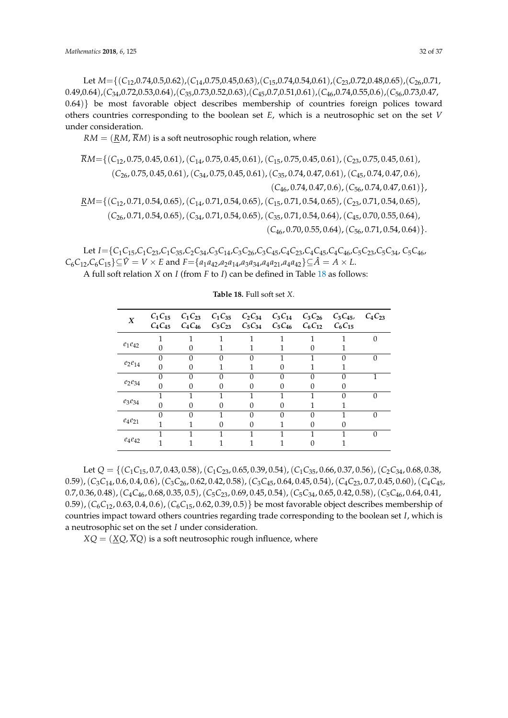Let *M*={(*C*12,0.74,0.5,0.62),(*C*14,0.75,0.45,0.63),(*C*15,0.74,0.54,0.61),(*C*23,0.72,0.48,0.65),(*C*26,0.71, 0.49,0.64),(*C*34,0.72,0.53,0.64),(*C*35,0.73,0.52,0.63),(*C*45,0.7,0.51,0.61),(*C*46,0.74,0.55,0.6),(*C*56,0.73,0.47, 0.64)} be most favorable object describes membership of countries foreign polices toward others countries corresponding to the boolean set *E*, which is a neutrosophic set on the set *V* under consideration.

 $RM = (RM, \overline{R}M)$  is a soft neutrosophic rough relation, where

$$
RM = \{ (C_{12}, 0.75, 0.45, 0.61), (C_{14}, 0.75, 0.45, 0.61), (C_{15}, 0.75, 0.45, 0.61), (C_{23}, 0.75, 0.45, 0.61), (C_{26}, 0.75, 0.45, 0.61), (C_{34}, 0.75, 0.45, 0.61), (C_{35}, 0.74, 0.47, 0.61), (C_{45}, 0.74, 0.47, 0.6), (C_{46}, 0.74, 0.47, 0.6), (C_{56}, 0.74, 0.47, 0.61) \},
$$
  
\n
$$
RM = \{ (C_{12}, 0.71, 0.54, 0.65), (C_{14}, 0.71, 0.54, 0.65), (C_{15}, 0.71, 0.54, 0.65), (C_{23}, 0.71, 0.54, 0.65), (C_{26}, 0.71, 0.54, 0.65), (C_{34}, 0.71, 0.54, 0.65), (C_{35}, 0.71, 0.54, 0.64), (C_{45}, 0.70, 0.55, 0.64), (C_{56}, 0.71, 0.54, 0.64) \}.
$$
  
\n
$$
(C_{46}, 0.70, 0.55, 0.64), (C_{56}, 0.71, 0.54, 0.64) \}.
$$

Let  $I = \{C_1C_{15}, C_1C_{23}, C_1C_{35}, C_2C_{34}, C_3C_{14}, C_3C_{26}, C_3C_{45}, C_4C_{23}, C_4C_{45}, C_4C_{46}, C_5C_{23}, C_5C_{34}, C_5C_{46}, C_5C_{46}, C_5C_{46}, C_5C_{46}, C_5C_{46}, C_5C_{46}, C_5C_{46}, C_5C_{46}, C_5C_{46}, C_5C_{46}, C_5C_{46}, C_5C_{46}, C_5C_{46}, C_5C_{46}, C_5C$  $C_6C_{12}$ , $C_6C_{15}$ }⊆ $\hat{V} = V \times E$  and  $F = \{a_1a_{42}$ , $a_2a_{14}$ , $a_3a_{34}$ , $a_4a_{21}$ , $a_4a_{42}$ }⊆ $\hat{A} = A \times L$ .

<span id="page-31-0"></span>A full soft relation *X* on *I* (from *F* to *I*) can be defined in Table [18](#page-31-0) as follows:

| $\boldsymbol{X}$ | $C_4C_{45}$ |   | $C_4C_{46}$ $C_5C_{23}$ |   | $C_5C_{34}$ $C_5C_{46}$ $C_6C_{12}$ |   | $C_1C_{15}$ $C_1C_{23}$ $C_1C_{35}$ $C_2C_{34}$ $C_3C_{14}$ $C_3C_{26}$ $C_3C_{45}$<br>$C_6C_{15}$ | $C_{4}C_{23}$ |
|------------------|-------------|---|-------------------------|---|-------------------------------------|---|----------------------------------------------------------------------------------------------------|---------------|
|                  |             |   |                         |   |                                     |   |                                                                                                    | $\Omega$      |
| $e_1e_{42}$      | $\Omega$    |   |                         |   |                                     |   |                                                                                                    |               |
|                  | $\Omega$    | O | O                       | በ |                                     |   | O                                                                                                  | 0             |
| $e_2e_{14}$      | $\Omega$    |   |                         |   |                                     |   |                                                                                                    |               |
|                  | $\Omega$    | 0 | 0                       | 0 | 0                                   | 0 |                                                                                                    |               |
| $e_2e_{34}$      | $\Omega$    |   |                         |   |                                     |   |                                                                                                    |               |
|                  |             |   |                         |   |                                     |   | 0                                                                                                  |               |
| $e_3e_{34}$      | $\Omega$    |   | O                       | U |                                     |   |                                                                                                    |               |
|                  | $\Omega$    |   |                         | O | 0                                   |   |                                                                                                    |               |
| $e_4e_{21}$      |             |   |                         |   |                                     |   |                                                                                                    |               |
|                  |             |   |                         |   |                                     |   |                                                                                                    | 0             |
| $e_4e_{42}$      |             |   |                         |   |                                     |   |                                                                                                    |               |

**Table 18.** Full soft set *X*.

Let *Q* = {(*C*1*C*15, 0.7, 0.43, 0.58),(*C*1*C*23, 0.65, 0.39, 0.54),(*C*1*C*35, 0.66, 0.37, 0.56),(*C*2*C*34, 0.68, 0.38, 0.59),(*C*3*C*14, 0.6, 0.4, 0.6),(*C*3*C*26, 0.62, 0.42, 0.58),(*C*3*C*45, 0.64, 0.45, 0.54),(*C*4*C*23, 0.7, 0.45, 0.60),(*C*4*C*45, 0.7, 0.36, 0.48),(*C*4*C*46, 0.68, 0.35, 0.5),(*C*5*C*23, 0.69, 0.45, 0.54),(*C*5*C*34, 0.65, 0.42, 0.58),(*C*5*C*46, 0.64, 0.41, 0.59),  $(C_6C_{12}$ , 0.63, 0.4, 0.6),  $(C_6C_{15}$ , 0.62, 0.39, 0.5)} be most favorable object describes membership of countries impact toward others countries regarding trade corresponding to the boolean set *I*, which is a neutrosophic set on the set *I* under consideration.

 $XQ = (XQ, \overline{X}Q)$  is a soft neutrosophic rough influence, where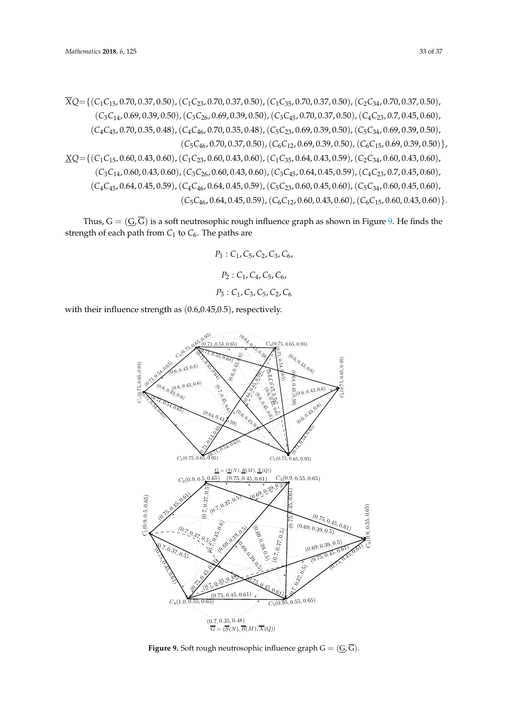$$
\overline{X}Q = \{ (C_1C_{15}, 0.70, 0.37, 0.50), (C_1C_{23}, 0.70, 0.37, 0.50), (C_1C_{35}, 0.70, 0.37, 0.50), (C_2C_{34}, 0.70, 0.37, 0.50), (C_3C_{14}, 0.69, 0.39, 0.50), (C_3C_{26}, 0.69, 0.39, 0.50), (C_3C_{45}, 0.70, 0.37, 0.50), (C_4C_{23}, 0.7, 0.45, 0.60), (C_4C_{45}, 0.70, 0.35, 0.48), (C_4C_{46}, 0.70, 0.35, 0.48), (C_5C_{23}, 0.69, 0.39, 0.50), (C_5C_{34}, 0.69, 0.39, 0.50), (C_5C_{46}, 0.70, 0.37, 0.50), (C_6C_{12}, 0.69, 0.39, 0.50), (C_6C_{15}, 0.69, 0.39, 0.50) \},
$$
  
\n
$$
\underline{X}Q = \{ (C_1C_{15}, 0.60, 0.43, 0.60), (C_1C_{23}, 0.60, 0.43, 0.60), (C_1C_{35}, 0.64, 0.43, 0.59), (C_2C_{34}, 0.60, 0.43, 0.60), (C_3C_{26}, 0.60, 0.43, 0.60), (C_3C_{45}, 0.64, 0.45, 0.59), (C_4C_{23}, 0.7, 0.45, 0.60), (C_4C_{45}, 0.64, 0.45, 0.59), (C_4C_{45}, 0.64, 0.45, 0.59), (C_5C_{34}, 0.60, 0.45, 0.60), (C_5C_{46}, 0.64, 0.45, 0.59), (C_6C_{12}, 0.60, 0.43, 0.60), (
$$

Thus,  $G = (\underline{G}, \overline{G})$  is a soft neutrosophic rough influence graph as shown in Figure [9.](#page-32-0) He finds the strength of each path from  $C_1$  to  $C_6$ . The paths are

> *P*<sup>1</sup> : *C*1, *C*5, *C*2, *C*3, *C*6, *P*<sup>2</sup> : *C*1, *C*4, *C*5, *C*6, *P*<sup>3</sup> : *C*1, *C*3, *C*5, *C*2, *C*<sup>6</sup>

<span id="page-32-0"></span>with their influence strength as (0.6,0.45,0.5), respectively.



**Figure 9.** Soft rough neutrosophic influence graph  $G = (\underline{G}, \overline{G})$ .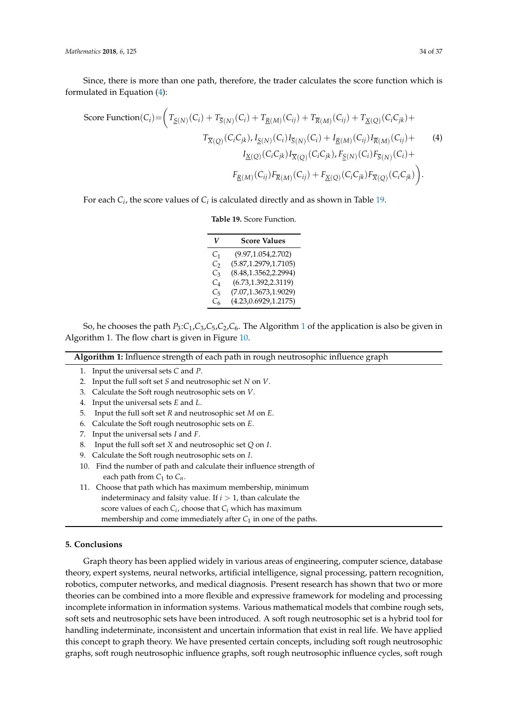Since, there is more than one path, therefore, the trader calculates the score function which is formulated in Equation [\(4\)](#page-33-1):

Score Function(C<sub>i</sub>) = 
$$
\left(T_{\underline{S}(N)}(C_i) + T_{\overline{S}(N)}(C_i) + T_{\underline{R}(M)}(C_{ij}) + T_{\overline{R}(M)}(C_{ij}) + T_{\underline{X}(Q)}(C_iC_{jk}) + T_{\overline{X}(Q)}(C_iC_{jk}) \cdot I_{\underline{S}(N)}(C_i) I_{\overline{S}(N)}(C_i) + I_{\underline{R}(M)}(C_{ij}) I_{\overline{R}(M)}(C_{ij}) + \frac{I_{\underline{X}(Q)}(C_iC_{jk}) I_{\overline{X}(Q)}(C_iC_{jk}) I_{\overline{X}(Q)}(C_iC_{jk}) \cdot F_{\underline{S}(N)}(C_i) F_{\overline{S}(N)}(C_i) + \frac{F_{\underline{R}(M)}(C_{ij}) F_{\overline{R}(M)}(C_{ij}) + F_{\underline{X}(Q)}(C_iC_{jk}) F_{\overline{X}(Q)}(C_iC_{jk}) \right).
$$
\n(4)

<span id="page-33-2"></span>For each  $C_i$ , the score values of  $C_i$  is calculated directly and as shown in Table [19.](#page-33-2)

<span id="page-33-1"></span>

|  | Table 19. Score Function. |
|--|---------------------------|
|  |                           |

| V              | <b>Score Values</b>    |  |  |
|----------------|------------------------|--|--|
| C <sub>1</sub> | (9.97, 1.054, 2.702)   |  |  |
| $C_{2}$        | (5.87, 1.2979, 1.7105) |  |  |
| $C_3$          | (8.48, 1.3562, 2.2994) |  |  |
| C4             | (6.73, 1.392, 2.3119)  |  |  |
| C5             | (7.07, 1.3673, 1.9029) |  |  |
| $C_{6}$        | (4.23, 0.6929, 1.2175) |  |  |

So, he chooses the path *P*3:*C*1,*C*3,*C*5,*C*2,*C*6. The Algorithm [1](#page-33-3) of the application is also be given in Algorithm 1. The flow chart is given in Figure [10.](#page-34-0)

| <b>Algorithm 1:</b> Influence strength of each path in rough neutrosophic influence graph |  |
|-------------------------------------------------------------------------------------------|--|
|                                                                                           |  |

- <span id="page-33-3"></span>1. Input the universal sets *C* and *P*.
- 2. Input the full soft set *S* and neutrosophic set *N* on *V*.
- 3. Calculate the Soft rough neutrosophic sets on *V*.
- 4. Input the universal sets *E* and *L*.
- 5. Input the full soft set *R* and neutrosophic set *M* on *E*.
- 6. Calculate the Soft rough neutrosophic sets on *E*.
- 7. Input the universal sets *I* and *F*.
- 8. Input the full soft set *X* and neutrosophic set *Q* on *I*.
- 9. Calculate the Soft rough neutrosophic sets on *I*.
- 10. Find the number of path and calculate their influence strength of each path from *C*<sup>1</sup> to *Cn*.
- 11. Choose that path which has maximum membership, minimum indeterminacy and falsity value. If  $i > 1$ , than calculate the score values of each *C<sup>i</sup>* , choose that *C<sup>i</sup>* which has maximum membership and come immediately after  $C_1$  in one of the paths.

### <span id="page-33-0"></span>**5. Conclusions**

Graph theory has been applied widely in various areas of engineering, computer science, database theory, expert systems, neural networks, artificial intelligence, signal processing, pattern recognition, robotics, computer networks, and medical diagnosis. Present research has shown that two or more theories can be combined into a more flexible and expressive framework for modeling and processing incomplete information in information systems. Various mathematical models that combine rough sets, soft sets and neutrosophic sets have been introduced. A soft rough neutrosophic set is a hybrid tool for handling indeterminate, inconsistent and uncertain information that exist in real life. We have applied this concept to graph theory. We have presented certain concepts, including soft rough neutrosophic graphs, soft rough neutrosophic influence graphs, soft rough neutrosophic influence cycles, soft rough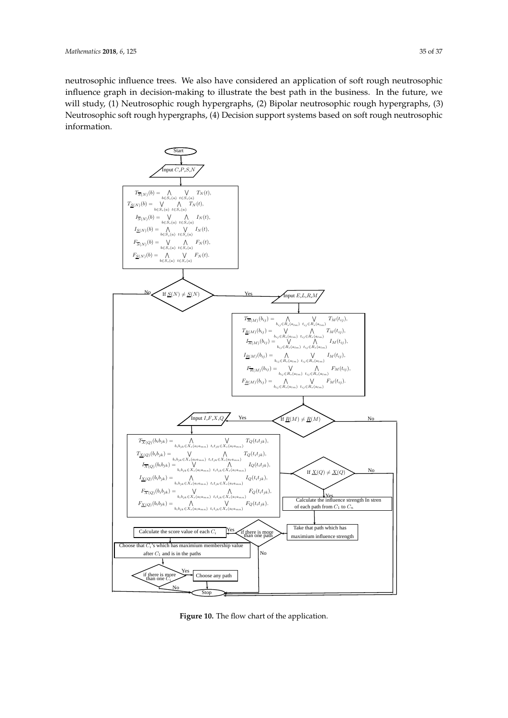neutrosophic influence trees. We also have considered an application of soft rough neutrosophic influence graph in decision-making to illustrate the best path in the business. In the future, we will study, (1) Neutrosophic rough hypergraphs, (2) Bipolar neutrosophic rough hypergraphs, (3) Neutrosophic soft rough hypergraphs, (4) Decision support systems based on soft rough neutrosophic information.

<span id="page-34-0"></span>

Figure 10: The flow chart of the application **Figure 10.** The flow chart of the application.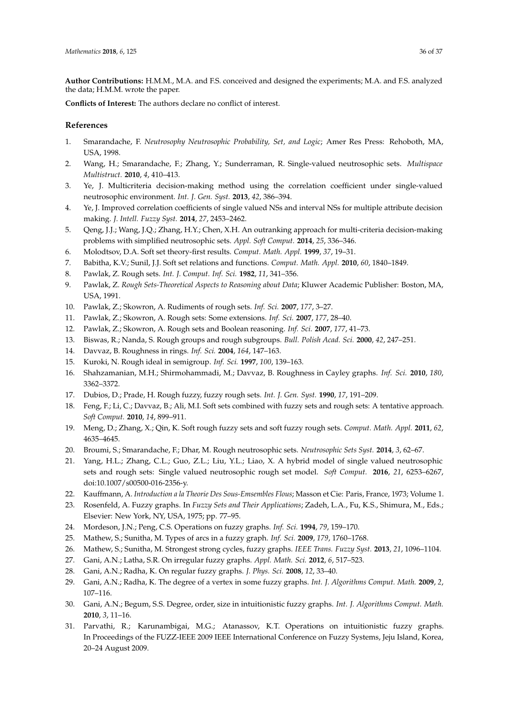**Author Contributions:** H.M.M., M.A. and F.S. conceived and designed the experiments; M.A. and F.S. analyzed the data; H.M.M. wrote the paper.

**Conflicts of Interest:** The authors declare no conflict of interest.

#### **References**

- <span id="page-35-0"></span>1. Smarandache, F. *Neutrosophy Neutrosophic Probability, Set, and Logic*; Amer Res Press: Rehoboth, MA, USA, 1998.
- <span id="page-35-1"></span>2. Wang, H.; Smarandache, F.; Zhang, Y.; Sunderraman, R. Single-valued neutrosophic sets. *Multispace Multistruct.* **2010**, *4*, 410–413.
- <span id="page-35-2"></span>3. Ye, J. Multicriteria decision-making method using the correlation coefficient under single-valued neutrosophic environment. *Int. J. Gen. Syst.* **2013**, *42*, 386–394.
- <span id="page-35-3"></span>4. Ye, J. Improved correlation coefficients of single valued NSs and interval NSs for multiple attribute decision making. *J. Intell. Fuzzy Syst.* **2014**, *27*, 2453–2462.
- <span id="page-35-4"></span>5. Qeng, J.J.; Wang, J.Q.; Zhang, H.Y.; Chen, X.H. An outranking approach for multi-criteria decision-making problems with simplified neutrosophic sets. *Appl. Soft Comput.* **2014**, *25*, 336–346.
- <span id="page-35-5"></span>6. Molodtsov, D.A. Soft set theory-first results. *Comput. Math. Appl.* **1999**, *37*, 19–31.
- <span id="page-35-6"></span>7. Babitha, K.V.; Sunil, J.J. Soft set relations and functions. *Comput. Math. Appl.* **2010**, *60*, 1840–1849.
- <span id="page-35-7"></span>8. Pawlak, Z. Rough sets. *Int. J. Comput. Inf. Sci.* **1982**, *11*, 341–356.
- <span id="page-35-8"></span>9. Pawlak, Z. *Rough Sets-Theoretical Aspects to Reasoning about Data*; Kluwer Academic Publisher: Boston, MA, USA, 1991.
- 10. Pawlak, Z.; Skowron, A. Rudiments of rough sets. *Inf. Sci.* **2007**, *177*, 3–27.
- 11. Pawlak, Z.; Skowron, A. Rough sets: Some extensions. *Inf. Sci.* **2007**, *177*, 28–40.
- <span id="page-35-9"></span>12. Pawlak, Z.; Skowron, A. Rough sets and Boolean reasoning. *Inf. Sci.* **2007**, *177*, 41–73.
- <span id="page-35-10"></span>13. Biswas, R.; Nanda, S. Rough groups and rough subgroups. *Bull. Polish Acad. Sci.* **2000**, *42*, 247–251.
- 14. Davvaz, B. Roughness in rings. *Inf. Sci.* **2004**, *164*, 147–163.
- 15. Kuroki, N. Rough ideal in semigroup. *Inf. Sci.* **1997**, *100*, 139–163.
- <span id="page-35-11"></span>16. Shahzamanian, M.H.; Shirmohammadi, M.; Davvaz, B. Roughness in Cayley graphs. *Inf. Sci.* **2010**, *180*, 3362–3372.
- <span id="page-35-12"></span>17. Dubios, D.; Prade, H. Rough fuzzy, fuzzy rough sets. *Int. J. Gen. Syst.* **1990**, *17*, 191–209.
- <span id="page-35-13"></span>18. Feng, F.; Li, C.; Davvaz, B.; Ali, M.I. Soft sets combined with fuzzy sets and rough sets: A tentative approach. *Soft Comput.* **2010**, *14*, 899–911.
- <span id="page-35-14"></span>19. Meng, D.; Zhang, X.; Qin, K. Soft rough fuzzy sets and soft fuzzy rough sets. *Comput. Math. Appl.* **2011**, *62*, 4635–4645.
- <span id="page-35-15"></span>20. Broumi, S.; Smarandache, F.; Dhar, M. Rough neutrosophic sets. *Neutrosophic Sets Syst.* **2014**, *3*, 62–67.
- <span id="page-35-16"></span>21. Yang, H.L.; Zhang, C.L.; Guo, Z.L.; Liu, Y.L.; Liao, X. A hybrid model of single valued neutrosophic sets and rough sets: Single valued neutrosophic rough set model. *Soft Comput.* **2016**, *21*, 6253–6267, doi:10.1007/s00500-016-2356-y.
- <span id="page-35-17"></span>22. Kauffmann, A. *Introduction a la Theorie Des Sous-Emsembles Flous*; Masson et Cie: Paris, France, 1973; Volume 1.
- <span id="page-35-18"></span>23. Rosenfeld, A. Fuzzy graphs. In *Fuzzy Sets and Their Applications*; Zadeh, L.A., Fu, K.S., Shimura, M., Eds.; Elsevier: New York, NY, USA, 1975; pp. 77–95.
- <span id="page-35-19"></span>24. Mordeson, J.N.; Peng, C.S. Operations on fuzzy graphs. *Inf. Sci.* **1994**, *79*, 159–170.
- <span id="page-35-20"></span>25. Mathew, S.; Sunitha, M. Types of arcs in a fuzzy graph. *Inf. Sci.* **2009**, *179*, 1760–1768.
- <span id="page-35-21"></span>26. Mathew, S.; Sunitha, M. Strongest strong cycles, fuzzy graphs. *IEEE Trans. Fuzzy Syst.* **2013**, *21*, 1096–1104.
- <span id="page-35-22"></span>27. Gani, A.N.; Latha, S.R. On irregular fuzzy graphs. *Appl. Math. Sci.* **2012**, *6*, 517–523.
- 28. Gani, A.N.; Radha, K. On regular fuzzy graphs. *J. Phys. Sci.* **2008**, *12*, 33–40.
- 29. Gani, A.N.; Radha, K. The degree of a vertex in some fuzzy graphs. *Int. J. Algorithms Comput. Math.* **2009**, *2*, 107–116.
- <span id="page-35-23"></span>30. Gani, A.N.; Begum, S.S. Degree, order, size in intuitionistic fuzzy graphs. *Int. J. Algorithms Comput. Math.* **2010**, *3*, 11–16.
- <span id="page-35-24"></span>31. Parvathi, R.; Karunambigai, M.G.; Atanassov, K.T. Operations on intuitionistic fuzzy graphs. In Proceedings of the FUZZ-IEEE 2009 IEEE International Conference on Fuzzy Systems, Jeju Island, Korea, 20–24 August 2009.